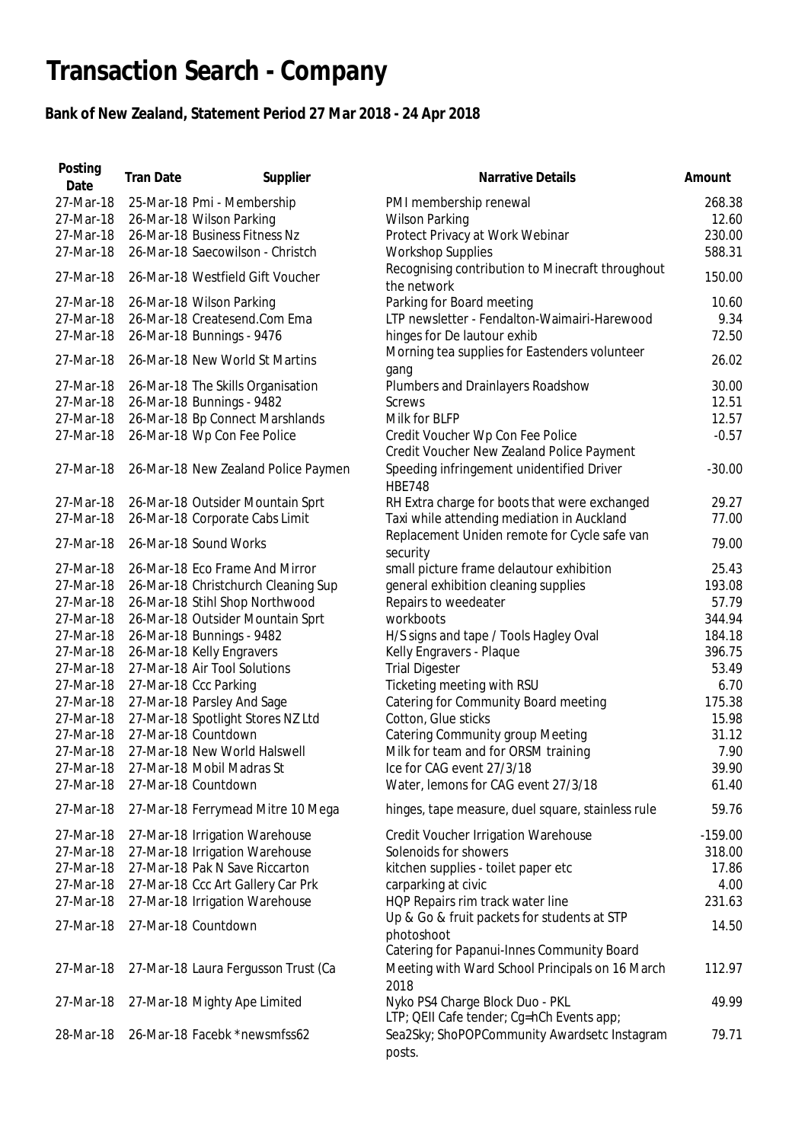## **Transaction Search - Company**

## **Bank of New Zealand, Statement Period 27 Mar 2018 - 24 Apr 2018**

| 27-Mar-18<br>25-Mar-18 Pmi - Membership<br>PMI membership renewal<br>27-Mar-18<br>26-Mar-18 Wilson Parking<br><b>Wilson Parking</b><br>26-Mar-18 Business Fitness Nz<br>Protect Privacy at Work Webinar<br>27-Mar-18<br>27-Mar-18<br>26-Mar-18 Saecowilson - Christch<br><b>Workshop Supplies</b><br>Recognising contribution to Minecraft throughout<br>27-Mar-18<br>26-Mar-18 Westfield Gift Voucher<br>the network<br>Parking for Board meeting<br>27-Mar-18<br>26-Mar-18 Wilson Parking<br>26-Mar-18 Createsend.Com Ema<br>LTP newsletter - Fendalton-Waimairi-Harewood<br>27-Mar-18<br>27-Mar-18<br>26-Mar-18 Bunnings - 9476<br>hinges for De lautour exhib<br>Morning tea supplies for Eastenders volunteer<br>27-Mar-18<br>26-Mar-18 New World St Martins<br>gang<br>Plumbers and Drainlayers Roadshow<br>27-Mar-18<br>26-Mar-18 The Skills Organisation<br>26-Mar-18 Bunnings - 9482<br>27-Mar-18<br>Screws<br>26-Mar-18 Bp Connect Marshlands<br>27-Mar-18<br>Milk for BLFP<br>Credit Voucher Wp Con Fee Police<br>27-Mar-18<br>26-Mar-18 Wp Con Fee Police<br>Credit Voucher New Zealand Police Payment<br>Speeding infringement unidentified Driver<br>27-Mar-18<br>26-Mar-18 New Zealand Police Paymen<br><b>HBE748</b><br>RH Extra charge for boots that were exchanged<br>27-Mar-18<br>26-Mar-18 Outsider Mountain Sprt<br>Taxi while attending mediation in Auckland<br>27-Mar-18<br>26-Mar-18 Corporate Cabs Limit<br>Replacement Uniden remote for Cycle safe van<br>27-Mar-18<br>26-Mar-18 Sound Works<br>security<br>small picture frame delautour exhibition<br>27-Mar-18<br>26-Mar-18 Eco Frame And Mirror<br>26-Mar-18 Christchurch Cleaning Sup<br>general exhibition cleaning supplies<br>27-Mar-18<br>27-Mar-18<br>26-Mar-18 Stihl Shop Northwood<br>Repairs to weedeater<br>26-Mar-18 Outsider Mountain Sprt<br>27-Mar-18<br>workboots<br>26-Mar-18 Bunnings - 9482<br>H/S signs and tape / Tools Hagley Oval<br>27-Mar-18<br>26-Mar-18 Kelly Engravers<br>Kelly Engravers - Plaque<br>27-Mar-18<br>27-Mar-18 Air Tool Solutions<br>27-Mar-18<br><b>Trial Digester</b><br>27-Mar-18 Ccc Parking<br>Ticketing meeting with RSU<br>27-Mar-18<br>Catering for Community Board meeting<br>27-Mar-18<br>27-Mar-18 Parsley And Sage<br>27-Mar-18 Spotlight Stores NZ Ltd<br>Cotton, Glue sticks<br>27-Mar-18<br>27-Mar-18 Countdown<br>Catering Community group Meeting<br>27-Mar-18<br>Milk for team and for ORSM training<br>27-Mar-18<br>27-Mar-18 New World Halswell<br>27-Mar-18<br>27-Mar-18 Mobil Madras St<br>Ice for CAG event 27/3/18<br>Water, lemons for CAG event 27/3/18<br>27-Mar-18 Countdown<br>27-Mar-18<br>27-Mar-18<br>27-Mar-18 Ferrymead Mitre 10 Mega<br>hinges, tape measure, duel square, stainless rule<br>27-Mar-18<br>27-Mar-18 Irrigation Warehouse<br>Credit Voucher Irrigation Warehouse<br>27-Mar-18 Irrigation Warehouse<br>27-Mar-18<br>Solenoids for showers<br>27-Mar-18 Pak N Save Riccarton<br>kitchen supplies - toilet paper etc<br>27-Mar-18<br>27-Mar-18 Ccc Art Gallery Car Prk<br>27-Mar-18<br>carparking at civic<br>HQP Repairs rim track water line<br>27-Mar-18<br>27-Mar-18 Irrigation Warehouse<br>Up & Go & fruit packets for students at STP<br>27-Mar-18 Countdown<br>27-Mar-18<br>photoshoot<br>Catering for Papanui-Innes Community Board<br>Meeting with Ward School Principals on 16 March<br>27-Mar-18<br>27-Mar-18 Laura Fergusson Trust (Ca<br>2018<br>Nyko PS4 Charge Block Duo - PKL<br>27-Mar-18<br>27-Mar-18 Mighty Ape Limited<br>LTP; QEII Cafe tender; Cg=hCh Events app;<br>26-Mar-18 Facebk *newsmfss62 | Posting<br>Date | <b>Tran Date</b> | Supplier | <b>Narrative Details</b>                     | Amount    |
|---------------------------------------------------------------------------------------------------------------------------------------------------------------------------------------------------------------------------------------------------------------------------------------------------------------------------------------------------------------------------------------------------------------------------------------------------------------------------------------------------------------------------------------------------------------------------------------------------------------------------------------------------------------------------------------------------------------------------------------------------------------------------------------------------------------------------------------------------------------------------------------------------------------------------------------------------------------------------------------------------------------------------------------------------------------------------------------------------------------------------------------------------------------------------------------------------------------------------------------------------------------------------------------------------------------------------------------------------------------------------------------------------------------------------------------------------------------------------------------------------------------------------------------------------------------------------------------------------------------------------------------------------------------------------------------------------------------------------------------------------------------------------------------------------------------------------------------------------------------------------------------------------------------------------------------------------------------------------------------------------------------------------------------------------------------------------------------------------------------------------------------------------------------------------------------------------------------------------------------------------------------------------------------------------------------------------------------------------------------------------------------------------------------------------------------------------------------------------------------------------------------------------------------------------------------------------------------------------------------------------------------------------------------------------------------------------------------------------------------------------------------------------------------------------------------------------------------------------------------------------------------------------------------------------------------------------------------------------------------------------------------------------------------------------------------------------------------------------------------------------------------------------------------------------------------------------------------------------------------------------------------------------------------------------------------------------------------------------------------------------------------------------------------------------------------------------------------------------------------------------------------------------------------------------------------------------------------------------|-----------------|------------------|----------|----------------------------------------------|-----------|
|                                                                                                                                                                                                                                                                                                                                                                                                                                                                                                                                                                                                                                                                                                                                                                                                                                                                                                                                                                                                                                                                                                                                                                                                                                                                                                                                                                                                                                                                                                                                                                                                                                                                                                                                                                                                                                                                                                                                                                                                                                                                                                                                                                                                                                                                                                                                                                                                                                                                                                                                                                                                                                                                                                                                                                                                                                                                                                                                                                                                                                                                                                                                                                                                                                                                                                                                                                                                                                                                                                                                                                                                   |                 |                  |          |                                              | 268.38    |
|                                                                                                                                                                                                                                                                                                                                                                                                                                                                                                                                                                                                                                                                                                                                                                                                                                                                                                                                                                                                                                                                                                                                                                                                                                                                                                                                                                                                                                                                                                                                                                                                                                                                                                                                                                                                                                                                                                                                                                                                                                                                                                                                                                                                                                                                                                                                                                                                                                                                                                                                                                                                                                                                                                                                                                                                                                                                                                                                                                                                                                                                                                                                                                                                                                                                                                                                                                                                                                                                                                                                                                                                   |                 |                  |          |                                              | 12.60     |
|                                                                                                                                                                                                                                                                                                                                                                                                                                                                                                                                                                                                                                                                                                                                                                                                                                                                                                                                                                                                                                                                                                                                                                                                                                                                                                                                                                                                                                                                                                                                                                                                                                                                                                                                                                                                                                                                                                                                                                                                                                                                                                                                                                                                                                                                                                                                                                                                                                                                                                                                                                                                                                                                                                                                                                                                                                                                                                                                                                                                                                                                                                                                                                                                                                                                                                                                                                                                                                                                                                                                                                                                   |                 |                  |          |                                              | 230.00    |
|                                                                                                                                                                                                                                                                                                                                                                                                                                                                                                                                                                                                                                                                                                                                                                                                                                                                                                                                                                                                                                                                                                                                                                                                                                                                                                                                                                                                                                                                                                                                                                                                                                                                                                                                                                                                                                                                                                                                                                                                                                                                                                                                                                                                                                                                                                                                                                                                                                                                                                                                                                                                                                                                                                                                                                                                                                                                                                                                                                                                                                                                                                                                                                                                                                                                                                                                                                                                                                                                                                                                                                                                   |                 |                  |          |                                              | 588.31    |
|                                                                                                                                                                                                                                                                                                                                                                                                                                                                                                                                                                                                                                                                                                                                                                                                                                                                                                                                                                                                                                                                                                                                                                                                                                                                                                                                                                                                                                                                                                                                                                                                                                                                                                                                                                                                                                                                                                                                                                                                                                                                                                                                                                                                                                                                                                                                                                                                                                                                                                                                                                                                                                                                                                                                                                                                                                                                                                                                                                                                                                                                                                                                                                                                                                                                                                                                                                                                                                                                                                                                                                                                   |                 |                  |          |                                              |           |
|                                                                                                                                                                                                                                                                                                                                                                                                                                                                                                                                                                                                                                                                                                                                                                                                                                                                                                                                                                                                                                                                                                                                                                                                                                                                                                                                                                                                                                                                                                                                                                                                                                                                                                                                                                                                                                                                                                                                                                                                                                                                                                                                                                                                                                                                                                                                                                                                                                                                                                                                                                                                                                                                                                                                                                                                                                                                                                                                                                                                                                                                                                                                                                                                                                                                                                                                                                                                                                                                                                                                                                                                   |                 |                  |          |                                              | 150.00    |
|                                                                                                                                                                                                                                                                                                                                                                                                                                                                                                                                                                                                                                                                                                                                                                                                                                                                                                                                                                                                                                                                                                                                                                                                                                                                                                                                                                                                                                                                                                                                                                                                                                                                                                                                                                                                                                                                                                                                                                                                                                                                                                                                                                                                                                                                                                                                                                                                                                                                                                                                                                                                                                                                                                                                                                                                                                                                                                                                                                                                                                                                                                                                                                                                                                                                                                                                                                                                                                                                                                                                                                                                   |                 |                  |          |                                              | 10.60     |
|                                                                                                                                                                                                                                                                                                                                                                                                                                                                                                                                                                                                                                                                                                                                                                                                                                                                                                                                                                                                                                                                                                                                                                                                                                                                                                                                                                                                                                                                                                                                                                                                                                                                                                                                                                                                                                                                                                                                                                                                                                                                                                                                                                                                                                                                                                                                                                                                                                                                                                                                                                                                                                                                                                                                                                                                                                                                                                                                                                                                                                                                                                                                                                                                                                                                                                                                                                                                                                                                                                                                                                                                   |                 |                  |          |                                              | 9.34      |
|                                                                                                                                                                                                                                                                                                                                                                                                                                                                                                                                                                                                                                                                                                                                                                                                                                                                                                                                                                                                                                                                                                                                                                                                                                                                                                                                                                                                                                                                                                                                                                                                                                                                                                                                                                                                                                                                                                                                                                                                                                                                                                                                                                                                                                                                                                                                                                                                                                                                                                                                                                                                                                                                                                                                                                                                                                                                                                                                                                                                                                                                                                                                                                                                                                                                                                                                                                                                                                                                                                                                                                                                   |                 |                  |          |                                              | 72.50     |
|                                                                                                                                                                                                                                                                                                                                                                                                                                                                                                                                                                                                                                                                                                                                                                                                                                                                                                                                                                                                                                                                                                                                                                                                                                                                                                                                                                                                                                                                                                                                                                                                                                                                                                                                                                                                                                                                                                                                                                                                                                                                                                                                                                                                                                                                                                                                                                                                                                                                                                                                                                                                                                                                                                                                                                                                                                                                                                                                                                                                                                                                                                                                                                                                                                                                                                                                                                                                                                                                                                                                                                                                   |                 |                  |          |                                              |           |
|                                                                                                                                                                                                                                                                                                                                                                                                                                                                                                                                                                                                                                                                                                                                                                                                                                                                                                                                                                                                                                                                                                                                                                                                                                                                                                                                                                                                                                                                                                                                                                                                                                                                                                                                                                                                                                                                                                                                                                                                                                                                                                                                                                                                                                                                                                                                                                                                                                                                                                                                                                                                                                                                                                                                                                                                                                                                                                                                                                                                                                                                                                                                                                                                                                                                                                                                                                                                                                                                                                                                                                                                   |                 |                  |          |                                              | 26.02     |
|                                                                                                                                                                                                                                                                                                                                                                                                                                                                                                                                                                                                                                                                                                                                                                                                                                                                                                                                                                                                                                                                                                                                                                                                                                                                                                                                                                                                                                                                                                                                                                                                                                                                                                                                                                                                                                                                                                                                                                                                                                                                                                                                                                                                                                                                                                                                                                                                                                                                                                                                                                                                                                                                                                                                                                                                                                                                                                                                                                                                                                                                                                                                                                                                                                                                                                                                                                                                                                                                                                                                                                                                   |                 |                  |          |                                              | 30.00     |
|                                                                                                                                                                                                                                                                                                                                                                                                                                                                                                                                                                                                                                                                                                                                                                                                                                                                                                                                                                                                                                                                                                                                                                                                                                                                                                                                                                                                                                                                                                                                                                                                                                                                                                                                                                                                                                                                                                                                                                                                                                                                                                                                                                                                                                                                                                                                                                                                                                                                                                                                                                                                                                                                                                                                                                                                                                                                                                                                                                                                                                                                                                                                                                                                                                                                                                                                                                                                                                                                                                                                                                                                   |                 |                  |          |                                              | 12.51     |
|                                                                                                                                                                                                                                                                                                                                                                                                                                                                                                                                                                                                                                                                                                                                                                                                                                                                                                                                                                                                                                                                                                                                                                                                                                                                                                                                                                                                                                                                                                                                                                                                                                                                                                                                                                                                                                                                                                                                                                                                                                                                                                                                                                                                                                                                                                                                                                                                                                                                                                                                                                                                                                                                                                                                                                                                                                                                                                                                                                                                                                                                                                                                                                                                                                                                                                                                                                                                                                                                                                                                                                                                   |                 |                  |          |                                              | 12.57     |
|                                                                                                                                                                                                                                                                                                                                                                                                                                                                                                                                                                                                                                                                                                                                                                                                                                                                                                                                                                                                                                                                                                                                                                                                                                                                                                                                                                                                                                                                                                                                                                                                                                                                                                                                                                                                                                                                                                                                                                                                                                                                                                                                                                                                                                                                                                                                                                                                                                                                                                                                                                                                                                                                                                                                                                                                                                                                                                                                                                                                                                                                                                                                                                                                                                                                                                                                                                                                                                                                                                                                                                                                   |                 |                  |          |                                              | $-0.57$   |
|                                                                                                                                                                                                                                                                                                                                                                                                                                                                                                                                                                                                                                                                                                                                                                                                                                                                                                                                                                                                                                                                                                                                                                                                                                                                                                                                                                                                                                                                                                                                                                                                                                                                                                                                                                                                                                                                                                                                                                                                                                                                                                                                                                                                                                                                                                                                                                                                                                                                                                                                                                                                                                                                                                                                                                                                                                                                                                                                                                                                                                                                                                                                                                                                                                                                                                                                                                                                                                                                                                                                                                                                   |                 |                  |          |                                              |           |
|                                                                                                                                                                                                                                                                                                                                                                                                                                                                                                                                                                                                                                                                                                                                                                                                                                                                                                                                                                                                                                                                                                                                                                                                                                                                                                                                                                                                                                                                                                                                                                                                                                                                                                                                                                                                                                                                                                                                                                                                                                                                                                                                                                                                                                                                                                                                                                                                                                                                                                                                                                                                                                                                                                                                                                                                                                                                                                                                                                                                                                                                                                                                                                                                                                                                                                                                                                                                                                                                                                                                                                                                   |                 |                  |          |                                              | $-30.00$  |
|                                                                                                                                                                                                                                                                                                                                                                                                                                                                                                                                                                                                                                                                                                                                                                                                                                                                                                                                                                                                                                                                                                                                                                                                                                                                                                                                                                                                                                                                                                                                                                                                                                                                                                                                                                                                                                                                                                                                                                                                                                                                                                                                                                                                                                                                                                                                                                                                                                                                                                                                                                                                                                                                                                                                                                                                                                                                                                                                                                                                                                                                                                                                                                                                                                                                                                                                                                                                                                                                                                                                                                                                   |                 |                  |          |                                              |           |
|                                                                                                                                                                                                                                                                                                                                                                                                                                                                                                                                                                                                                                                                                                                                                                                                                                                                                                                                                                                                                                                                                                                                                                                                                                                                                                                                                                                                                                                                                                                                                                                                                                                                                                                                                                                                                                                                                                                                                                                                                                                                                                                                                                                                                                                                                                                                                                                                                                                                                                                                                                                                                                                                                                                                                                                                                                                                                                                                                                                                                                                                                                                                                                                                                                                                                                                                                                                                                                                                                                                                                                                                   |                 |                  |          |                                              | 29.27     |
|                                                                                                                                                                                                                                                                                                                                                                                                                                                                                                                                                                                                                                                                                                                                                                                                                                                                                                                                                                                                                                                                                                                                                                                                                                                                                                                                                                                                                                                                                                                                                                                                                                                                                                                                                                                                                                                                                                                                                                                                                                                                                                                                                                                                                                                                                                                                                                                                                                                                                                                                                                                                                                                                                                                                                                                                                                                                                                                                                                                                                                                                                                                                                                                                                                                                                                                                                                                                                                                                                                                                                                                                   |                 |                  |          |                                              | 77.00     |
|                                                                                                                                                                                                                                                                                                                                                                                                                                                                                                                                                                                                                                                                                                                                                                                                                                                                                                                                                                                                                                                                                                                                                                                                                                                                                                                                                                                                                                                                                                                                                                                                                                                                                                                                                                                                                                                                                                                                                                                                                                                                                                                                                                                                                                                                                                                                                                                                                                                                                                                                                                                                                                                                                                                                                                                                                                                                                                                                                                                                                                                                                                                                                                                                                                                                                                                                                                                                                                                                                                                                                                                                   |                 |                  |          |                                              |           |
|                                                                                                                                                                                                                                                                                                                                                                                                                                                                                                                                                                                                                                                                                                                                                                                                                                                                                                                                                                                                                                                                                                                                                                                                                                                                                                                                                                                                                                                                                                                                                                                                                                                                                                                                                                                                                                                                                                                                                                                                                                                                                                                                                                                                                                                                                                                                                                                                                                                                                                                                                                                                                                                                                                                                                                                                                                                                                                                                                                                                                                                                                                                                                                                                                                                                                                                                                                                                                                                                                                                                                                                                   |                 |                  |          |                                              | 79.00     |
|                                                                                                                                                                                                                                                                                                                                                                                                                                                                                                                                                                                                                                                                                                                                                                                                                                                                                                                                                                                                                                                                                                                                                                                                                                                                                                                                                                                                                                                                                                                                                                                                                                                                                                                                                                                                                                                                                                                                                                                                                                                                                                                                                                                                                                                                                                                                                                                                                                                                                                                                                                                                                                                                                                                                                                                                                                                                                                                                                                                                                                                                                                                                                                                                                                                                                                                                                                                                                                                                                                                                                                                                   |                 |                  |          |                                              | 25.43     |
|                                                                                                                                                                                                                                                                                                                                                                                                                                                                                                                                                                                                                                                                                                                                                                                                                                                                                                                                                                                                                                                                                                                                                                                                                                                                                                                                                                                                                                                                                                                                                                                                                                                                                                                                                                                                                                                                                                                                                                                                                                                                                                                                                                                                                                                                                                                                                                                                                                                                                                                                                                                                                                                                                                                                                                                                                                                                                                                                                                                                                                                                                                                                                                                                                                                                                                                                                                                                                                                                                                                                                                                                   |                 |                  |          |                                              | 193.08    |
|                                                                                                                                                                                                                                                                                                                                                                                                                                                                                                                                                                                                                                                                                                                                                                                                                                                                                                                                                                                                                                                                                                                                                                                                                                                                                                                                                                                                                                                                                                                                                                                                                                                                                                                                                                                                                                                                                                                                                                                                                                                                                                                                                                                                                                                                                                                                                                                                                                                                                                                                                                                                                                                                                                                                                                                                                                                                                                                                                                                                                                                                                                                                                                                                                                                                                                                                                                                                                                                                                                                                                                                                   |                 |                  |          |                                              | 57.79     |
|                                                                                                                                                                                                                                                                                                                                                                                                                                                                                                                                                                                                                                                                                                                                                                                                                                                                                                                                                                                                                                                                                                                                                                                                                                                                                                                                                                                                                                                                                                                                                                                                                                                                                                                                                                                                                                                                                                                                                                                                                                                                                                                                                                                                                                                                                                                                                                                                                                                                                                                                                                                                                                                                                                                                                                                                                                                                                                                                                                                                                                                                                                                                                                                                                                                                                                                                                                                                                                                                                                                                                                                                   |                 |                  |          |                                              | 344.94    |
|                                                                                                                                                                                                                                                                                                                                                                                                                                                                                                                                                                                                                                                                                                                                                                                                                                                                                                                                                                                                                                                                                                                                                                                                                                                                                                                                                                                                                                                                                                                                                                                                                                                                                                                                                                                                                                                                                                                                                                                                                                                                                                                                                                                                                                                                                                                                                                                                                                                                                                                                                                                                                                                                                                                                                                                                                                                                                                                                                                                                                                                                                                                                                                                                                                                                                                                                                                                                                                                                                                                                                                                                   |                 |                  |          |                                              | 184.18    |
|                                                                                                                                                                                                                                                                                                                                                                                                                                                                                                                                                                                                                                                                                                                                                                                                                                                                                                                                                                                                                                                                                                                                                                                                                                                                                                                                                                                                                                                                                                                                                                                                                                                                                                                                                                                                                                                                                                                                                                                                                                                                                                                                                                                                                                                                                                                                                                                                                                                                                                                                                                                                                                                                                                                                                                                                                                                                                                                                                                                                                                                                                                                                                                                                                                                                                                                                                                                                                                                                                                                                                                                                   |                 |                  |          |                                              | 396.75    |
|                                                                                                                                                                                                                                                                                                                                                                                                                                                                                                                                                                                                                                                                                                                                                                                                                                                                                                                                                                                                                                                                                                                                                                                                                                                                                                                                                                                                                                                                                                                                                                                                                                                                                                                                                                                                                                                                                                                                                                                                                                                                                                                                                                                                                                                                                                                                                                                                                                                                                                                                                                                                                                                                                                                                                                                                                                                                                                                                                                                                                                                                                                                                                                                                                                                                                                                                                                                                                                                                                                                                                                                                   |                 |                  |          |                                              | 53.49     |
|                                                                                                                                                                                                                                                                                                                                                                                                                                                                                                                                                                                                                                                                                                                                                                                                                                                                                                                                                                                                                                                                                                                                                                                                                                                                                                                                                                                                                                                                                                                                                                                                                                                                                                                                                                                                                                                                                                                                                                                                                                                                                                                                                                                                                                                                                                                                                                                                                                                                                                                                                                                                                                                                                                                                                                                                                                                                                                                                                                                                                                                                                                                                                                                                                                                                                                                                                                                                                                                                                                                                                                                                   |                 |                  |          |                                              | 6.70      |
|                                                                                                                                                                                                                                                                                                                                                                                                                                                                                                                                                                                                                                                                                                                                                                                                                                                                                                                                                                                                                                                                                                                                                                                                                                                                                                                                                                                                                                                                                                                                                                                                                                                                                                                                                                                                                                                                                                                                                                                                                                                                                                                                                                                                                                                                                                                                                                                                                                                                                                                                                                                                                                                                                                                                                                                                                                                                                                                                                                                                                                                                                                                                                                                                                                                                                                                                                                                                                                                                                                                                                                                                   |                 |                  |          |                                              | 175.38    |
|                                                                                                                                                                                                                                                                                                                                                                                                                                                                                                                                                                                                                                                                                                                                                                                                                                                                                                                                                                                                                                                                                                                                                                                                                                                                                                                                                                                                                                                                                                                                                                                                                                                                                                                                                                                                                                                                                                                                                                                                                                                                                                                                                                                                                                                                                                                                                                                                                                                                                                                                                                                                                                                                                                                                                                                                                                                                                                                                                                                                                                                                                                                                                                                                                                                                                                                                                                                                                                                                                                                                                                                                   |                 |                  |          |                                              | 15.98     |
|                                                                                                                                                                                                                                                                                                                                                                                                                                                                                                                                                                                                                                                                                                                                                                                                                                                                                                                                                                                                                                                                                                                                                                                                                                                                                                                                                                                                                                                                                                                                                                                                                                                                                                                                                                                                                                                                                                                                                                                                                                                                                                                                                                                                                                                                                                                                                                                                                                                                                                                                                                                                                                                                                                                                                                                                                                                                                                                                                                                                                                                                                                                                                                                                                                                                                                                                                                                                                                                                                                                                                                                                   |                 |                  |          |                                              |           |
|                                                                                                                                                                                                                                                                                                                                                                                                                                                                                                                                                                                                                                                                                                                                                                                                                                                                                                                                                                                                                                                                                                                                                                                                                                                                                                                                                                                                                                                                                                                                                                                                                                                                                                                                                                                                                                                                                                                                                                                                                                                                                                                                                                                                                                                                                                                                                                                                                                                                                                                                                                                                                                                                                                                                                                                                                                                                                                                                                                                                                                                                                                                                                                                                                                                                                                                                                                                                                                                                                                                                                                                                   |                 |                  |          |                                              | 31.12     |
|                                                                                                                                                                                                                                                                                                                                                                                                                                                                                                                                                                                                                                                                                                                                                                                                                                                                                                                                                                                                                                                                                                                                                                                                                                                                                                                                                                                                                                                                                                                                                                                                                                                                                                                                                                                                                                                                                                                                                                                                                                                                                                                                                                                                                                                                                                                                                                                                                                                                                                                                                                                                                                                                                                                                                                                                                                                                                                                                                                                                                                                                                                                                                                                                                                                                                                                                                                                                                                                                                                                                                                                                   |                 |                  |          |                                              | 7.90      |
|                                                                                                                                                                                                                                                                                                                                                                                                                                                                                                                                                                                                                                                                                                                                                                                                                                                                                                                                                                                                                                                                                                                                                                                                                                                                                                                                                                                                                                                                                                                                                                                                                                                                                                                                                                                                                                                                                                                                                                                                                                                                                                                                                                                                                                                                                                                                                                                                                                                                                                                                                                                                                                                                                                                                                                                                                                                                                                                                                                                                                                                                                                                                                                                                                                                                                                                                                                                                                                                                                                                                                                                                   |                 |                  |          |                                              | 39.90     |
|                                                                                                                                                                                                                                                                                                                                                                                                                                                                                                                                                                                                                                                                                                                                                                                                                                                                                                                                                                                                                                                                                                                                                                                                                                                                                                                                                                                                                                                                                                                                                                                                                                                                                                                                                                                                                                                                                                                                                                                                                                                                                                                                                                                                                                                                                                                                                                                                                                                                                                                                                                                                                                                                                                                                                                                                                                                                                                                                                                                                                                                                                                                                                                                                                                                                                                                                                                                                                                                                                                                                                                                                   |                 |                  |          |                                              | 61.40     |
|                                                                                                                                                                                                                                                                                                                                                                                                                                                                                                                                                                                                                                                                                                                                                                                                                                                                                                                                                                                                                                                                                                                                                                                                                                                                                                                                                                                                                                                                                                                                                                                                                                                                                                                                                                                                                                                                                                                                                                                                                                                                                                                                                                                                                                                                                                                                                                                                                                                                                                                                                                                                                                                                                                                                                                                                                                                                                                                                                                                                                                                                                                                                                                                                                                                                                                                                                                                                                                                                                                                                                                                                   |                 |                  |          |                                              | 59.76     |
|                                                                                                                                                                                                                                                                                                                                                                                                                                                                                                                                                                                                                                                                                                                                                                                                                                                                                                                                                                                                                                                                                                                                                                                                                                                                                                                                                                                                                                                                                                                                                                                                                                                                                                                                                                                                                                                                                                                                                                                                                                                                                                                                                                                                                                                                                                                                                                                                                                                                                                                                                                                                                                                                                                                                                                                                                                                                                                                                                                                                                                                                                                                                                                                                                                                                                                                                                                                                                                                                                                                                                                                                   |                 |                  |          |                                              | $-159.00$ |
|                                                                                                                                                                                                                                                                                                                                                                                                                                                                                                                                                                                                                                                                                                                                                                                                                                                                                                                                                                                                                                                                                                                                                                                                                                                                                                                                                                                                                                                                                                                                                                                                                                                                                                                                                                                                                                                                                                                                                                                                                                                                                                                                                                                                                                                                                                                                                                                                                                                                                                                                                                                                                                                                                                                                                                                                                                                                                                                                                                                                                                                                                                                                                                                                                                                                                                                                                                                                                                                                                                                                                                                                   |                 |                  |          |                                              | 318.00    |
|                                                                                                                                                                                                                                                                                                                                                                                                                                                                                                                                                                                                                                                                                                                                                                                                                                                                                                                                                                                                                                                                                                                                                                                                                                                                                                                                                                                                                                                                                                                                                                                                                                                                                                                                                                                                                                                                                                                                                                                                                                                                                                                                                                                                                                                                                                                                                                                                                                                                                                                                                                                                                                                                                                                                                                                                                                                                                                                                                                                                                                                                                                                                                                                                                                                                                                                                                                                                                                                                                                                                                                                                   |                 |                  |          |                                              | 17.86     |
|                                                                                                                                                                                                                                                                                                                                                                                                                                                                                                                                                                                                                                                                                                                                                                                                                                                                                                                                                                                                                                                                                                                                                                                                                                                                                                                                                                                                                                                                                                                                                                                                                                                                                                                                                                                                                                                                                                                                                                                                                                                                                                                                                                                                                                                                                                                                                                                                                                                                                                                                                                                                                                                                                                                                                                                                                                                                                                                                                                                                                                                                                                                                                                                                                                                                                                                                                                                                                                                                                                                                                                                                   |                 |                  |          |                                              | 4.00      |
|                                                                                                                                                                                                                                                                                                                                                                                                                                                                                                                                                                                                                                                                                                                                                                                                                                                                                                                                                                                                                                                                                                                                                                                                                                                                                                                                                                                                                                                                                                                                                                                                                                                                                                                                                                                                                                                                                                                                                                                                                                                                                                                                                                                                                                                                                                                                                                                                                                                                                                                                                                                                                                                                                                                                                                                                                                                                                                                                                                                                                                                                                                                                                                                                                                                                                                                                                                                                                                                                                                                                                                                                   |                 |                  |          |                                              | 231.63    |
|                                                                                                                                                                                                                                                                                                                                                                                                                                                                                                                                                                                                                                                                                                                                                                                                                                                                                                                                                                                                                                                                                                                                                                                                                                                                                                                                                                                                                                                                                                                                                                                                                                                                                                                                                                                                                                                                                                                                                                                                                                                                                                                                                                                                                                                                                                                                                                                                                                                                                                                                                                                                                                                                                                                                                                                                                                                                                                                                                                                                                                                                                                                                                                                                                                                                                                                                                                                                                                                                                                                                                                                                   |                 |                  |          |                                              |           |
|                                                                                                                                                                                                                                                                                                                                                                                                                                                                                                                                                                                                                                                                                                                                                                                                                                                                                                                                                                                                                                                                                                                                                                                                                                                                                                                                                                                                                                                                                                                                                                                                                                                                                                                                                                                                                                                                                                                                                                                                                                                                                                                                                                                                                                                                                                                                                                                                                                                                                                                                                                                                                                                                                                                                                                                                                                                                                                                                                                                                                                                                                                                                                                                                                                                                                                                                                                                                                                                                                                                                                                                                   |                 |                  |          |                                              | 14.50     |
|                                                                                                                                                                                                                                                                                                                                                                                                                                                                                                                                                                                                                                                                                                                                                                                                                                                                                                                                                                                                                                                                                                                                                                                                                                                                                                                                                                                                                                                                                                                                                                                                                                                                                                                                                                                                                                                                                                                                                                                                                                                                                                                                                                                                                                                                                                                                                                                                                                                                                                                                                                                                                                                                                                                                                                                                                                                                                                                                                                                                                                                                                                                                                                                                                                                                                                                                                                                                                                                                                                                                                                                                   |                 |                  |          |                                              |           |
|                                                                                                                                                                                                                                                                                                                                                                                                                                                                                                                                                                                                                                                                                                                                                                                                                                                                                                                                                                                                                                                                                                                                                                                                                                                                                                                                                                                                                                                                                                                                                                                                                                                                                                                                                                                                                                                                                                                                                                                                                                                                                                                                                                                                                                                                                                                                                                                                                                                                                                                                                                                                                                                                                                                                                                                                                                                                                                                                                                                                                                                                                                                                                                                                                                                                                                                                                                                                                                                                                                                                                                                                   |                 |                  |          |                                              | 112.97    |
|                                                                                                                                                                                                                                                                                                                                                                                                                                                                                                                                                                                                                                                                                                                                                                                                                                                                                                                                                                                                                                                                                                                                                                                                                                                                                                                                                                                                                                                                                                                                                                                                                                                                                                                                                                                                                                                                                                                                                                                                                                                                                                                                                                                                                                                                                                                                                                                                                                                                                                                                                                                                                                                                                                                                                                                                                                                                                                                                                                                                                                                                                                                                                                                                                                                                                                                                                                                                                                                                                                                                                                                                   |                 |                  |          |                                              |           |
|                                                                                                                                                                                                                                                                                                                                                                                                                                                                                                                                                                                                                                                                                                                                                                                                                                                                                                                                                                                                                                                                                                                                                                                                                                                                                                                                                                                                                                                                                                                                                                                                                                                                                                                                                                                                                                                                                                                                                                                                                                                                                                                                                                                                                                                                                                                                                                                                                                                                                                                                                                                                                                                                                                                                                                                                                                                                                                                                                                                                                                                                                                                                                                                                                                                                                                                                                                                                                                                                                                                                                                                                   |                 |                  |          |                                              | 49.99     |
|                                                                                                                                                                                                                                                                                                                                                                                                                                                                                                                                                                                                                                                                                                                                                                                                                                                                                                                                                                                                                                                                                                                                                                                                                                                                                                                                                                                                                                                                                                                                                                                                                                                                                                                                                                                                                                                                                                                                                                                                                                                                                                                                                                                                                                                                                                                                                                                                                                                                                                                                                                                                                                                                                                                                                                                                                                                                                                                                                                                                                                                                                                                                                                                                                                                                                                                                                                                                                                                                                                                                                                                                   |                 |                  |          |                                              |           |
|                                                                                                                                                                                                                                                                                                                                                                                                                                                                                                                                                                                                                                                                                                                                                                                                                                                                                                                                                                                                                                                                                                                                                                                                                                                                                                                                                                                                                                                                                                                                                                                                                                                                                                                                                                                                                                                                                                                                                                                                                                                                                                                                                                                                                                                                                                                                                                                                                                                                                                                                                                                                                                                                                                                                                                                                                                                                                                                                                                                                                                                                                                                                                                                                                                                                                                                                                                                                                                                                                                                                                                                                   | 28-Mar-18       |                  |          | Sea2Sky; ShoPOPCommunity Awardsetc Instagram | 79.71     |
| posts.                                                                                                                                                                                                                                                                                                                                                                                                                                                                                                                                                                                                                                                                                                                                                                                                                                                                                                                                                                                                                                                                                                                                                                                                                                                                                                                                                                                                                                                                                                                                                                                                                                                                                                                                                                                                                                                                                                                                                                                                                                                                                                                                                                                                                                                                                                                                                                                                                                                                                                                                                                                                                                                                                                                                                                                                                                                                                                                                                                                                                                                                                                                                                                                                                                                                                                                                                                                                                                                                                                                                                                                            |                 |                  |          |                                              |           |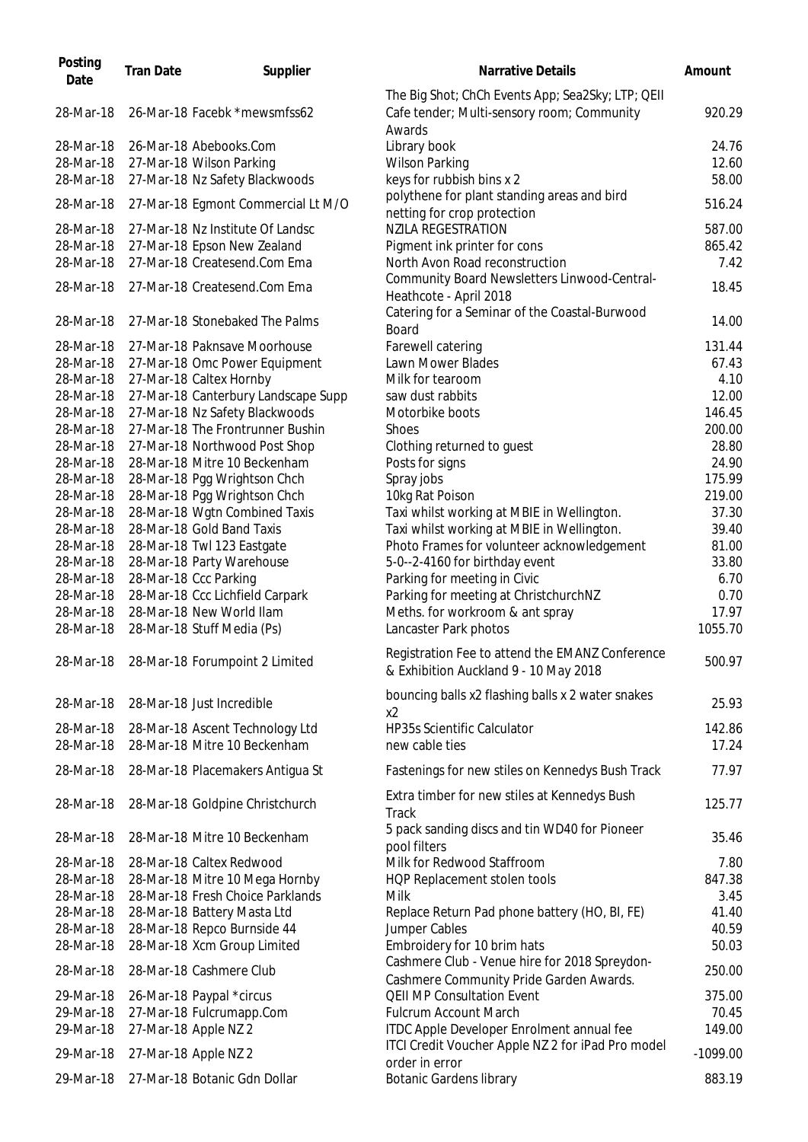| Posting<br>Date        | <b>Tran Date</b> | Supplier                                                | Narrative Details                                                                               | Amount          |
|------------------------|------------------|---------------------------------------------------------|-------------------------------------------------------------------------------------------------|-----------------|
| 28-Mar-18              |                  | 26-Mar-18 Facebk *mewsmfss62                            | The Big Shot; ChCh Events App; Sea2Sky; LTP; QEII<br>Cafe tender; Multi-sensory room; Community | 920.29          |
| 28-Mar-18              |                  | 26-Mar-18 Abebooks.Com                                  | Awards<br>Library book                                                                          | 24.76           |
| 28-Mar-18              |                  | 27-Mar-18 Wilson Parking                                | <b>Wilson Parking</b>                                                                           | 12.60           |
| 28-Mar-18              |                  | 27-Mar-18 Nz Safety Blackwoods                          | keys for rubbish bins x 2                                                                       | 58.00           |
| 28-Mar-18              |                  | 27-Mar-18 Egmont Commercial Lt M/O                      | polythene for plant standing areas and bird<br>netting for crop protection                      | 516.24          |
| 28-Mar-18              |                  | 27-Mar-18 Nz Institute Of Landsc                        | <b>NZILA REGESTRATION</b>                                                                       | 587.00          |
| 28-Mar-18              |                  | 27-Mar-18 Epson New Zealand                             | Pigment ink printer for cons                                                                    | 865.42          |
| 28-Mar-18              |                  | 27-Mar-18 Createsend.Com Ema                            | North Avon Road reconstruction                                                                  | 7.42            |
| 28-Mar-18              |                  | 27-Mar-18 Createsend.Com Ema                            | Community Board Newsletters Linwood-Central-<br>Heathcote - April 2018                          | 18.45           |
| 28-Mar-18              |                  | 27-Mar-18 Stonebaked The Palms                          | Catering for a Seminar of the Coastal-Burwood<br><b>Board</b>                                   | 14.00           |
| 28-Mar-18              |                  | 27-Mar-18 Paknsave Moorhouse                            | Farewell catering                                                                               | 131.44          |
| 28-Mar-18              |                  | 27-Mar-18 Omc Power Equipment                           | Lawn Mower Blades                                                                               | 67.43           |
| 28-Mar-18              |                  | 27-Mar-18 Caltex Hornby                                 | Milk for tearoom                                                                                | 4.10            |
| 28-Mar-18              |                  | 27-Mar-18 Canterbury Landscape Supp                     | saw dust rabbits                                                                                | 12.00           |
| 28-Mar-18              |                  | 27-Mar-18 Nz Safety Blackwoods                          | Motorbike boots                                                                                 | 146.45          |
| 28-Mar-18              |                  | 27-Mar-18 The Frontrunner Bushin                        | <b>Shoes</b>                                                                                    | 200.00          |
| 28-Mar-18              |                  | 27-Mar-18 Northwood Post Shop                           | Clothing returned to guest                                                                      | 28.80           |
| 28-Mar-18              |                  | 28-Mar-18 Mitre 10 Beckenham                            | Posts for signs                                                                                 | 24.90           |
| 28-Mar-18              |                  | 28-Mar-18 Pgg Wrightson Chch                            | Spray jobs                                                                                      | 175.99          |
| 28-Mar-18              |                  | 28-Mar-18 Pgg Wrightson Chch                            | 10kg Rat Poison                                                                                 | 219.00          |
| 28-Mar-18              |                  | 28-Mar-18 Wgtn Combined Taxis                           | Taxi whilst working at MBIE in Wellington.                                                      | 37.30           |
| 28-Mar-18              |                  | 28-Mar-18 Gold Band Taxis                               | Taxi whilst working at MBIE in Wellington.                                                      | 39.40           |
| 28-Mar-18<br>28-Mar-18 |                  | 28-Mar-18 Twl 123 Eastgate<br>28-Mar-18 Party Warehouse | Photo Frames for volunteer acknowledgement                                                      | 81.00<br>33.80  |
| 28-Mar-18              |                  | 28-Mar-18 Ccc Parking                                   | 5-0--2-4160 for birthday event<br>Parking for meeting in Civic                                  | 6.70            |
| 28-Mar-18              |                  | 28-Mar-18 Ccc Lichfield Carpark                         | Parking for meeting at ChristchurchNZ                                                           | 0.70            |
| 28-Mar-18              |                  | 28-Mar-18 New World Ilam                                | Meths. for workroom & ant spray                                                                 | 17.97           |
| 28-Mar-18              |                  | 28-Mar-18 Stuff Media (Ps)                              | Lancaster Park photos                                                                           | 1055.70         |
|                        |                  |                                                         |                                                                                                 |                 |
|                        |                  | 28-Mar-18 28-Mar-18 Forumpoint 2 Limited                | Registration Fee to attend the EMANZ Conference<br>& Exhibition Auckland 9 - 10 May 2018        | 500.97          |
| 28-Mar-18              |                  | 28-Mar-18 Just Incredible                               | bouncing balls x2 flashing balls x 2 water snakes<br>x2                                         | 25.93           |
| 28-Mar-18              |                  | 28-Mar-18 Ascent Technology Ltd                         | <b>HP35s Scientific Calculator</b>                                                              | 142.86          |
| 28-Mar-18              |                  | 28-Mar-18 Mitre 10 Beckenham                            | new cable ties                                                                                  | 17.24           |
| 28-Mar-18              |                  | 28-Mar-18 Placemakers Antigua St                        | Fastenings for new stiles on Kennedys Bush Track                                                | 77.97           |
| 28-Mar-18              |                  | 28-Mar-18 Goldpine Christchurch                         | Extra timber for new stiles at Kennedys Bush<br>Track                                           | 125.77          |
| 28-Mar-18              |                  | 28-Mar-18 Mitre 10 Beckenham                            | 5 pack sanding discs and tin WD40 for Pioneer<br>pool filters                                   | 35.46           |
| 28-Mar-18              |                  | 28-Mar-18 Caltex Redwood                                | Milk for Redwood Staffroom                                                                      | 7.80            |
| 28-Mar-18              |                  | 28-Mar-18 Mitre 10 Mega Hornby                          | HQP Replacement stolen tools                                                                    | 847.38          |
| 28-Mar-18              |                  | 28-Mar-18 Fresh Choice Parklands                        | Milk                                                                                            | 3.45            |
| 28-Mar-18              |                  | 28-Mar-18 Battery Masta Ltd                             | Replace Return Pad phone battery (HO, BI, FE)                                                   | 41.40           |
| 28-Mar-18              |                  | 28-Mar-18 Repco Burnside 44                             | Jumper Cables                                                                                   | 40.59           |
| 28-Mar-18              |                  | 28-Mar-18 Xcm Group Limited                             | Embroidery for 10 brim hats<br>Cashmere Club - Venue hire for 2018 Spreydon-                    | 50.03           |
| 28-Mar-18              |                  | 28-Mar-18 Cashmere Club                                 | Cashmere Community Pride Garden Awards.                                                         | 250.00          |
| 29-Mar-18              |                  | 26-Mar-18 Paypal *circus                                | <b>QEII MP Consultation Event</b>                                                               | 375.00          |
| 29-Mar-18<br>29-Mar-18 |                  | 27-Mar-18 Fulcrumapp.Com                                | <b>Fulcrum Account March</b>                                                                    | 70.45<br>149.00 |
|                        |                  | 27-Mar-18 Apple NZ 2                                    | ITDC Apple Developer Enrolment annual fee<br>ITCI Credit Voucher Apple NZ 2 for iPad Pro model  |                 |
| 29-Mar-18              |                  | 27-Mar-18 Apple NZ 2                                    | order in error                                                                                  | $-1099.00$      |
| 29-Mar-18              |                  | 27-Mar-18 Botanic Gdn Dollar                            | <b>Botanic Gardens library</b>                                                                  | 883.19          |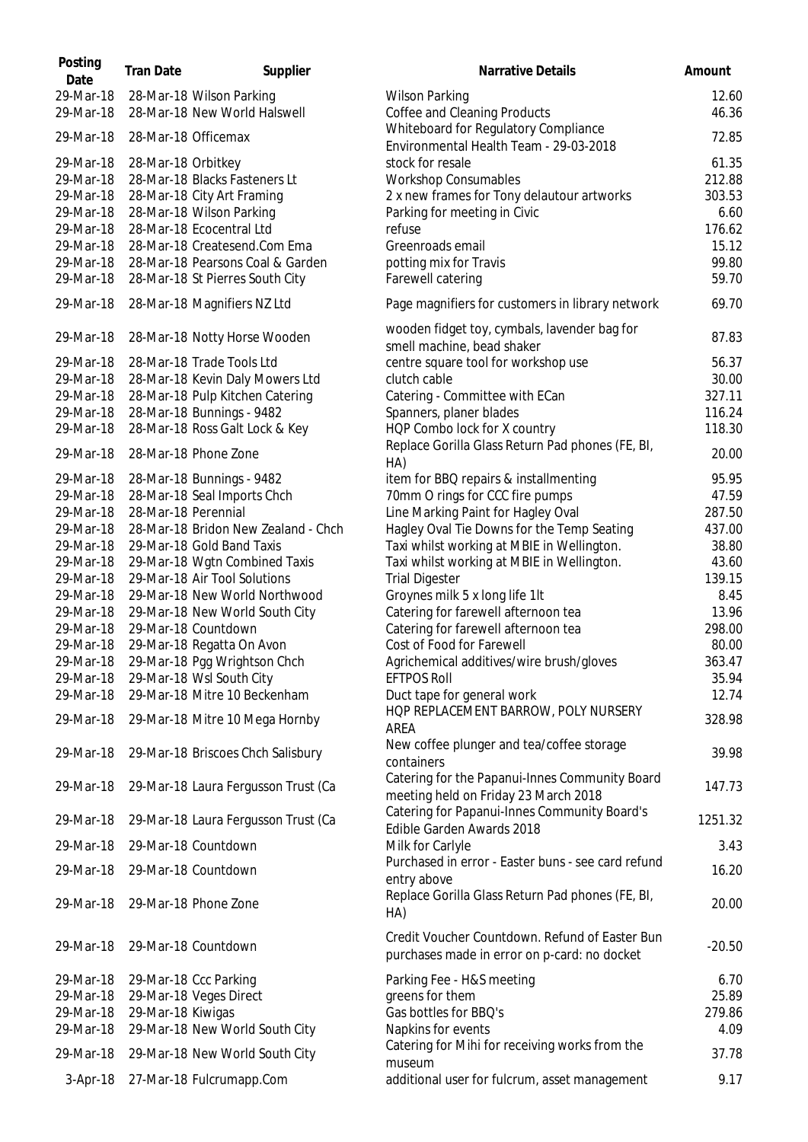| Posting<br>Date        | <b>Tran Date</b>    | Supplier                                                            | Narrative Details                                                                              | Amount         |
|------------------------|---------------------|---------------------------------------------------------------------|------------------------------------------------------------------------------------------------|----------------|
| 29-Mar-18<br>29-Mar-18 |                     | 28-Mar-18 Wilson Parking<br>28-Mar-18 New World Halswell            | <b>Wilson Parking</b><br>Coffee and Cleaning Products                                          | 12.60<br>46.36 |
| 29-Mar-18              | 28-Mar-18 Officemax |                                                                     | Whiteboard for Regulatory Compliance<br>Environmental Health Team - 29-03-2018                 | 72.85          |
| 29-Mar-18              | 28-Mar-18 Orbitkey  |                                                                     | stock for resale                                                                               | 61.35          |
| 29-Mar-18              |                     | 28-Mar-18 Blacks Fasteners Lt                                       | <b>Workshop Consumables</b>                                                                    | 212.88         |
| 29-Mar-18              |                     | 28-Mar-18 City Art Framing                                          | 2 x new frames for Tony delautour artworks                                                     | 303.53         |
| 29-Mar-18              |                     | 28-Mar-18 Wilson Parking                                            | Parking for meeting in Civic                                                                   | 6.60           |
| 29-Mar-18              |                     | 28-Mar-18 Ecocentral Ltd                                            | refuse                                                                                         | 176.62         |
| 29-Mar-18              |                     | 28-Mar-18 Createsend.Com Ema                                        | Greenroads email                                                                               | 15.12          |
| 29-Mar-18<br>29-Mar-18 |                     | 28-Mar-18 Pearsons Coal & Garden<br>28-Mar-18 St Pierres South City | potting mix for Travis<br>Farewell catering                                                    | 99.80<br>59.70 |
| 29-Mar-18              |                     | 28-Mar-18 Magnifiers NZ Ltd                                         | Page magnifiers for customers in library network                                               | 69.70          |
| 29-Mar-18              |                     | 28-Mar-18 Notty Horse Wooden                                        | wooden fidget toy, cymbals, lavender bag for                                                   | 87.83          |
| 29-Mar-18              |                     | 28-Mar-18 Trade Tools Ltd                                           | smell machine, bead shaker                                                                     | 56.37          |
| 29-Mar-18              |                     | 28-Mar-18 Kevin Daly Mowers Ltd                                     | centre square tool for workshop use<br>clutch cable                                            | 30.00          |
| 29-Mar-18              |                     | 28-Mar-18 Pulp Kitchen Catering                                     | Catering - Committee with ECan                                                                 | 327.11         |
| 29-Mar-18              |                     | 28-Mar-18 Bunnings - 9482                                           | Spanners, planer blades                                                                        | 116.24         |
| 29-Mar-18              |                     | 28-Mar-18 Ross Galt Lock & Key                                      | HQP Combo lock for X country                                                                   | 118.30         |
| 29-Mar-18              |                     | 28-Mar-18 Phone Zone                                                | Replace Gorilla Glass Return Pad phones (FE, BI,<br>HA)                                        | 20.00          |
| 29-Mar-18              |                     | 28-Mar-18 Bunnings - 9482                                           | item for BBQ repairs & installmenting                                                          | 95.95          |
| 29-Mar-18              |                     | 28-Mar-18 Seal Imports Chch                                         | 70mm O rings for CCC fire pumps                                                                | 47.59          |
| 29-Mar-18              | 28-Mar-18 Perennial |                                                                     | Line Marking Paint for Hagley Oval                                                             | 287.50         |
| 29-Mar-18              |                     | 28-Mar-18 Bridon New Zealand - Chch                                 | Hagley Oval Tie Downs for the Temp Seating                                                     | 437.00         |
| 29-Mar-18              |                     | 29-Mar-18 Gold Band Taxis                                           | Taxi whilst working at MBIE in Wellington.                                                     | 38.80          |
| 29-Mar-18              |                     | 29-Mar-18 Wgtn Combined Taxis                                       | Taxi whilst working at MBIE in Wellington.                                                     | 43.60          |
| 29-Mar-18              |                     | 29-Mar-18 Air Tool Solutions                                        | <b>Trial Digester</b>                                                                          | 139.15         |
| 29-Mar-18              |                     | 29-Mar-18 New World Northwood                                       | Groynes milk 5 x long life 1It                                                                 | 8.45           |
| 29-Mar-18              |                     | 29-Mar-18 New World South City                                      | Catering for farewell afternoon tea                                                            | 13.96          |
| 29-Mar-18              |                     | 29-Mar-18 Countdown                                                 | Catering for farewell afternoon tea                                                            | 298.00         |
| 29-Mar-18              |                     | 29-Mar-18 Regatta On Avon                                           | Cost of Food for Farewell                                                                      | 80.00          |
| 29-Mar-18              |                     | 29-Mar-18 Pgg Wrightson Chch                                        | Agrichemical additives/wire brush/gloves                                                       | 363.47         |
| 29-Mar-18              |                     | 29-Mar-18 Wsl South City                                            | <b>EFTPOS Roll</b>                                                                             | 35.94          |
| 29-Mar-18              |                     | 29-Mar-18 Mitre 10 Beckenham                                        | Duct tape for general work                                                                     | 12.74          |
| 29-Mar-18              |                     | 29-Mar-18 Mitre 10 Mega Hornby                                      | HOP REPLACEMENT BARROW, POLY NURSERY<br>AREA                                                   | 328.98         |
| 29-Mar-18              |                     | 29-Mar-18 Briscoes Chch Salisbury                                   | New coffee plunger and tea/coffee storage<br>containers                                        | 39.98          |
| 29-Mar-18              |                     | 29-Mar-18 Laura Fergusson Trust (Ca                                 | Catering for the Papanui-Innes Community Board<br>meeting held on Friday 23 March 2018         | 147.73         |
| 29-Mar-18              |                     | 29-Mar-18 Laura Fergusson Trust (Ca                                 | Catering for Papanui-Innes Community Board's<br>Edible Garden Awards 2018                      | 1251.32        |
| 29-Mar-18              |                     | 29-Mar-18 Countdown                                                 | Milk for Carlyle<br>Purchased in error - Easter buns - see card refund                         | 3.43           |
| 29-Mar-18              |                     | 29-Mar-18 Countdown                                                 | entry above                                                                                    | 16.20          |
| 29-Mar-18              |                     | 29-Mar-18 Phone Zone                                                | Replace Gorilla Glass Return Pad phones (FE, BI,<br>HA)                                        | 20.00          |
| 29-Mar-18              |                     | 29-Mar-18 Countdown                                                 | Credit Voucher Countdown. Refund of Easter Bun<br>purchases made in error on p-card: no docket | $-20.50$       |
| 29-Mar-18              |                     | 29-Mar-18 Ccc Parking                                               | Parking Fee - H&S meeting                                                                      | 6.70           |
| 29-Mar-18              |                     | 29-Mar-18 Veges Direct                                              | greens for them                                                                                | 25.89          |
| 29-Mar-18              | 29-Mar-18 Kiwigas   |                                                                     | Gas bottles for BBQ's                                                                          | 279.86         |
| 29-Mar-18              |                     | 29-Mar-18 New World South City                                      | Napkins for events                                                                             | 4.09           |
| 29-Mar-18              |                     | 29-Mar-18 New World South City                                      | Catering for Mihi for receiving works from the                                                 | 37.78          |
| $3-Apr-18$             |                     | 27-Mar-18 Fulcrumapp.Com                                            | museum<br>additional user for fulcrum, asset management                                        | 9.17           |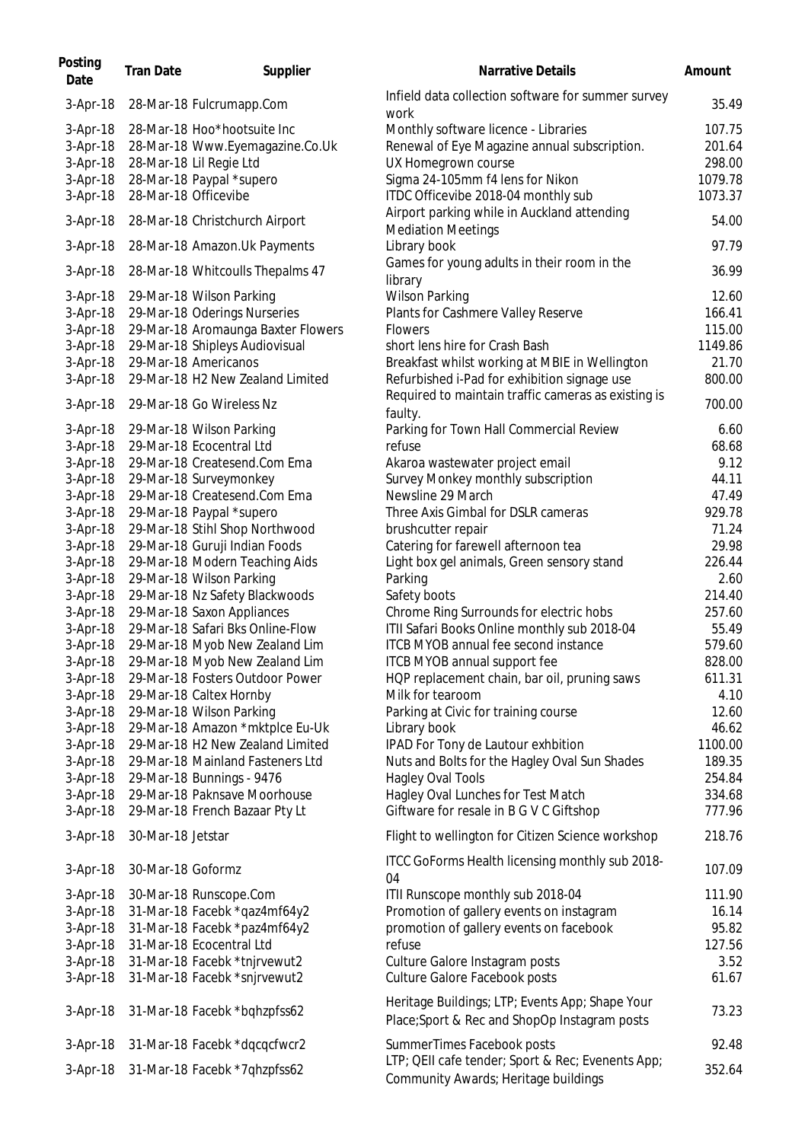| Posting<br>Date                    | <b>Tran Date</b>        | Supplier                                                        | <b>Narrative Details</b>                                                                                    | Amount                     |
|------------------------------------|-------------------------|-----------------------------------------------------------------|-------------------------------------------------------------------------------------------------------------|----------------------------|
| $3-Apr-18$                         |                         | 28-Mar-18 Fulcrumapp.Com                                        | Infield data collection software for summer survey<br>work                                                  | 35.49                      |
| $3-Apr-18$<br>3-Apr-18<br>3-Apr-18 | 28-Mar-18 Lil Regie Ltd | 28-Mar-18 Hoo*hootsuite Inc<br>28-Mar-18 Www.Eyemagazine.Co.Uk  | Monthly software licence - Libraries<br>Renewal of Eye Magazine annual subscription.<br>UX Homegrown course | 107.75<br>201.64<br>298.00 |
| 3-Apr-18<br>3-Apr-18               | 28-Mar-18 Officevibe    | 28-Mar-18 Paypal *supero                                        | Sigma 24-105mm f4 lens for Nikon<br>ITDC Officevibe 2018-04 monthly sub                                     | 1079.78<br>1073.37         |
| 3-Apr-18                           |                         | 28-Mar-18 Christchurch Airport                                  | Airport parking while in Auckland attending<br><b>Mediation Meetings</b>                                    | 54.00                      |
| 3-Apr-18                           |                         | 28-Mar-18 Amazon.Uk Payments                                    | Library book<br>Games for young adults in their room in the                                                 | 97.79                      |
| $3-Apr-18$                         |                         | 28-Mar-18 Whitcoulls Thepalms 47                                | library                                                                                                     | 36.99                      |
| $3-Apr-18$<br>3-Apr-18             |                         | 29-Mar-18 Wilson Parking<br>29-Mar-18 Oderings Nurseries        | <b>Wilson Parking</b><br>Plants for Cashmere Valley Reserve                                                 | 12.60<br>166.41            |
| $3-Apr-18$                         |                         | 29-Mar-18 Aromaunga Baxter Flowers                              | <b>Flowers</b>                                                                                              | 115.00                     |
| 3-Apr-18                           |                         | 29-Mar-18 Shipleys Audiovisual                                  | short lens hire for Crash Bash                                                                              | 1149.86                    |
| 3-Apr-18                           | 29-Mar-18 Americanos    |                                                                 | Breakfast whilst working at MBIE in Wellington                                                              | 21.70                      |
| 3-Apr-18                           |                         | 29-Mar-18 H2 New Zealand Limited                                | Refurbished i-Pad for exhibition signage use                                                                | 800.00                     |
| 3-Apr-18                           |                         | 29-Mar-18 Go Wireless Nz                                        | Required to maintain traffic cameras as existing is<br>faulty.                                              | 700.00                     |
| 3-Apr-18                           |                         | 29-Mar-18 Wilson Parking                                        | Parking for Town Hall Commercial Review                                                                     | 6.60                       |
| 3-Apr-18                           |                         | 29-Mar-18 Ecocentral Ltd                                        | refuse                                                                                                      | 68.68                      |
| 3-Apr-18                           |                         | 29-Mar-18 Createsend.Com Ema                                    | Akaroa wastewater project email                                                                             | 9.12                       |
| 3-Apr-18                           |                         | 29-Mar-18 Surveymonkey                                          | Survey Monkey monthly subscription                                                                          | 44.11                      |
| $3-Apr-18$                         |                         | 29-Mar-18 Createsend.Com Ema                                    | Newsline 29 March                                                                                           | 47.49                      |
| 3-Apr-18                           |                         | 29-Mar-18 Paypal *supero                                        | Three Axis Gimbal for DSLR cameras                                                                          | 929.78                     |
| 3-Apr-18<br>3-Apr-18               |                         | 29-Mar-18 Stihl Shop Northwood<br>29-Mar-18 Guruji Indian Foods | brushcutter repair<br>Catering for farewell afternoon tea                                                   | 71.24<br>29.98             |
| 3-Apr-18                           |                         | 29-Mar-18 Modern Teaching Aids                                  | Light box gel animals, Green sensory stand                                                                  | 226.44                     |
| 3-Apr-18                           |                         | 29-Mar-18 Wilson Parking                                        | Parking                                                                                                     | 2.60                       |
| $3-Apr-18$                         |                         | 29-Mar-18 Nz Safety Blackwoods                                  | Safety boots                                                                                                | 214.40                     |
| 3-Apr-18                           |                         | 29-Mar-18 Saxon Appliances                                      | Chrome Ring Surrounds for electric hobs                                                                     | 257.60                     |
| 3-Apr-18                           |                         | 29-Mar-18 Safari Bks Online-Flow                                | ITII Safari Books Online monthly sub 2018-04                                                                | 55.49                      |
| 3-Apr-18                           |                         | 29-Mar-18 Myob New Zealand Lim                                  | ITCB MYOB annual fee second instance                                                                        | 579.60                     |
| 3-Apr-18                           |                         | 29-Mar-18 Myob New Zealand Lim                                  | ITCB MYOB annual support fee                                                                                | 828.00                     |
| 3-Apr-18                           |                         | 29-Mar-18 Fosters Outdoor Power                                 | HQP replacement chain, bar oil, pruning saws                                                                | 611.31                     |
| 3-Apr-18                           |                         | 29-Mar-18 Caltex Hornby                                         | Milk for tearoom                                                                                            | 4.10                       |
| 3-Apr-18                           |                         | 29-Mar-18 Wilson Parking                                        | Parking at Civic for training course                                                                        | 12.60                      |
| 3-Apr-18                           |                         | 29-Mar-18 Amazon *mktplce Eu-Uk                                 | Library book                                                                                                | 46.62                      |
| 3-Apr-18                           |                         | 29-Mar-18 H2 New Zealand Limited                                | IPAD For Tony de Lautour exhbition                                                                          | 1100.00                    |
| 3-Apr-18                           |                         | 29-Mar-18 Mainland Fasteners Ltd                                | Nuts and Bolts for the Hagley Oval Sun Shades                                                               | 189.35                     |
| 3-Apr-18<br>3-Apr-18               |                         | 29-Mar-18 Bunnings - 9476<br>29-Mar-18 Paknsave Moorhouse       | Hagley Oval Tools<br>Hagley Oval Lunches for Test Match                                                     | 254.84<br>334.68           |
| 3-Apr-18                           |                         | 29-Mar-18 French Bazaar Pty Lt                                  | Giftware for resale in B G V C Giftshop                                                                     | 777.96                     |
| 3-Apr-18                           | 30-Mar-18 Jetstar       |                                                                 | Flight to wellington for Citizen Science workshop                                                           | 218.76                     |
| 3-Apr-18                           | 30-Mar-18 Goformz       |                                                                 | ITCC GoForms Health licensing monthly sub 2018-                                                             | 107.09                     |
|                                    |                         |                                                                 | 04                                                                                                          | 111.90                     |
| $3-Apr-18$<br>$3-Apr-18$           |                         | 30-Mar-18 Runscope.Com<br>31-Mar-18 Facebk *qaz4mf64y2          | ITII Runscope monthly sub 2018-04<br>Promotion of gallery events on instagram                               | 16.14                      |
| 3-Apr-18                           |                         | 31-Mar-18 Facebk *paz4mf64y2                                    | promotion of gallery events on facebook                                                                     | 95.82                      |
| 3-Apr-18                           |                         | 31-Mar-18 Ecocentral Ltd                                        | refuse                                                                                                      | 127.56                     |
| 3-Apr-18                           |                         | 31-Mar-18 Facebk *tnjrvewut2                                    | Culture Galore Instagram posts                                                                              | 3.52                       |
| 3-Apr-18                           |                         | 31-Mar-18 Facebk *snjrvewut2                                    | <b>Culture Galore Facebook posts</b>                                                                        | 61.67                      |
| 3-Apr-18                           |                         | 31-Mar-18 Facebk *bqhzpfss62                                    | Heritage Buildings; LTP; Events App; Shape Your<br>Place; Sport & Rec and ShopOp Instagram posts            | 73.23                      |
| $3-Apr-18$                         |                         | 31-Mar-18 Facebk *dqcqcfwcr2                                    | SummerTimes Facebook posts                                                                                  | 92.48                      |
| $3-Apr-18$                         |                         | 31-Mar-18 Facebk *7qhzpfss62                                    | LTP; QEII cafe tender; Sport & Rec; Evenents App;<br>Community Awards; Heritage buildings                   | 352.64                     |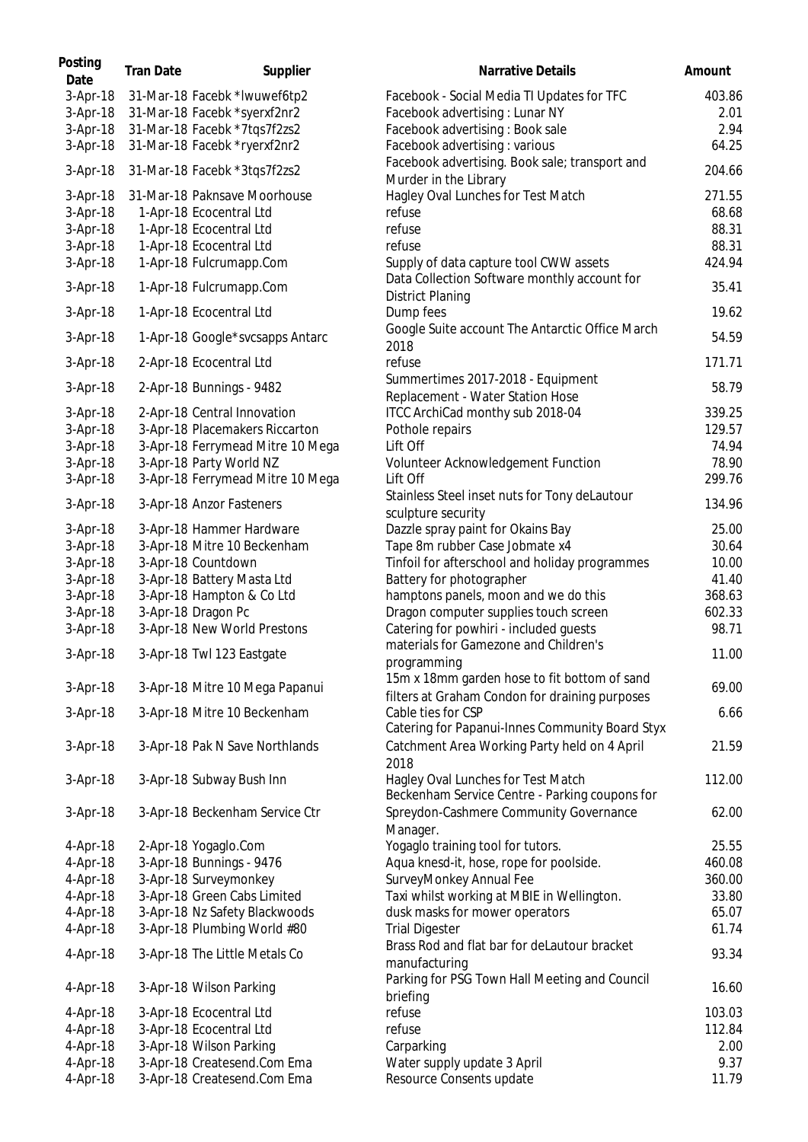| Posting<br>Date      | <b>Tran Date</b> | Supplier                                                     | Narrative Details                                                                              | Amount          |
|----------------------|------------------|--------------------------------------------------------------|------------------------------------------------------------------------------------------------|-----------------|
| 3-Apr-18             |                  | 31-Mar-18 Facebk *Iwuwef6tp2                                 | Facebook - Social Media TI Updates for TFC                                                     | 403.86          |
| 3-Apr-18             |                  | 31-Mar-18 Facebk *syerxf2nr2                                 | Facebook advertising: Lunar NY                                                                 | 2.01            |
| 3-Apr-18             |                  | 31-Mar-18 Facebk *7tqs7f2zs2                                 | Facebook advertising: Book sale                                                                | 2.94            |
| 3-Apr-18             |                  | 31-Mar-18 Facebk *ryerxf2nr2                                 | Facebook advertising : various                                                                 | 64.25           |
| 3-Apr-18             |                  | 31-Mar-18 Facebk *3tqs7f2zs2                                 | Facebook advertising. Book sale; transport and<br>Murder in the Library                        | 204.66          |
| $3-Apr-18$           |                  | 31-Mar-18 Paknsave Moorhouse                                 | Hagley Oval Lunches for Test Match                                                             | 271.55          |
| 3-Apr-18             |                  | 1-Apr-18 Ecocentral Ltd                                      | refuse                                                                                         | 68.68           |
| 3-Apr-18             |                  | 1-Apr-18 Ecocentral Ltd                                      | refuse                                                                                         | 88.31           |
| 3-Apr-18             |                  | 1-Apr-18 Ecocentral Ltd                                      | refuse                                                                                         | 88.31           |
| 3-Apr-18             |                  | 1-Apr-18 Fulcrumapp.Com                                      | Supply of data capture tool CWW assets                                                         | 424.94          |
| 3-Apr-18             |                  | 1-Apr-18 Fulcrumapp.Com                                      | Data Collection Software monthly account for                                                   | 35.41           |
| $3-Apr-18$           |                  | 1-Apr-18 Ecocentral Ltd                                      | <b>District Planing</b><br>Dump fees                                                           | 19.62           |
| $3-Apr-18$           |                  | 1-Apr-18 Google*svcsapps Antarc                              | Google Suite account The Antarctic Office March<br>2018                                        | 54.59           |
| 3-Apr-18             |                  | 2-Apr-18 Ecocentral Ltd                                      | refuse                                                                                         | 171.71          |
| 3-Apr-18             |                  | 2-Apr-18 Bunnings - 9482                                     | Summertimes 2017-2018 - Equipment                                                              | 58.79           |
|                      |                  |                                                              | Replacement - Water Station Hose                                                               |                 |
| 3-Apr-18             |                  | 2-Apr-18 Central Innovation                                  | ITCC ArchiCad monthy sub 2018-04                                                               | 339.25          |
| 3-Apr-18             |                  | 3-Apr-18 Placemakers Riccarton                               | Pothole repairs                                                                                | 129.57          |
| 3-Apr-18             |                  | 3-Apr-18 Ferrymead Mitre 10 Mega                             | Lift Off                                                                                       | 74.94           |
| 3-Apr-18             |                  | 3-Apr-18 Party World NZ                                      | Volunteer Acknowledgement Function                                                             | 78.90           |
| 3-Apr-18             |                  | 3-Apr-18 Ferrymead Mitre 10 Mega                             | Lift Off                                                                                       | 299.76          |
| $3-Apr-18$           |                  | 3-Apr-18 Anzor Fasteners                                     | Stainless Steel inset nuts for Tony deLautour<br>sculpture security                            | 134.96          |
| $3-Apr-18$           |                  | 3-Apr-18 Hammer Hardware                                     | Dazzle spray paint for Okains Bay                                                              | 25.00           |
| 3-Apr-18             |                  | 3-Apr-18 Mitre 10 Beckenham                                  | Tape 8m rubber Case Jobmate x4                                                                 | 30.64           |
| 3-Apr-18             |                  | 3-Apr-18 Countdown                                           | Tinfoil for afterschool and holiday programmes                                                 | 10.00           |
| 3-Apr-18             |                  | 3-Apr-18 Battery Masta Ltd                                   | Battery for photographer                                                                       | 41.40           |
| 3-Apr-18             |                  | 3-Apr-18 Hampton & Co Ltd                                    | hamptons panels, moon and we do this                                                           | 368.63          |
| 3-Apr-18             |                  | 3-Apr-18 Dragon Pc                                           | Dragon computer supplies touch screen                                                          | 602.33          |
| 3-Apr-18             |                  | 3-Apr-18 New World Prestons                                  | Catering for powhiri - included guests                                                         | 98.71           |
|                      |                  |                                                              | materials for Gamezone and Children's                                                          |                 |
| 3-Apr-18             |                  | 3-Apr-18 Twl 123 Eastgate                                    | programming                                                                                    | 11.00           |
| $3-Apr-18$           |                  | 3-Apr-18 Mitre 10 Mega Papanui                               | 15m x 18mm garden hose to fit bottom of sand<br>filters at Graham Condon for draining purposes | 69.00           |
| $3-Apr-18$           |                  | 3-Apr-18 Mitre 10 Beckenham                                  | Cable ties for CSP                                                                             | 6.66            |
|                      |                  |                                                              | Catering for Papanui-Innes Community Board Styx                                                |                 |
| $3-Apr-18$           |                  | 3-Apr-18 Pak N Save Northlands                               | Catchment Area Working Party held on 4 April<br>2018                                           | 21.59           |
| 3-Apr-18             |                  | 3-Apr-18 Subway Bush Inn                                     | Hagley Oval Lunches for Test Match<br>Beckenham Service Centre - Parking coupons for           | 112.00          |
| $3-Apr-18$           |                  | 3-Apr-18 Beckenham Service Ctr                               | Spreydon-Cashmere Community Governance<br>Manager.                                             | 62.00           |
| 4-Apr-18             |                  | 2-Apr-18 Yogaglo.Com                                         | Yogaglo training tool for tutors.                                                              | 25.55           |
| 4-Apr-18             |                  | 3-Apr-18 Bunnings - 9476                                     | Aqua knesd-it, hose, rope for poolside.                                                        | 460.08          |
| 4-Apr-18             |                  |                                                              | SurveyMonkey Annual Fee                                                                        | 360.00          |
|                      |                  | 3-Apr-18 Surveymonkey                                        |                                                                                                | 33.80           |
| 4-Apr-18             |                  | 3-Apr-18 Green Cabs Limited                                  | Taxi whilst working at MBIE in Wellington.                                                     |                 |
| 4-Apr-18             |                  | 3-Apr-18 Nz Safety Blackwoods                                | dusk masks for mower operators                                                                 | 65.07           |
| 4-Apr-18<br>4-Apr-18 |                  | 3-Apr-18 Plumbing World #80<br>3-Apr-18 The Little Metals Co | <b>Trial Digester</b><br>Brass Rod and flat bar for deLautour bracket                          | 61.74<br>93.34  |
|                      |                  |                                                              | manufacturing<br>Parking for PSG Town Hall Meeting and Council                                 |                 |
| 4-Apr-18<br>4-Apr-18 |                  | 3-Apr-18 Wilson Parking<br>3-Apr-18 Ecocentral Ltd           | briefing<br>refuse                                                                             | 16.60<br>103.03 |
|                      |                  |                                                              | refuse                                                                                         | 112.84          |
| 4-Apr-18             |                  | 3-Apr-18 Ecocentral Ltd                                      |                                                                                                |                 |
| $4-Apr-18$           |                  | 3-Apr-18 Wilson Parking                                      | Carparking                                                                                     | 2.00            |
| 4-Apr-18             |                  | 3-Apr-18 Createsend.Com Ema                                  | Water supply update 3 April                                                                    | 9.37            |
| 4-Apr-18             |                  | 3-Apr-18 Createsend.Com Ema                                  | Resource Consents update                                                                       | 11.79           |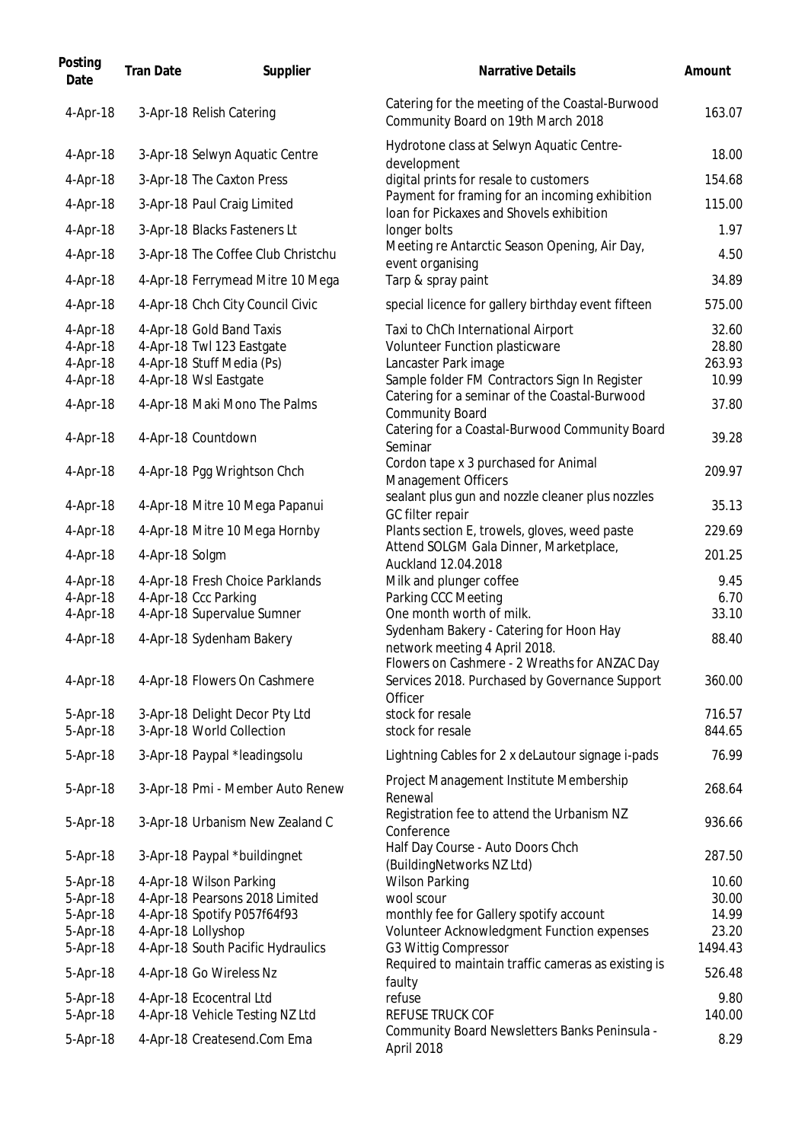| Catering for the meeting of the Coastal-Burwood<br>3-Apr-18 Relish Catering<br>4-Apr-18<br>Community Board on 19th March 2018<br>Hydrotone class at Selwyn Aquatic Centre-<br>3-Apr-18 Selwyn Aquatic Centre<br>4-Apr-18<br>development<br>digital prints for resale to customers<br>4-Apr-18<br>3-Apr-18 The Caxton Press<br>Payment for framing for an incoming exhibition<br>3-Apr-18 Paul Craig Limited<br>4-Apr-18<br>Joan for Pickaxes and Shovels exhibition<br>4-Apr-18<br>3-Apr-18 Blacks Fasteners Lt<br>longer bolts<br>Meeting re Antarctic Season Opening, Air Day,<br>3-Apr-18 The Coffee Club Christchu<br>4-Apr-18<br>event organising<br>Tarp & spray paint<br>4-Apr-18<br>4-Apr-18 Ferrymead Mitre 10 Mega<br>4-Apr-18<br>4-Apr-18 Chch City Council Civic<br>special licence for gallery birthday event fifteen<br>4-Apr-18 Gold Band Taxis<br>4-Apr-18<br>Taxi to ChCh International Airport<br>4-Apr-18 Twl 123 Eastgate<br>Volunteer Function plasticware<br>4-Apr-18<br>4-Apr-18 Stuff Media (Ps)<br>Lancaster Park image<br>4-Apr-18<br>4-Apr-18 Wsl Eastgate<br>Sample folder FM Contractors Sign In Register<br>4-Apr-18<br>Catering for a seminar of the Coastal-Burwood<br>4-Apr-18<br>4-Apr-18 Maki Mono The Palms<br><b>Community Board</b><br>Catering for a Coastal-Burwood Community Board<br>4-Apr-18 Countdown<br>4-Apr-18<br>Seminar<br>Cordon tape x 3 purchased for Animal<br>4-Apr-18 Pgg Wrightson Chch<br>4-Apr-18<br>Management Officers<br>sealant plus gun and nozzle cleaner plus nozzles<br>4-Apr-18 Mitre 10 Mega Papanui<br>4-Apr-18<br>GC filter repair<br>Plants section E, trowels, gloves, weed paste<br>4-Apr-18 Mitre 10 Mega Hornby<br>4-Apr-18<br>Attend SOLGM Gala Dinner, Marketplace,<br>4-Apr-18<br>4-Apr-18 Solgm<br>Auckland 12.04.2018<br>$4-Apr-18$<br>4-Apr-18 Fresh Choice Parklands<br>Milk and plunger coffee<br>4-Apr-18 Ccc Parking<br>4-Apr-18<br>Parking CCC Meeting<br>4-Apr-18 Supervalue Sumner<br>4-Apr-18<br>One month worth of milk.<br>Sydenham Bakery - Catering for Hoon Hay<br>4-Apr-18<br>4-Apr-18 Sydenham Bakery<br>network meeting 4 April 2018.<br>Flowers on Cashmere - 2 Wreaths for ANZAC Day<br>Services 2018. Purchased by Governance Support<br>4-Apr-18<br>4-Apr-18 Flowers On Cashmere<br>Officer<br>stock for resale<br>3-Apr-18 Delight Decor Pty Ltd<br>5-Apr-18<br>3-Apr-18 World Collection<br>stock for resale<br>5-Apr-18<br>5-Apr-18<br>3-Apr-18 Paypal *leadingsolu<br>Lightning Cables for 2 x deLautour signage i-pads<br>Project Management Institute Membership<br>3-Apr-18 Pmi - Member Auto Renew<br>5-Apr-18<br>Renewal<br>Registration fee to attend the Urbanism NZ<br>5-Apr-18<br>3-Apr-18 Urbanism New Zealand C<br>Conference<br>Half Day Course - Auto Doors Chch<br>3-Apr-18 Paypal *buildingnet<br>5-Apr-18<br>(BuildingNetworks NZ Ltd)<br>4-Apr-18 Wilson Parking<br><b>Wilson Parking</b><br>5-Apr-18<br>4-Apr-18 Pearsons 2018 Limited<br>5-Apr-18<br>wool scour<br>4-Apr-18 Spotify P057f64f93<br>5-Apr-18<br>monthly fee for Gallery spotify account<br>Volunteer Acknowledgment Function expenses<br>5-Apr-18<br>4-Apr-18 Lollyshop<br>4-Apr-18 South Pacific Hydraulics<br>G3 Wittig Compressor<br>5-Apr-18<br>Required to maintain traffic cameras as existing is<br>4-Apr-18 Go Wireless Nz<br>5-Apr-18<br>faulty<br>4-Apr-18 Ecocentral Ltd<br>refuse<br>5-Apr-18<br>REFUSE TRUCK COF<br>5-Apr-18<br>4-Apr-18 Vehicle Testing NZ Ltd | Posting<br>Date | <b>Tran Date</b> | Supplier | <b>Narrative Details</b>                      | Amount         |
|------------------------------------------------------------------------------------------------------------------------------------------------------------------------------------------------------------------------------------------------------------------------------------------------------------------------------------------------------------------------------------------------------------------------------------------------------------------------------------------------------------------------------------------------------------------------------------------------------------------------------------------------------------------------------------------------------------------------------------------------------------------------------------------------------------------------------------------------------------------------------------------------------------------------------------------------------------------------------------------------------------------------------------------------------------------------------------------------------------------------------------------------------------------------------------------------------------------------------------------------------------------------------------------------------------------------------------------------------------------------------------------------------------------------------------------------------------------------------------------------------------------------------------------------------------------------------------------------------------------------------------------------------------------------------------------------------------------------------------------------------------------------------------------------------------------------------------------------------------------------------------------------------------------------------------------------------------------------------------------------------------------------------------------------------------------------------------------------------------------------------------------------------------------------------------------------------------------------------------------------------------------------------------------------------------------------------------------------------------------------------------------------------------------------------------------------------------------------------------------------------------------------------------------------------------------------------------------------------------------------------------------------------------------------------------------------------------------------------------------------------------------------------------------------------------------------------------------------------------------------------------------------------------------------------------------------------------------------------------------------------------------------------------------------------------------------------------------------------------------------------------------------------------------------------------------------------------------------------------------------------------------------------------------------------------------------------------------------------------------------------------------------------------------------------------------------------------------------|-----------------|------------------|----------|-----------------------------------------------|----------------|
|                                                                                                                                                                                                                                                                                                                                                                                                                                                                                                                                                                                                                                                                                                                                                                                                                                                                                                                                                                                                                                                                                                                                                                                                                                                                                                                                                                                                                                                                                                                                                                                                                                                                                                                                                                                                                                                                                                                                                                                                                                                                                                                                                                                                                                                                                                                                                                                                                                                                                                                                                                                                                                                                                                                                                                                                                                                                                                                                                                                                                                                                                                                                                                                                                                                                                                                                                                                                                                                                        |                 |                  |          |                                               | 163.07         |
|                                                                                                                                                                                                                                                                                                                                                                                                                                                                                                                                                                                                                                                                                                                                                                                                                                                                                                                                                                                                                                                                                                                                                                                                                                                                                                                                                                                                                                                                                                                                                                                                                                                                                                                                                                                                                                                                                                                                                                                                                                                                                                                                                                                                                                                                                                                                                                                                                                                                                                                                                                                                                                                                                                                                                                                                                                                                                                                                                                                                                                                                                                                                                                                                                                                                                                                                                                                                                                                                        |                 |                  |          |                                               | 18.00          |
|                                                                                                                                                                                                                                                                                                                                                                                                                                                                                                                                                                                                                                                                                                                                                                                                                                                                                                                                                                                                                                                                                                                                                                                                                                                                                                                                                                                                                                                                                                                                                                                                                                                                                                                                                                                                                                                                                                                                                                                                                                                                                                                                                                                                                                                                                                                                                                                                                                                                                                                                                                                                                                                                                                                                                                                                                                                                                                                                                                                                                                                                                                                                                                                                                                                                                                                                                                                                                                                                        |                 |                  |          |                                               | 154.68         |
|                                                                                                                                                                                                                                                                                                                                                                                                                                                                                                                                                                                                                                                                                                                                                                                                                                                                                                                                                                                                                                                                                                                                                                                                                                                                                                                                                                                                                                                                                                                                                                                                                                                                                                                                                                                                                                                                                                                                                                                                                                                                                                                                                                                                                                                                                                                                                                                                                                                                                                                                                                                                                                                                                                                                                                                                                                                                                                                                                                                                                                                                                                                                                                                                                                                                                                                                                                                                                                                                        |                 |                  |          |                                               | 115.00         |
|                                                                                                                                                                                                                                                                                                                                                                                                                                                                                                                                                                                                                                                                                                                                                                                                                                                                                                                                                                                                                                                                                                                                                                                                                                                                                                                                                                                                                                                                                                                                                                                                                                                                                                                                                                                                                                                                                                                                                                                                                                                                                                                                                                                                                                                                                                                                                                                                                                                                                                                                                                                                                                                                                                                                                                                                                                                                                                                                                                                                                                                                                                                                                                                                                                                                                                                                                                                                                                                                        |                 |                  |          |                                               | 1.97           |
|                                                                                                                                                                                                                                                                                                                                                                                                                                                                                                                                                                                                                                                                                                                                                                                                                                                                                                                                                                                                                                                                                                                                                                                                                                                                                                                                                                                                                                                                                                                                                                                                                                                                                                                                                                                                                                                                                                                                                                                                                                                                                                                                                                                                                                                                                                                                                                                                                                                                                                                                                                                                                                                                                                                                                                                                                                                                                                                                                                                                                                                                                                                                                                                                                                                                                                                                                                                                                                                                        |                 |                  |          |                                               | 4.50           |
|                                                                                                                                                                                                                                                                                                                                                                                                                                                                                                                                                                                                                                                                                                                                                                                                                                                                                                                                                                                                                                                                                                                                                                                                                                                                                                                                                                                                                                                                                                                                                                                                                                                                                                                                                                                                                                                                                                                                                                                                                                                                                                                                                                                                                                                                                                                                                                                                                                                                                                                                                                                                                                                                                                                                                                                                                                                                                                                                                                                                                                                                                                                                                                                                                                                                                                                                                                                                                                                                        |                 |                  |          |                                               | 34.89          |
|                                                                                                                                                                                                                                                                                                                                                                                                                                                                                                                                                                                                                                                                                                                                                                                                                                                                                                                                                                                                                                                                                                                                                                                                                                                                                                                                                                                                                                                                                                                                                                                                                                                                                                                                                                                                                                                                                                                                                                                                                                                                                                                                                                                                                                                                                                                                                                                                                                                                                                                                                                                                                                                                                                                                                                                                                                                                                                                                                                                                                                                                                                                                                                                                                                                                                                                                                                                                                                                                        |                 |                  |          |                                               |                |
|                                                                                                                                                                                                                                                                                                                                                                                                                                                                                                                                                                                                                                                                                                                                                                                                                                                                                                                                                                                                                                                                                                                                                                                                                                                                                                                                                                                                                                                                                                                                                                                                                                                                                                                                                                                                                                                                                                                                                                                                                                                                                                                                                                                                                                                                                                                                                                                                                                                                                                                                                                                                                                                                                                                                                                                                                                                                                                                                                                                                                                                                                                                                                                                                                                                                                                                                                                                                                                                                        |                 |                  |          |                                               | 575.00         |
|                                                                                                                                                                                                                                                                                                                                                                                                                                                                                                                                                                                                                                                                                                                                                                                                                                                                                                                                                                                                                                                                                                                                                                                                                                                                                                                                                                                                                                                                                                                                                                                                                                                                                                                                                                                                                                                                                                                                                                                                                                                                                                                                                                                                                                                                                                                                                                                                                                                                                                                                                                                                                                                                                                                                                                                                                                                                                                                                                                                                                                                                                                                                                                                                                                                                                                                                                                                                                                                                        |                 |                  |          |                                               | 32.60<br>28.80 |
|                                                                                                                                                                                                                                                                                                                                                                                                                                                                                                                                                                                                                                                                                                                                                                                                                                                                                                                                                                                                                                                                                                                                                                                                                                                                                                                                                                                                                                                                                                                                                                                                                                                                                                                                                                                                                                                                                                                                                                                                                                                                                                                                                                                                                                                                                                                                                                                                                                                                                                                                                                                                                                                                                                                                                                                                                                                                                                                                                                                                                                                                                                                                                                                                                                                                                                                                                                                                                                                                        |                 |                  |          |                                               | 263.93         |
|                                                                                                                                                                                                                                                                                                                                                                                                                                                                                                                                                                                                                                                                                                                                                                                                                                                                                                                                                                                                                                                                                                                                                                                                                                                                                                                                                                                                                                                                                                                                                                                                                                                                                                                                                                                                                                                                                                                                                                                                                                                                                                                                                                                                                                                                                                                                                                                                                                                                                                                                                                                                                                                                                                                                                                                                                                                                                                                                                                                                                                                                                                                                                                                                                                                                                                                                                                                                                                                                        |                 |                  |          |                                               | 10.99          |
|                                                                                                                                                                                                                                                                                                                                                                                                                                                                                                                                                                                                                                                                                                                                                                                                                                                                                                                                                                                                                                                                                                                                                                                                                                                                                                                                                                                                                                                                                                                                                                                                                                                                                                                                                                                                                                                                                                                                                                                                                                                                                                                                                                                                                                                                                                                                                                                                                                                                                                                                                                                                                                                                                                                                                                                                                                                                                                                                                                                                                                                                                                                                                                                                                                                                                                                                                                                                                                                                        |                 |                  |          |                                               | 37.80          |
|                                                                                                                                                                                                                                                                                                                                                                                                                                                                                                                                                                                                                                                                                                                                                                                                                                                                                                                                                                                                                                                                                                                                                                                                                                                                                                                                                                                                                                                                                                                                                                                                                                                                                                                                                                                                                                                                                                                                                                                                                                                                                                                                                                                                                                                                                                                                                                                                                                                                                                                                                                                                                                                                                                                                                                                                                                                                                                                                                                                                                                                                                                                                                                                                                                                                                                                                                                                                                                                                        |                 |                  |          |                                               | 39.28          |
|                                                                                                                                                                                                                                                                                                                                                                                                                                                                                                                                                                                                                                                                                                                                                                                                                                                                                                                                                                                                                                                                                                                                                                                                                                                                                                                                                                                                                                                                                                                                                                                                                                                                                                                                                                                                                                                                                                                                                                                                                                                                                                                                                                                                                                                                                                                                                                                                                                                                                                                                                                                                                                                                                                                                                                                                                                                                                                                                                                                                                                                                                                                                                                                                                                                                                                                                                                                                                                                                        |                 |                  |          |                                               | 209.97         |
|                                                                                                                                                                                                                                                                                                                                                                                                                                                                                                                                                                                                                                                                                                                                                                                                                                                                                                                                                                                                                                                                                                                                                                                                                                                                                                                                                                                                                                                                                                                                                                                                                                                                                                                                                                                                                                                                                                                                                                                                                                                                                                                                                                                                                                                                                                                                                                                                                                                                                                                                                                                                                                                                                                                                                                                                                                                                                                                                                                                                                                                                                                                                                                                                                                                                                                                                                                                                                                                                        |                 |                  |          |                                               | 35.13          |
|                                                                                                                                                                                                                                                                                                                                                                                                                                                                                                                                                                                                                                                                                                                                                                                                                                                                                                                                                                                                                                                                                                                                                                                                                                                                                                                                                                                                                                                                                                                                                                                                                                                                                                                                                                                                                                                                                                                                                                                                                                                                                                                                                                                                                                                                                                                                                                                                                                                                                                                                                                                                                                                                                                                                                                                                                                                                                                                                                                                                                                                                                                                                                                                                                                                                                                                                                                                                                                                                        |                 |                  |          |                                               | 229.69         |
|                                                                                                                                                                                                                                                                                                                                                                                                                                                                                                                                                                                                                                                                                                                                                                                                                                                                                                                                                                                                                                                                                                                                                                                                                                                                                                                                                                                                                                                                                                                                                                                                                                                                                                                                                                                                                                                                                                                                                                                                                                                                                                                                                                                                                                                                                                                                                                                                                                                                                                                                                                                                                                                                                                                                                                                                                                                                                                                                                                                                                                                                                                                                                                                                                                                                                                                                                                                                                                                                        |                 |                  |          |                                               | 201.25         |
|                                                                                                                                                                                                                                                                                                                                                                                                                                                                                                                                                                                                                                                                                                                                                                                                                                                                                                                                                                                                                                                                                                                                                                                                                                                                                                                                                                                                                                                                                                                                                                                                                                                                                                                                                                                                                                                                                                                                                                                                                                                                                                                                                                                                                                                                                                                                                                                                                                                                                                                                                                                                                                                                                                                                                                                                                                                                                                                                                                                                                                                                                                                                                                                                                                                                                                                                                                                                                                                                        |                 |                  |          |                                               | 9.45           |
|                                                                                                                                                                                                                                                                                                                                                                                                                                                                                                                                                                                                                                                                                                                                                                                                                                                                                                                                                                                                                                                                                                                                                                                                                                                                                                                                                                                                                                                                                                                                                                                                                                                                                                                                                                                                                                                                                                                                                                                                                                                                                                                                                                                                                                                                                                                                                                                                                                                                                                                                                                                                                                                                                                                                                                                                                                                                                                                                                                                                                                                                                                                                                                                                                                                                                                                                                                                                                                                                        |                 |                  |          |                                               | 6.70           |
|                                                                                                                                                                                                                                                                                                                                                                                                                                                                                                                                                                                                                                                                                                                                                                                                                                                                                                                                                                                                                                                                                                                                                                                                                                                                                                                                                                                                                                                                                                                                                                                                                                                                                                                                                                                                                                                                                                                                                                                                                                                                                                                                                                                                                                                                                                                                                                                                                                                                                                                                                                                                                                                                                                                                                                                                                                                                                                                                                                                                                                                                                                                                                                                                                                                                                                                                                                                                                                                                        |                 |                  |          |                                               | 33.10          |
|                                                                                                                                                                                                                                                                                                                                                                                                                                                                                                                                                                                                                                                                                                                                                                                                                                                                                                                                                                                                                                                                                                                                                                                                                                                                                                                                                                                                                                                                                                                                                                                                                                                                                                                                                                                                                                                                                                                                                                                                                                                                                                                                                                                                                                                                                                                                                                                                                                                                                                                                                                                                                                                                                                                                                                                                                                                                                                                                                                                                                                                                                                                                                                                                                                                                                                                                                                                                                                                                        |                 |                  |          |                                               | 88.40          |
|                                                                                                                                                                                                                                                                                                                                                                                                                                                                                                                                                                                                                                                                                                                                                                                                                                                                                                                                                                                                                                                                                                                                                                                                                                                                                                                                                                                                                                                                                                                                                                                                                                                                                                                                                                                                                                                                                                                                                                                                                                                                                                                                                                                                                                                                                                                                                                                                                                                                                                                                                                                                                                                                                                                                                                                                                                                                                                                                                                                                                                                                                                                                                                                                                                                                                                                                                                                                                                                                        |                 |                  |          |                                               | 360.00         |
|                                                                                                                                                                                                                                                                                                                                                                                                                                                                                                                                                                                                                                                                                                                                                                                                                                                                                                                                                                                                                                                                                                                                                                                                                                                                                                                                                                                                                                                                                                                                                                                                                                                                                                                                                                                                                                                                                                                                                                                                                                                                                                                                                                                                                                                                                                                                                                                                                                                                                                                                                                                                                                                                                                                                                                                                                                                                                                                                                                                                                                                                                                                                                                                                                                                                                                                                                                                                                                                                        |                 |                  |          |                                               | 716.57         |
|                                                                                                                                                                                                                                                                                                                                                                                                                                                                                                                                                                                                                                                                                                                                                                                                                                                                                                                                                                                                                                                                                                                                                                                                                                                                                                                                                                                                                                                                                                                                                                                                                                                                                                                                                                                                                                                                                                                                                                                                                                                                                                                                                                                                                                                                                                                                                                                                                                                                                                                                                                                                                                                                                                                                                                                                                                                                                                                                                                                                                                                                                                                                                                                                                                                                                                                                                                                                                                                                        |                 |                  |          |                                               | 844.65         |
|                                                                                                                                                                                                                                                                                                                                                                                                                                                                                                                                                                                                                                                                                                                                                                                                                                                                                                                                                                                                                                                                                                                                                                                                                                                                                                                                                                                                                                                                                                                                                                                                                                                                                                                                                                                                                                                                                                                                                                                                                                                                                                                                                                                                                                                                                                                                                                                                                                                                                                                                                                                                                                                                                                                                                                                                                                                                                                                                                                                                                                                                                                                                                                                                                                                                                                                                                                                                                                                                        |                 |                  |          |                                               | 76.99          |
|                                                                                                                                                                                                                                                                                                                                                                                                                                                                                                                                                                                                                                                                                                                                                                                                                                                                                                                                                                                                                                                                                                                                                                                                                                                                                                                                                                                                                                                                                                                                                                                                                                                                                                                                                                                                                                                                                                                                                                                                                                                                                                                                                                                                                                                                                                                                                                                                                                                                                                                                                                                                                                                                                                                                                                                                                                                                                                                                                                                                                                                                                                                                                                                                                                                                                                                                                                                                                                                                        |                 |                  |          |                                               | 268.64         |
|                                                                                                                                                                                                                                                                                                                                                                                                                                                                                                                                                                                                                                                                                                                                                                                                                                                                                                                                                                                                                                                                                                                                                                                                                                                                                                                                                                                                                                                                                                                                                                                                                                                                                                                                                                                                                                                                                                                                                                                                                                                                                                                                                                                                                                                                                                                                                                                                                                                                                                                                                                                                                                                                                                                                                                                                                                                                                                                                                                                                                                                                                                                                                                                                                                                                                                                                                                                                                                                                        |                 |                  |          |                                               | 936.66         |
|                                                                                                                                                                                                                                                                                                                                                                                                                                                                                                                                                                                                                                                                                                                                                                                                                                                                                                                                                                                                                                                                                                                                                                                                                                                                                                                                                                                                                                                                                                                                                                                                                                                                                                                                                                                                                                                                                                                                                                                                                                                                                                                                                                                                                                                                                                                                                                                                                                                                                                                                                                                                                                                                                                                                                                                                                                                                                                                                                                                                                                                                                                                                                                                                                                                                                                                                                                                                                                                                        |                 |                  |          |                                               | 287.50         |
|                                                                                                                                                                                                                                                                                                                                                                                                                                                                                                                                                                                                                                                                                                                                                                                                                                                                                                                                                                                                                                                                                                                                                                                                                                                                                                                                                                                                                                                                                                                                                                                                                                                                                                                                                                                                                                                                                                                                                                                                                                                                                                                                                                                                                                                                                                                                                                                                                                                                                                                                                                                                                                                                                                                                                                                                                                                                                                                                                                                                                                                                                                                                                                                                                                                                                                                                                                                                                                                                        |                 |                  |          |                                               | 10.60          |
|                                                                                                                                                                                                                                                                                                                                                                                                                                                                                                                                                                                                                                                                                                                                                                                                                                                                                                                                                                                                                                                                                                                                                                                                                                                                                                                                                                                                                                                                                                                                                                                                                                                                                                                                                                                                                                                                                                                                                                                                                                                                                                                                                                                                                                                                                                                                                                                                                                                                                                                                                                                                                                                                                                                                                                                                                                                                                                                                                                                                                                                                                                                                                                                                                                                                                                                                                                                                                                                                        |                 |                  |          |                                               | 30.00          |
|                                                                                                                                                                                                                                                                                                                                                                                                                                                                                                                                                                                                                                                                                                                                                                                                                                                                                                                                                                                                                                                                                                                                                                                                                                                                                                                                                                                                                                                                                                                                                                                                                                                                                                                                                                                                                                                                                                                                                                                                                                                                                                                                                                                                                                                                                                                                                                                                                                                                                                                                                                                                                                                                                                                                                                                                                                                                                                                                                                                                                                                                                                                                                                                                                                                                                                                                                                                                                                                                        |                 |                  |          |                                               | 14.99          |
|                                                                                                                                                                                                                                                                                                                                                                                                                                                                                                                                                                                                                                                                                                                                                                                                                                                                                                                                                                                                                                                                                                                                                                                                                                                                                                                                                                                                                                                                                                                                                                                                                                                                                                                                                                                                                                                                                                                                                                                                                                                                                                                                                                                                                                                                                                                                                                                                                                                                                                                                                                                                                                                                                                                                                                                                                                                                                                                                                                                                                                                                                                                                                                                                                                                                                                                                                                                                                                                                        |                 |                  |          |                                               | 23.20          |
|                                                                                                                                                                                                                                                                                                                                                                                                                                                                                                                                                                                                                                                                                                                                                                                                                                                                                                                                                                                                                                                                                                                                                                                                                                                                                                                                                                                                                                                                                                                                                                                                                                                                                                                                                                                                                                                                                                                                                                                                                                                                                                                                                                                                                                                                                                                                                                                                                                                                                                                                                                                                                                                                                                                                                                                                                                                                                                                                                                                                                                                                                                                                                                                                                                                                                                                                                                                                                                                                        |                 |                  |          |                                               | 1494.43        |
|                                                                                                                                                                                                                                                                                                                                                                                                                                                                                                                                                                                                                                                                                                                                                                                                                                                                                                                                                                                                                                                                                                                                                                                                                                                                                                                                                                                                                                                                                                                                                                                                                                                                                                                                                                                                                                                                                                                                                                                                                                                                                                                                                                                                                                                                                                                                                                                                                                                                                                                                                                                                                                                                                                                                                                                                                                                                                                                                                                                                                                                                                                                                                                                                                                                                                                                                                                                                                                                                        |                 |                  |          |                                               | 526.48         |
|                                                                                                                                                                                                                                                                                                                                                                                                                                                                                                                                                                                                                                                                                                                                                                                                                                                                                                                                                                                                                                                                                                                                                                                                                                                                                                                                                                                                                                                                                                                                                                                                                                                                                                                                                                                                                                                                                                                                                                                                                                                                                                                                                                                                                                                                                                                                                                                                                                                                                                                                                                                                                                                                                                                                                                                                                                                                                                                                                                                                                                                                                                                                                                                                                                                                                                                                                                                                                                                                        |                 |                  |          |                                               | 9.80           |
| 5-Apr-18<br>4-Apr-18 Createsend.Com Ema<br>April 2018                                                                                                                                                                                                                                                                                                                                                                                                                                                                                                                                                                                                                                                                                                                                                                                                                                                                                                                                                                                                                                                                                                                                                                                                                                                                                                                                                                                                                                                                                                                                                                                                                                                                                                                                                                                                                                                                                                                                                                                                                                                                                                                                                                                                                                                                                                                                                                                                                                                                                                                                                                                                                                                                                                                                                                                                                                                                                                                                                                                                                                                                                                                                                                                                                                                                                                                                                                                                                  |                 |                  |          | Community Board Newsletters Banks Peninsula - | 140.00<br>8.29 |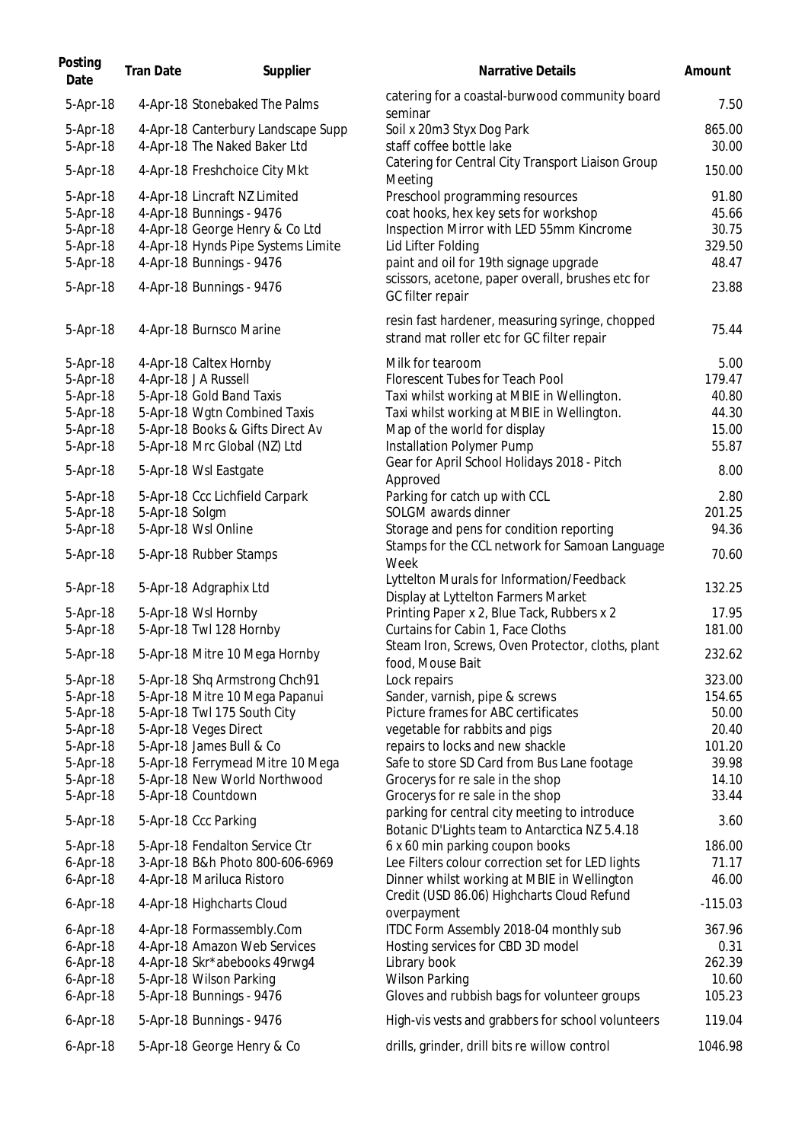| Posting<br>Date           | <b>Tran Date</b> | Supplier                                                  | Narrative Details                                                                              | Amount         |
|---------------------------|------------------|-----------------------------------------------------------|------------------------------------------------------------------------------------------------|----------------|
| 5-Apr-18                  |                  | 4-Apr-18 Stonebaked The Palms                             | catering for a coastal-burwood community board<br>seminar                                      | 7.50           |
| 5-Apr-18                  |                  | 4-Apr-18 Canterbury Landscape Supp                        | Soil x 20m3 Styx Dog Park                                                                      | 865.00         |
| 5-Apr-18                  |                  | 4-Apr-18 The Naked Baker Ltd                              | staff coffee bottle lake                                                                       | 30.00          |
| 5-Apr-18                  |                  | 4-Apr-18 Freshchoice City Mkt                             | Catering for Central City Transport Liaison Group<br>Meeting                                   | 150.00         |
| 5-Apr-18                  |                  | 4-Apr-18 Lincraft NZ Limited                              | Preschool programming resources                                                                | 91.80          |
| 5-Apr-18                  |                  | 4-Apr-18 Bunnings - 9476                                  | coat hooks, hex key sets for workshop                                                          | 45.66          |
| 5-Apr-18                  |                  | 4-Apr-18 George Henry & Co Ltd                            | Inspection Mirror with LED 55mm Kincrome                                                       | 30.75          |
| 5-Apr-18                  |                  | 4-Apr-18 Hynds Pipe Systems Limite                        | Lid Lifter Folding                                                                             | 329.50         |
| 5-Apr-18                  |                  | 4-Apr-18 Bunnings - 9476                                  | paint and oil for 19th signage upgrade                                                         | 48.47          |
| 5-Apr-18                  |                  | 4-Apr-18 Bunnings - 9476                                  | scissors, acetone, paper overall, brushes etc for<br>GC filter repair                          | 23.88          |
| 5-Apr-18                  |                  | 4-Apr-18 Burnsco Marine                                   | resin fast hardener, measuring syringe, chopped<br>strand mat roller etc for GC filter repair  | 75.44          |
| 5-Apr-18                  |                  | 4-Apr-18 Caltex Hornby                                    | Milk for tearoom                                                                               | 5.00           |
| 5-Apr-18                  |                  | 4-Apr-18 J A Russell                                      | Florescent Tubes for Teach Pool                                                                | 179.47         |
| 5-Apr-18                  |                  | 5-Apr-18 Gold Band Taxis                                  | Taxi whilst working at MBIE in Wellington.                                                     | 40.80          |
| 5-Apr-18                  |                  | 5-Apr-18 Wgtn Combined Taxis                              | Taxi whilst working at MBIE in Wellington.                                                     | 44.30          |
| 5-Apr-18                  |                  | 5-Apr-18 Books & Gifts Direct Av                          | Map of the world for display                                                                   | 15.00          |
| 5-Apr-18                  |                  | 5-Apr-18 Mrc Global (NZ) Ltd                              | Installation Polymer Pump                                                                      | 55.87          |
| 5-Apr-18                  |                  | 5-Apr-18 Wsl Eastgate                                     | Gear for April School Holidays 2018 - Pitch<br>Approved                                        | 8.00           |
| 5-Apr-18                  |                  | 5-Apr-18 Ccc Lichfield Carpark                            | Parking for catch up with CCL                                                                  | 2.80           |
| 5-Apr-18                  | 5-Apr-18 Solgm   |                                                           | SOLGM awards dinner                                                                            | 201.25         |
| 5-Apr-18                  |                  | 5-Apr-18 Wsl Online                                       | Storage and pens for condition reporting                                                       | 94.36          |
| 5-Apr-18                  |                  | 5-Apr-18 Rubber Stamps                                    | Stamps for the CCL network for Samoan Language<br>Week                                         | 70.60          |
| 5-Apr-18                  |                  | 5-Apr-18 Adgraphix Ltd                                    | Lyttelton Murals for Information/Feedback<br>Display at Lyttelton Farmers Market               | 132.25         |
| 5-Apr-18                  |                  | 5-Apr-18 Wsl Hornby                                       | Printing Paper x 2, Blue Tack, Rubbers x 2                                                     | 17.95          |
| 5-Apr-18                  |                  | 5-Apr-18 Twl 128 Hornby                                   | Curtains for Cabin 1, Face Cloths                                                              | 181.00         |
|                           |                  |                                                           | Steam Iron, Screws, Oven Protector, cloths, plant                                              |                |
| 5-Apr-18                  |                  | 5-Apr-18 Mitre 10 Mega Hornby                             | food, Mouse Bait                                                                               | 232.62         |
| 5-Apr-18                  |                  | 5-Apr-18 Shq Armstrong Chch91                             | Lock repairs                                                                                   | 323.00         |
| 5-Apr-18                  |                  | 5-Apr-18 Mitre 10 Mega Papanui                            | Sander, varnish, pipe & screws                                                                 | 154.65         |
| 5-Apr-18                  |                  | 5-Apr-18 Twl 175 South City                               | Picture frames for ABC certificates                                                            | 50.00          |
| 5-Apr-18                  |                  | 5-Apr-18 Veges Direct                                     | vegetable for rabbits and pigs                                                                 | 20.40          |
| 5-Apr-18                  |                  | 5-Apr-18 James Bull & Co                                  | repairs to locks and new shackle                                                               | 101.20         |
| 5-Apr-18                  |                  | 5-Apr-18 Ferrymead Mitre 10 Mega                          | Safe to store SD Card from Bus Lane footage                                                    | 39.98          |
| 5-Apr-18                  |                  | 5-Apr-18 New World Northwood                              | Grocerys for re sale in the shop                                                               | 14.10          |
| 5-Apr-18                  |                  | 5-Apr-18 Countdown                                        | Grocerys for re sale in the shop                                                               | 33.44          |
| 5-Apr-18                  |                  | 5-Apr-18 Ccc Parking                                      | parking for central city meeting to introduce<br>Botanic D'Lights team to Antarctica NZ 5.4.18 | 3.60           |
| 5-Apr-18                  |                  | 5-Apr-18 Fendalton Service Ctr                            | 6 x 60 min parking coupon books                                                                | 186.00         |
| $6$ -Apr-18               |                  | 3-Apr-18 B&h Photo 800-606-6969                           | Lee Filters colour correction set for LED lights                                               | 71.17          |
| $6-Apr-18$                |                  | 4-Apr-18 Mariluca Ristoro                                 | Dinner whilst working at MBIE in Wellington                                                    | 46.00          |
|                           |                  |                                                           | Credit (USD 86.06) Highcharts Cloud Refund                                                     |                |
| $6-Apr-18$                |                  | 4-Apr-18 Highcharts Cloud                                 | overpayment                                                                                    | $-115.03$      |
| $6-Apr-18$<br>$6$ -Apr-18 |                  | 4-Apr-18 Formassembly.Com<br>4-Apr-18 Amazon Web Services | ITDC Form Assembly 2018-04 monthly sub<br>Hosting services for CBD 3D model                    | 367.96<br>0.31 |
| $6-Apr-18$                |                  | 4-Apr-18 Skr*abebooks 49rwg4                              | Library book                                                                                   | 262.39         |
| $6 - Apr - 18$            |                  | 5-Apr-18 Wilson Parking                                   | <b>Wilson Parking</b>                                                                          | 10.60          |
| $6 - Apr - 18$            |                  | 5-Apr-18 Bunnings - 9476                                  | Gloves and rubbish bags for volunteer groups                                                   | 105.23         |
| $6-Apr-18$                |                  | 5-Apr-18 Bunnings - 9476                                  | High-vis vests and grabbers for school volunteers                                              | 119.04         |
| $6-Apr-18$                |                  | 5-Apr-18 George Henry & Co                                | drills, grinder, drill bits re willow control                                                  | 1046.98        |
|                           |                  |                                                           |                                                                                                |                |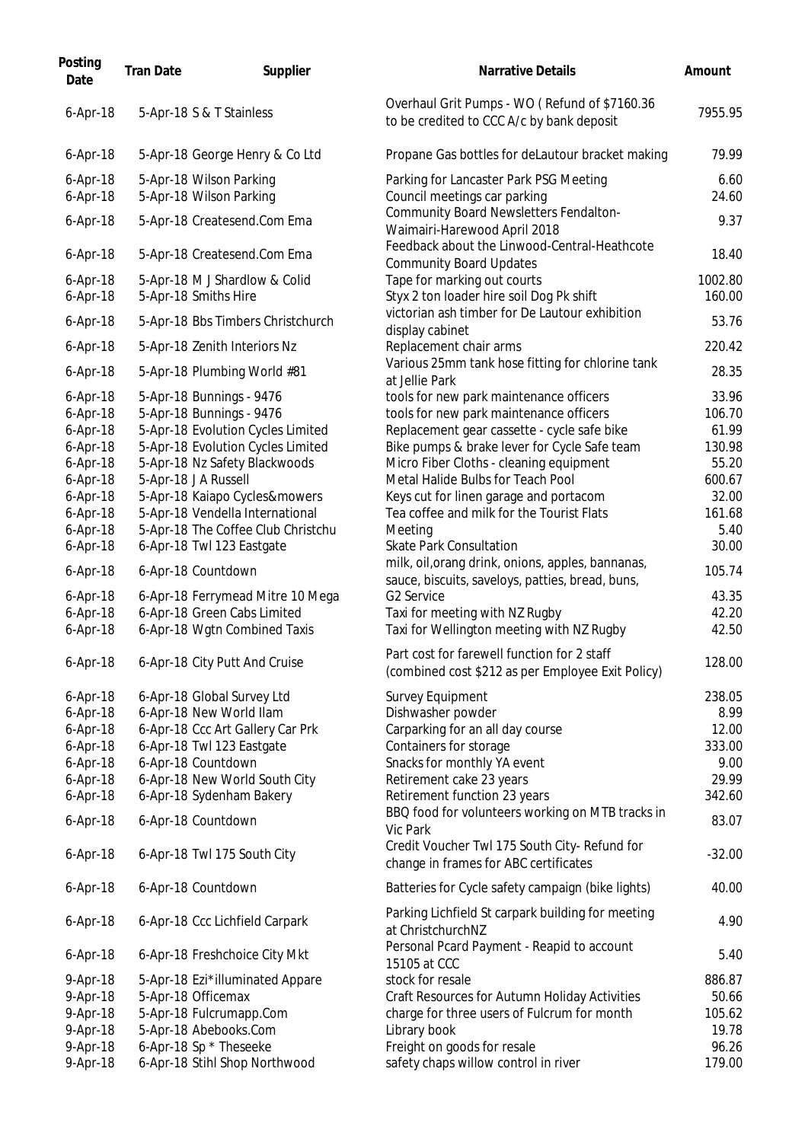| Posting<br>Date          | <b>Tran Date</b> | Supplier                                              | <b>Narrative Details</b>                                                                         | Amount          |
|--------------------------|------------------|-------------------------------------------------------|--------------------------------------------------------------------------------------------------|-----------------|
| 6-Apr-18                 |                  | 5-Apr-18 S & T Stainless                              | Overhaul Grit Pumps - WO (Refund of \$7160.36<br>to be credited to CCC A/c by bank deposit       | 7955.95         |
| $6-Apr-18$               |                  | 5-Apr-18 George Henry & Co Ltd                        | Propane Gas bottles for deLautour bracket making                                                 | 79.99           |
| $6-Apr-18$<br>$6-Apr-18$ |                  | 5-Apr-18 Wilson Parking                               | Parking for Lancaster Park PSG Meeting                                                           | 6.60<br>24.60   |
|                          |                  | 5-Apr-18 Wilson Parking                               | Council meetings car parking<br>Community Board Newsletters Fendalton-                           |                 |
| $6 - Apr - 18$           |                  | 5-Apr-18 Createsend.Com Ema                           | Waimairi-Harewood April 2018                                                                     | 9.37            |
| $6 - Apr - 18$           |                  | 5-Apr-18 Createsend.Com Ema                           | Feedback about the Linwood-Central-Heathcote<br><b>Community Board Updates</b>                   | 18.40           |
| $6-Apr-18$               |                  | 5-Apr-18 M J Shardlow & Colid                         | Tape for marking out courts                                                                      | 1002.80         |
| 6-Apr-18                 |                  | 5-Apr-18 Smiths Hire                                  | Styx 2 ton loader hire soil Dog Pk shift                                                         | 160.00          |
| $6-Apr-18$               |                  | 5-Apr-18 Bbs Timbers Christchurch                     | victorian ash timber for De Lautour exhibition<br>display cabinet                                | 53.76           |
| $6$ -Apr-18              |                  | 5-Apr-18 Zenith Interiors Nz                          | Replacement chair arms                                                                           | 220.42          |
| $6-Apr-18$               |                  | 5-Apr-18 Plumbing World #81                           | Various 25mm tank hose fitting for chlorine tank                                                 | 28.35           |
|                          |                  |                                                       | at Jellie Park                                                                                   |                 |
| $6-Apr-18$               |                  | 5-Apr-18 Bunnings - 9476                              | tools for new park maintenance officers                                                          | 33.96           |
| $6-Apr-18$               |                  | 5-Apr-18 Bunnings - 9476                              | tools for new park maintenance officers                                                          | 106.70          |
| 6-Apr-18                 |                  | 5-Apr-18 Evolution Cycles Limited                     | Replacement gear cassette - cycle safe bike                                                      | 61.99           |
| $6-Apr-18$               |                  | 5-Apr-18 Evolution Cycles Limited                     | Bike pumps & brake lever for Cycle Safe team                                                     | 130.98          |
| $6-Apr-18$<br>$6-Apr-18$ |                  | 5-Apr-18 Nz Safety Blackwoods<br>5-Apr-18 J A Russell | Micro Fiber Cloths - cleaning equipment<br>Metal Halide Bulbs for Teach Pool                     | 55.20<br>600.67 |
| $6-Apr-18$               |                  | 5-Apr-18 Kaiapo Cycles&mowers                         | Keys cut for linen garage and portacom                                                           | 32.00           |
| $6$ -Apr-18              |                  | 5-Apr-18 Vendella International                       | Tea coffee and milk for the Tourist Flats                                                        | 161.68          |
| $6$ -Apr-18              |                  | 5-Apr-18 The Coffee Club Christchu                    | Meeting                                                                                          | 5.40            |
| $6 - Apr - 18$           |                  | 6-Apr-18 Twl 123 Eastgate                             | <b>Skate Park Consultation</b>                                                                   | 30.00           |
|                          |                  |                                                       | milk, oil, orang drink, onions, apples, bannanas,                                                |                 |
| $6-Apr-18$               |                  | 6-Apr-18 Countdown                                    | sauce, biscuits, saveloys, patties, bread, buns,                                                 | 105.74          |
| $6-Apr-18$               |                  | 6-Apr-18 Ferrymead Mitre 10 Mega                      | G2 Service                                                                                       | 43.35           |
| $6 - Apr - 18$           |                  | 6-Apr-18 Green Cabs Limited                           | Taxi for meeting with NZ Rugby                                                                   | 42.20           |
| $6-Apr-18$               |                  | 6-Apr-18 Wgtn Combined Taxis                          | Taxi for Wellington meeting with NZ Rugby                                                        | 42.50           |
| $6$ -Apr-18              |                  | 6-Apr-18 City Putt And Cruise                         | Part cost for farewell function for 2 staff<br>(combined cost \$212 as per Employee Exit Policy) | 128.00          |
| $6 - Apr - 18$           |                  | 6-Apr-18 Global Survey Ltd                            | <b>Survey Equipment</b>                                                                          | 238.05          |
| $6-Apr-18$               |                  | 6-Apr-18 New World Ilam                               | Dishwasher powder                                                                                | 8.99            |
| $6-Apr-18$               |                  | 6-Apr-18 Ccc Art Gallery Car Prk                      | Carparking for an all day course                                                                 | 12.00           |
| 6-Apr-18                 |                  | 6-Apr-18 Twl 123 Eastgate                             | Containers for storage                                                                           | 333.00          |
| $6-Apr-18$               |                  | 6-Apr-18 Countdown                                    | Snacks for monthly YA event                                                                      | 9.00            |
| $6-Apr-18$               |                  | 6-Apr-18 New World South City                         | Retirement cake 23 years                                                                         | 29.99           |
| $6-Apr-18$               |                  | 6-Apr-18 Sydenham Bakery                              | Retirement function 23 years                                                                     | 342.60          |
| 6-Apr-18                 |                  | 6-Apr-18 Countdown                                    | BBQ food for volunteers working on MTB tracks in<br>Vic Park                                     | 83.07           |
| $6-Apr-18$               |                  | 6-Apr-18 Twl 175 South City                           | Credit Voucher Twl 175 South City- Refund for<br>change in frames for ABC certificates           | $-32.00$        |
| $6-Apr-18$               |                  | 6-Apr-18 Countdown                                    | Batteries for Cycle safety campaign (bike lights)                                                | 40.00           |
| $6-Apr-18$               |                  | 6-Apr-18 Ccc Lichfield Carpark                        | Parking Lichfield St carpark building for meeting<br>at ChristchurchNZ                           | 4.90            |
| $6-Apr-18$               |                  | 6-Apr-18 Freshchoice City Mkt                         | Personal Pcard Payment - Reapid to account<br>15105 at CCC                                       | 5.40            |
| 9-Apr-18                 |                  | 5-Apr-18 Ezi*illuminated Appare                       | stock for resale                                                                                 | 886.87          |
| 9-Apr-18                 |                  | 5-Apr-18 Officemax                                    | Craft Resources for Autumn Holiday Activities                                                    | 50.66           |
| 9-Apr-18                 |                  | 5-Apr-18 Fulcrumapp.Com                               | charge for three users of Fulcrum for month                                                      | 105.62          |
| 9-Apr-18                 |                  | 5-Apr-18 Abebooks.Com                                 | Library book                                                                                     | 19.78           |
| 9-Apr-18                 |                  | 6-Apr-18 Sp * Theseeke                                | Freight on goods for resale                                                                      | 96.26           |
| 9-Apr-18                 |                  | 6-Apr-18 Stihl Shop Northwood                         | safety chaps willow control in river                                                             | 179.00          |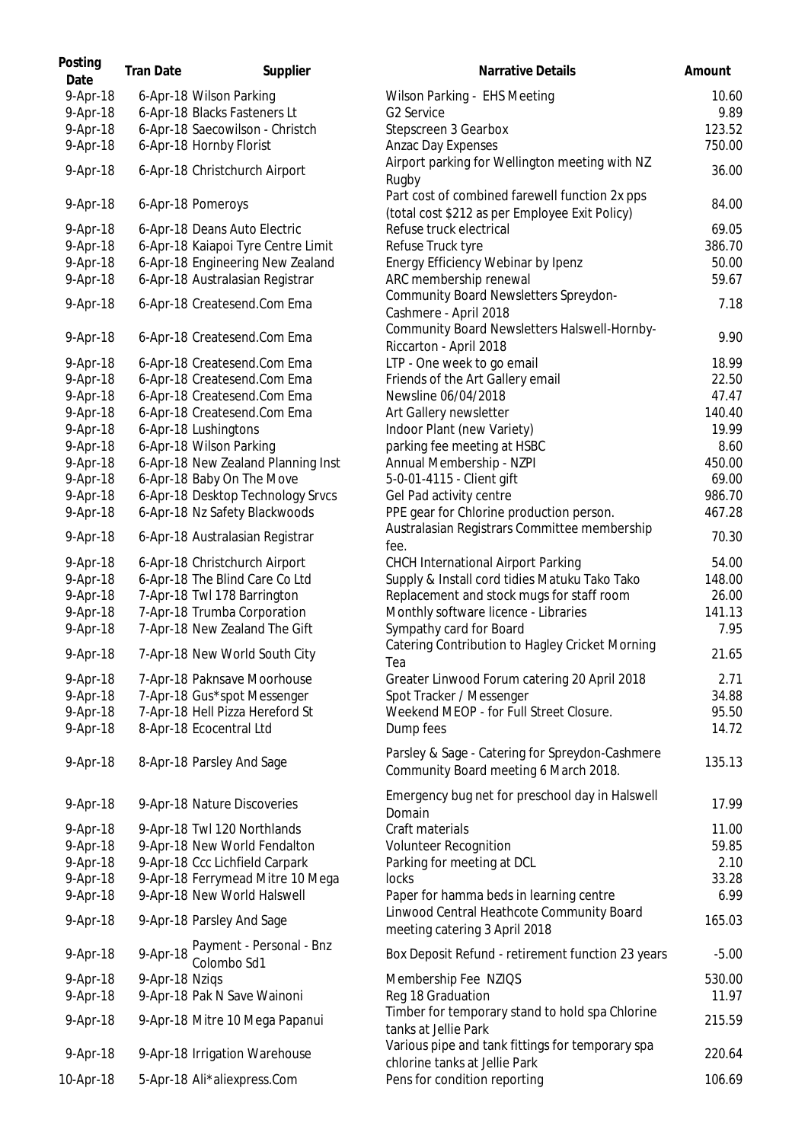| Posting<br>Date | <b>Tran Date</b> | Supplier                                         | <b>Narrative Details</b>                                                                         | Amount  |
|-----------------|------------------|--------------------------------------------------|--------------------------------------------------------------------------------------------------|---------|
| 9-Apr-18        |                  | 6-Apr-18 Wilson Parking                          | Wilson Parking - EHS Meeting                                                                     | 10.60   |
| 9-Apr-18        |                  | 6-Apr-18 Blacks Fasteners Lt                     | G2 Service                                                                                       | 9.89    |
| 9-Apr-18        |                  | 6-Apr-18 Saecowilson - Christch                  | Stepscreen 3 Gearbox                                                                             | 123.52  |
| 9-Apr-18        |                  | 6-Apr-18 Hornby Florist                          | Anzac Day Expenses                                                                               | 750.00  |
|                 |                  |                                                  | Airport parking for Wellington meeting with NZ                                                   |         |
| 9-Apr-18        |                  | 6-Apr-18 Christchurch Airport                    | Rugby                                                                                            | 36.00   |
| 9-Apr-18        |                  | 6-Apr-18 Pomeroys                                | Part cost of combined farewell function 2x pps<br>(total cost \$212 as per Employee Exit Policy) | 84.00   |
| 9-Apr-18        |                  | 6-Apr-18 Deans Auto Electric                     | Refuse truck electrical                                                                          | 69.05   |
| 9-Apr-18        |                  | 6-Apr-18 Kaiapoi Tyre Centre Limit               | Refuse Truck tyre                                                                                | 386.70  |
| 9-Apr-18        |                  | 6-Apr-18 Engineering New Zealand                 | Energy Efficiency Webinar by Ipenz                                                               | 50.00   |
| 9-Apr-18        |                  | 6-Apr-18 Australasian Registrar                  | ARC membership renewal                                                                           | 59.67   |
|                 |                  |                                                  | Community Board Newsletters Spreydon-                                                            |         |
| 9-Apr-18        |                  | 6-Apr-18 Createsend.Com Ema                      | Cashmere - April 2018                                                                            | 7.18    |
| $9-Apr-18$      |                  | 6-Apr-18 Createsend.Com Ema                      | Community Board Newsletters Halswell-Hornby-                                                     | 9.90    |
|                 |                  |                                                  | Riccarton - April 2018                                                                           |         |
| $9-Apr-18$      |                  | 6-Apr-18 Createsend.Com Ema                      | LTP - One week to go email                                                                       | 18.99   |
| $9-Apr-18$      |                  | 6-Apr-18 Createsend.Com Ema                      | Friends of the Art Gallery email                                                                 | 22.50   |
| 9-Apr-18        |                  | 6-Apr-18 Createsend.Com Ema                      | Newsline 06/04/2018                                                                              | 47.47   |
| 9-Apr-18        |                  | 6-Apr-18 Createsend.Com Ema                      | Art Gallery newsletter                                                                           | 140.40  |
| 9-Apr-18        |                  | 6-Apr-18 Lushingtons                             | Indoor Plant (new Variety)                                                                       | 19.99   |
| 9-Apr-18        |                  | 6-Apr-18 Wilson Parking                          | parking fee meeting at HSBC                                                                      | 8.60    |
| 9-Apr-18        |                  | 6-Apr-18 New Zealand Planning Inst               | Annual Membership - NZPI                                                                         | 450.00  |
| 9-Apr-18        |                  | 6-Apr-18 Baby On The Move                        | 5-0-01-4115 - Client gift                                                                        | 69.00   |
| 9-Apr-18        |                  | 6-Apr-18 Desktop Technology Srvcs                | Gel Pad activity centre                                                                          | 986.70  |
| 9-Apr-18        |                  | 6-Apr-18 Nz Safety Blackwoods                    | PPE gear for Chlorine production person.                                                         | 467.28  |
| 9-Apr-18        |                  | 6-Apr-18 Australasian Registrar                  | Australasian Registrars Committee membership                                                     | 70.30   |
|                 |                  |                                                  | fee.                                                                                             |         |
| 9-Apr-18        |                  | 6-Apr-18 Christchurch Airport                    | <b>CHCH International Airport Parking</b>                                                        | 54.00   |
| 9-Apr-18        |                  | 6-Apr-18 The Blind Care Co Ltd                   | Supply & Install cord tidies Matuku Tako Tako                                                    | 148.00  |
| 9-Apr-18        |                  | 7-Apr-18 Twl 178 Barrington                      | Replacement and stock mugs for staff room                                                        | 26.00   |
| 9-Apr-18        |                  | 7-Apr-18 Trumba Corporation                      | Monthly software licence - Libraries                                                             | 141.13  |
| 9-Apr-18        |                  | 7-Apr-18 New Zealand The Gift                    | Sympathy card for Board                                                                          | 7.95    |
| 9-Apr-18        |                  | 7-Apr-18 New World South City                    | Catering Contribution to Hagley Cricket Morning<br>Tea                                           | 21.65   |
| $9-Apr-18$      |                  | 7-Apr-18 Paknsave Moorhouse                      | Greater Linwood Forum catering 20 April 2018                                                     | 2.71    |
| $9-Apr-18$      |                  | 7-Apr-18 Gus*spot Messenger                      | Spot Tracker / Messenger                                                                         | 34.88   |
| 9-Apr-18        |                  | 7-Apr-18 Hell Pizza Hereford St                  | Weekend MEOP - for Full Street Closure.                                                          | 95.50   |
| 9-Apr-18        |                  | 8-Apr-18 Ecocentral Ltd                          | Dump fees                                                                                        | 14.72   |
| 9-Apr-18        |                  | 8-Apr-18 Parsley And Sage                        | Parsley & Sage - Catering for Spreydon-Cashmere<br>Community Board meeting 6 March 2018.         | 135.13  |
| $9-Apr-18$      |                  | 9-Apr-18 Nature Discoveries                      | Emergency bug net for preschool day in Halswell<br>Domain                                        | 17.99   |
| 9-Apr-18        |                  | 9-Apr-18 Twl 120 Northlands                      | Craft materials                                                                                  | 11.00   |
| 9-Apr-18        |                  | 9-Apr-18 New World Fendalton                     | Volunteer Recognition                                                                            | 59.85   |
| 9-Apr-18        |                  | 9-Apr-18 Ccc Lichfield Carpark                   | Parking for meeting at DCL                                                                       | 2.10    |
| 9-Apr-18        |                  | 9-Apr-18 Ferrymead Mitre 10 Mega                 | locks                                                                                            | 33.28   |
| 9-Apr-18        |                  | 9-Apr-18 New World Halswell                      | Paper for hamma beds in learning centre                                                          | 6.99    |
|                 |                  |                                                  | Linwood Central Heathcote Community Board                                                        |         |
| 9-Apr-18        |                  | 9-Apr-18 Parsley And Sage                        | meeting catering 3 April 2018                                                                    | 165.03  |
| 9-Apr-18        |                  | 9-Apr-18 Payment - Personal - Bnz<br>Colombo Sd1 | Box Deposit Refund - retirement function 23 years                                                | $-5.00$ |
| 9-Apr-18        | 9-Apr-18 Nziqs   |                                                  | Membership Fee NZIQS                                                                             | 530.00  |
| 9-Apr-18        |                  | 9-Apr-18 Pak N Save Wainoni                      | Reg 18 Graduation                                                                                | 11.97   |
|                 |                  |                                                  | Timber for temporary stand to hold spa Chlorine                                                  |         |
| 9-Apr-18        |                  | 9-Apr-18 Mitre 10 Mega Papanui                   | tanks at Jellie Park                                                                             | 215.59  |
| 9-Apr-18        |                  | 9-Apr-18 Irrigation Warehouse                    | Various pipe and tank fittings for temporary spa<br>chlorine tanks at Jellie Park                | 220.64  |
| 10-Apr-18       |                  | 5-Apr-18 Ali*aliexpress.Com                      | Pens for condition reporting                                                                     | 106.69  |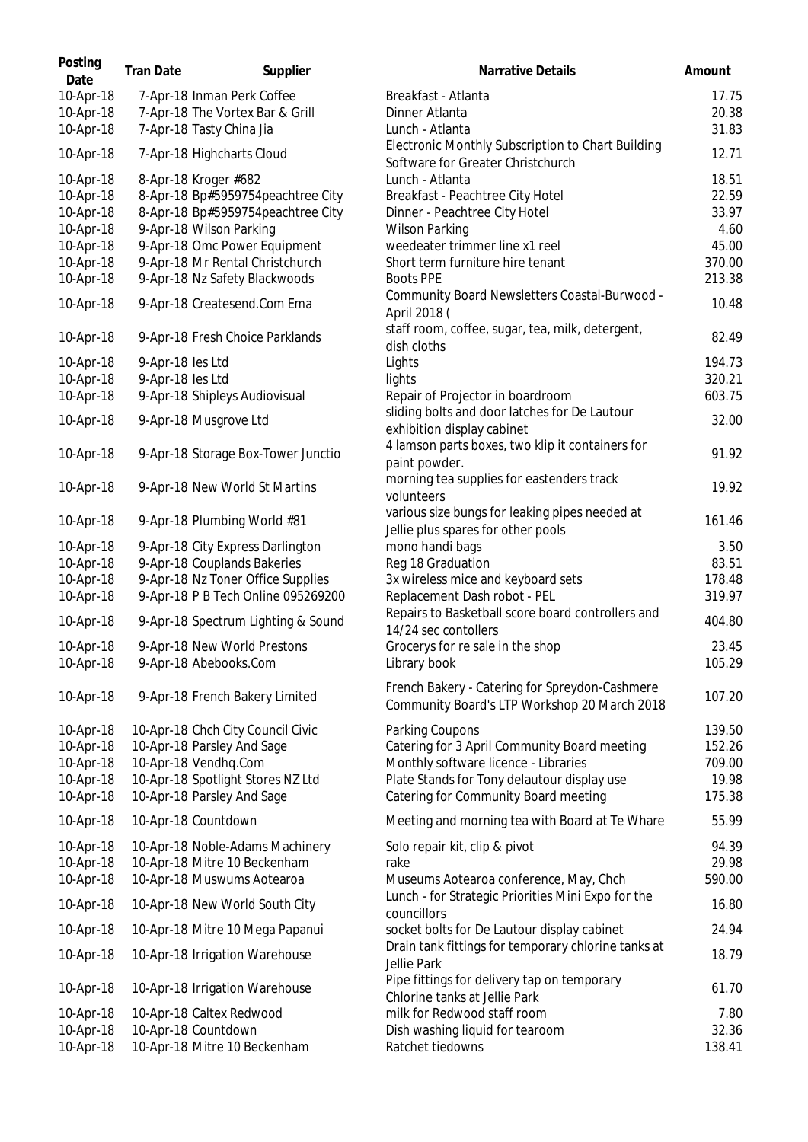| Posting<br>Date | <b>Tran Date</b> | Supplier                           | <b>Narrative Details</b>                                                                       | Amount |
|-----------------|------------------|------------------------------------|------------------------------------------------------------------------------------------------|--------|
| 10-Apr-18       |                  | 7-Apr-18 Inman Perk Coffee         | Breakfast - Atlanta                                                                            | 17.75  |
| 10-Apr-18       |                  | 7-Apr-18 The Vortex Bar & Grill    | Dinner Atlanta                                                                                 | 20.38  |
| 10-Apr-18       |                  | 7-Apr-18 Tasty China Jia           | Lunch - Atlanta                                                                                | 31.83  |
| 10-Apr-18       |                  | 7-Apr-18 Highcharts Cloud          | Electronic Monthly Subscription to Chart Building<br>Software for Greater Christchurch         | 12.71  |
| 10-Apr-18       |                  | 8-Apr-18 Kroger #682               | Lunch - Atlanta                                                                                | 18.51  |
| 10-Apr-18       |                  | 8-Apr-18 Bp#5959754peachtree City  | Breakfast - Peachtree City Hotel                                                               | 22.59  |
| 10-Apr-18       |                  | 8-Apr-18 Bp#5959754peachtree City  | Dinner - Peachtree City Hotel                                                                  | 33.97  |
| 10-Apr-18       |                  | 9-Apr-18 Wilson Parking            | <b>Wilson Parking</b>                                                                          | 4.60   |
| 10-Apr-18       |                  | 9-Apr-18 Omc Power Equipment       | weedeater trimmer line x1 reel                                                                 | 45.00  |
| 10-Apr-18       |                  | 9-Apr-18 Mr Rental Christchurch    | Short term furniture hire tenant                                                               | 370.00 |
| 10-Apr-18       |                  | 9-Apr-18 Nz Safety Blackwoods      | <b>Boots PPE</b>                                                                               | 213.38 |
| 10-Apr-18       |                  | 9-Apr-18 Createsend.Com Ema        | Community Board Newsletters Coastal-Burwood -<br>April 2018 (                                  | 10.48  |
| 10-Apr-18       |                  | 9-Apr-18 Fresh Choice Parklands    | staff room, coffee, sugar, tea, milk, detergent,<br>dish cloths                                | 82.49  |
| 10-Apr-18       | 9-Apr-18 les Ltd |                                    | Lights                                                                                         | 194.73 |
| 10-Apr-18       | 9-Apr-18 les Ltd |                                    | lights                                                                                         | 320.21 |
| 10-Apr-18       |                  | 9-Apr-18 Shipleys Audiovisual      | Repair of Projector in boardroom                                                               | 603.75 |
|                 |                  |                                    | sliding bolts and door latches for De Lautour                                                  |        |
| 10-Apr-18       |                  | 9-Apr-18 Musgrove Ltd              | exhibition display cabinet<br>4 lamson parts boxes, two klip it containers for                 | 32.00  |
| 10-Apr-18       |                  | 9-Apr-18 Storage Box-Tower Junctio | paint powder.                                                                                  | 91.92  |
| 10-Apr-18       |                  | 9-Apr-18 New World St Martins      | morning tea supplies for eastenders track<br>volunteers                                        | 19.92  |
| 10-Apr-18       |                  | 9-Apr-18 Plumbing World #81        | various size bungs for leaking pipes needed at<br>Jellie plus spares for other pools           | 161.46 |
| 10-Apr-18       |                  | 9-Apr-18 City Express Darlington   | mono handi bags                                                                                | 3.50   |
| 10-Apr-18       |                  | 9-Apr-18 Couplands Bakeries        | Reg 18 Graduation                                                                              | 83.51  |
| 10-Apr-18       |                  | 9-Apr-18 Nz Toner Office Supplies  | 3x wireless mice and keyboard sets                                                             | 178.48 |
| 10-Apr-18       |                  | 9-Apr-18 P B Tech Online 095269200 | Replacement Dash robot - PEL                                                                   | 319.97 |
| 10-Apr-18       |                  | 9-Apr-18 Spectrum Lighting & Sound | Repairs to Basketball score board controllers and<br>14/24 sec contollers                      | 404.80 |
| 10-Apr-18       |                  | 9-Apr-18 New World Prestons        | Grocerys for re sale in the shop                                                               | 23.45  |
| 10-Apr-18       |                  | 9-Apr-18 Abebooks.Com              | Library book                                                                                   | 105.29 |
| 10-Apr-18       |                  | 9-Apr-18 French Bakery Limited     | French Bakery - Catering for Spreydon-Cashmere<br>Community Board's LTP Workshop 20 March 2018 | 107.20 |
| 10-Apr-18       |                  | 10-Apr-18 Chch City Council Civic  | Parking Coupons                                                                                | 139.50 |
| 10-Apr-18       |                  | 10-Apr-18 Parsley And Sage         | Catering for 3 April Community Board meeting                                                   | 152.26 |
| 10-Apr-18       |                  | 10-Apr-18 Vendhq.Com               | Monthly software licence - Libraries                                                           | 709.00 |
| 10-Apr-18       |                  | 10-Apr-18 Spotlight Stores NZ Ltd  | Plate Stands for Tony delautour display use                                                    | 19.98  |
| 10-Apr-18       |                  | 10-Apr-18 Parsley And Sage         | Catering for Community Board meeting                                                           | 175.38 |
| 10-Apr-18       |                  | 10-Apr-18 Countdown                | Meeting and morning tea with Board at Te Whare                                                 | 55.99  |
| 10-Apr-18       |                  | 10-Apr-18 Noble-Adams Machinery    | Solo repair kit, clip & pivot                                                                  | 94.39  |
| 10-Apr-18       |                  | 10-Apr-18 Mitre 10 Beckenham       | rake                                                                                           | 29.98  |
| 10-Apr-18       |                  | 10-Apr-18 Muswums Aotearoa         | Museums Aotearoa conference, May, Chch                                                         | 590.00 |
| 10-Apr-18       |                  | 10-Apr-18 New World South City     | Lunch - for Strategic Priorities Mini Expo for the<br>councillors                              | 16.80  |
| 10-Apr-18       |                  | 10-Apr-18 Mitre 10 Mega Papanui    | socket bolts for De Lautour display cabinet                                                    | 24.94  |
| 10-Apr-18       |                  | 10-Apr-18 Irrigation Warehouse     | Drain tank fittings for temporary chlorine tanks at<br>Jellie Park                             | 18.79  |
| 10-Apr-18       |                  | 10-Apr-18 Irrigation Warehouse     | Pipe fittings for delivery tap on temporary<br>Chlorine tanks at Jellie Park                   | 61.70  |
| 10-Apr-18       |                  | 10-Apr-18 Caltex Redwood           | milk for Redwood staff room                                                                    | 7.80   |
| 10-Apr-18       |                  | 10-Apr-18 Countdown                | Dish washing liquid for tearoom                                                                | 32.36  |
| 10-Apr-18       |                  | 10-Apr-18 Mitre 10 Beckenham       | Ratchet tiedowns                                                                               | 138.41 |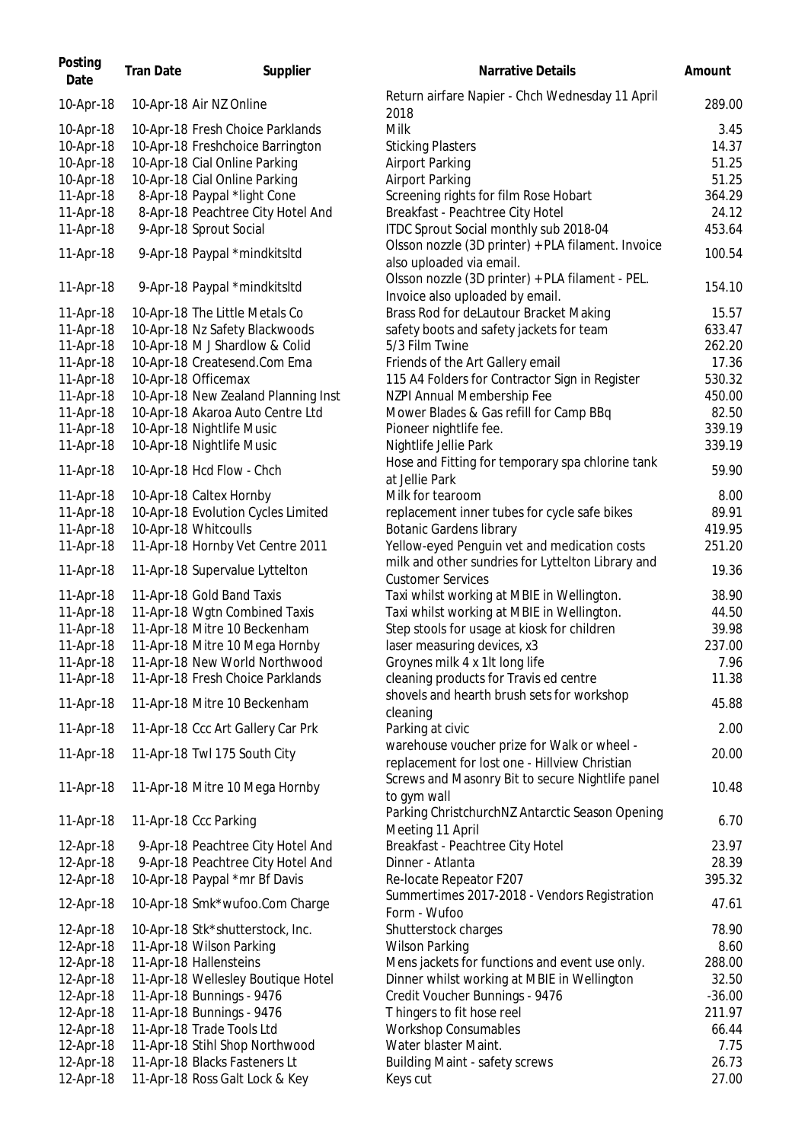| Posting<br>Date | <b>Tran Date</b> | Supplier                            | <b>Narrative Details</b>                                                                     | Amount   |
|-----------------|------------------|-------------------------------------|----------------------------------------------------------------------------------------------|----------|
| 10-Apr-18       |                  | 10-Apr-18 Air NZ Online             | Return airfare Napier - Chch Wednesday 11 April<br>2018                                      | 289.00   |
| 10-Apr-18       |                  | 10-Apr-18 Fresh Choice Parklands    | Milk                                                                                         | 3.45     |
| 10-Apr-18       |                  | 10-Apr-18 Freshchoice Barrington    | <b>Sticking Plasters</b>                                                                     | 14.37    |
| 10-Apr-18       |                  | 10-Apr-18 Cial Online Parking       | <b>Airport Parking</b>                                                                       | 51.25    |
| 10-Apr-18       |                  | 10-Apr-18 Cial Online Parking       | <b>Airport Parking</b>                                                                       | 51.25    |
| 11-Apr-18       |                  | 8-Apr-18 Paypal *light Cone         | Screening rights for film Rose Hobart                                                        | 364.29   |
| 11-Apr-18       |                  | 8-Apr-18 Peachtree City Hotel And   | Breakfast - Peachtree City Hotel                                                             | 24.12    |
| 11-Apr-18       |                  | 9-Apr-18 Sprout Social              | ITDC Sprout Social monthly sub 2018-04<br>Olsson nozzle (3D printer) + PLA filament. Invoice | 453.64   |
| 11-Apr-18       |                  | 9-Apr-18 Paypal *mindkitsltd        | also uploaded via email.                                                                     | 100.54   |
| 11-Apr-18       |                  | 9-Apr-18 Paypal *mindkitsltd        | Olsson nozzle (3D printer) + PLA filament - PEL.<br>Invoice also uploaded by email.          | 154.10   |
| 11-Apr-18       |                  | 10-Apr-18 The Little Metals Co      | Brass Rod for deLautour Bracket Making                                                       | 15.57    |
| 11-Apr-18       |                  | 10-Apr-18 Nz Safety Blackwoods      | safety boots and safety jackets for team                                                     | 633.47   |
| 11-Apr-18       |                  | 10-Apr-18 M J Shardlow & Colid      | 5/3 Film Twine                                                                               | 262.20   |
| 11-Apr-18       |                  | 10-Apr-18 Createsend.Com Ema        | Friends of the Art Gallery email                                                             | 17.36    |
| 11-Apr-18       |                  | 10-Apr-18 Officemax                 | 115 A4 Folders for Contractor Sign in Register                                               | 530.32   |
| 11-Apr-18       |                  | 10-Apr-18 New Zealand Planning Inst | NZPI Annual Membership Fee                                                                   | 450.00   |
| 11-Apr-18       |                  | 10-Apr-18 Akaroa Auto Centre Ltd    | Mower Blades & Gas refill for Camp BBq                                                       | 82.50    |
| 11-Apr-18       |                  | 10-Apr-18 Nightlife Music           | Pioneer nightlife fee.                                                                       | 339.19   |
| 11-Apr-18       |                  | 10-Apr-18 Nightlife Music           | Nightlife Jellie Park                                                                        | 339.19   |
| 11-Apr-18       |                  | 10-Apr-18 Hcd Flow - Chch           | Hose and Fitting for temporary spa chlorine tank                                             | 59.90    |
|                 |                  |                                     | at Jellie Park                                                                               |          |
| 11-Apr-18       |                  | 10-Apr-18 Caltex Hornby             | Milk for tearoom                                                                             | 8.00     |
| 11-Apr-18       |                  | 10-Apr-18 Evolution Cycles Limited  | replacement inner tubes for cycle safe bikes                                                 | 89.91    |
| 11-Apr-18       |                  | 10-Apr-18 Whitcoulls                | <b>Botanic Gardens library</b>                                                               | 419.95   |
| 11-Apr-18       |                  | 11-Apr-18 Hornby Vet Centre 2011    | Yellow-eyed Penguin vet and medication costs                                                 | 251.20   |
| 11-Apr-18       |                  | 11-Apr-18 Supervalue Lyttelton      | milk and other sundries for Lyttelton Library and<br><b>Customer Services</b>                | 19.36    |
| 11-Apr-18       |                  | 11-Apr-18 Gold Band Taxis           | Taxi whilst working at MBIE in Wellington.                                                   | 38.90    |
| 11-Apr-18       |                  | 11-Apr-18 Wgtn Combined Taxis       | Taxi whilst working at MBIE in Wellington.                                                   | 44.50    |
| 11-Apr-18       |                  | 11-Apr-18 Mitre 10 Beckenham        | Step stools for usage at kiosk for children                                                  | 39.98    |
| 11-Apr-18       |                  | 11-Apr-18 Mitre 10 Mega Hornby      | laser measuring devices, x3                                                                  | 237.00   |
| 11-Apr-18       |                  | 11-Apr-18 New World Northwood       | Groynes milk 4 x 1lt long life                                                               | 7.96     |
| 11-Apr-18       |                  | 11-Apr-18 Fresh Choice Parklands    | cleaning products for Travis ed centre<br>shovels and hearth brush sets for workshop         | 11.38    |
| 11-Apr-18       |                  | 11-Apr-18 Mitre 10 Beckenham        | cleaning                                                                                     | 45.88    |
| 11-Apr-18       |                  | 11-Apr-18 Ccc Art Gallery Car Prk   | Parking at civic                                                                             | 2.00     |
| 11-Apr-18       |                  | 11-Apr-18 Twl 175 South City        | warehouse voucher prize for Walk or wheel -<br>replacement for lost one - Hillview Christian | 20.00    |
| 11-Apr-18       |                  | 11-Apr-18 Mitre 10 Mega Hornby      | Screws and Masonry Bit to secure Nightlife panel                                             | 10.48    |
|                 |                  |                                     | to gym wall<br>Parking ChristchurchNZ Antarctic Season Opening                               |          |
| 11-Apr-18       |                  | 11-Apr-18 Ccc Parking               | Meeting 11 April                                                                             | 6.70     |
| 12-Apr-18       |                  | 9-Apr-18 Peachtree City Hotel And   | Breakfast - Peachtree City Hotel                                                             | 23.97    |
| 12-Apr-18       |                  | 9-Apr-18 Peachtree City Hotel And   | Dinner - Atlanta                                                                             | 28.39    |
| 12-Apr-18       |                  | 10-Apr-18 Paypal *mr Bf Davis       | Re-locate Repeator F207<br>Summertimes 2017-2018 - Vendors Registration                      | 395.32   |
| 12-Apr-18       |                  | 10-Apr-18 Smk*wufoo.Com Charge      | Form - Wufoo                                                                                 | 47.61    |
| 12-Apr-18       |                  | 10-Apr-18 Stk*shutterstock, Inc.    | Shutterstock charges                                                                         | 78.90    |
| 12-Apr-18       |                  | 11-Apr-18 Wilson Parking            | <b>Wilson Parking</b>                                                                        | 8.60     |
| 12-Apr-18       |                  | 11-Apr-18 Hallensteins              | Mens jackets for functions and event use only.                                               | 288.00   |
| 12-Apr-18       |                  | 11-Apr-18 Wellesley Boutique Hotel  | Dinner whilst working at MBIE in Wellington                                                  | 32.50    |
| 12-Apr-18       |                  | 11-Apr-18 Bunnings - 9476           | Credit Voucher Bunnings - 9476                                                               | $-36.00$ |
| 12-Apr-18       |                  | 11-Apr-18 Bunnings - 9476           | T hingers to fit hose reel                                                                   | 211.97   |
| 12-Apr-18       |                  | 11-Apr-18 Trade Tools Ltd           | <b>Workshop Consumables</b>                                                                  | 66.44    |
| 12-Apr-18       |                  | 11-Apr-18 Stihl Shop Northwood      | Water blaster Maint.                                                                         | 7.75     |
| 12-Apr-18       |                  | 11-Apr-18 Blacks Fasteners Lt       | <b>Building Maint - safety screws</b>                                                        | 26.73    |
| 12-Apr-18       |                  | 11-Apr-18 Ross Galt Lock & Key      | Keys cut                                                                                     | 27.00    |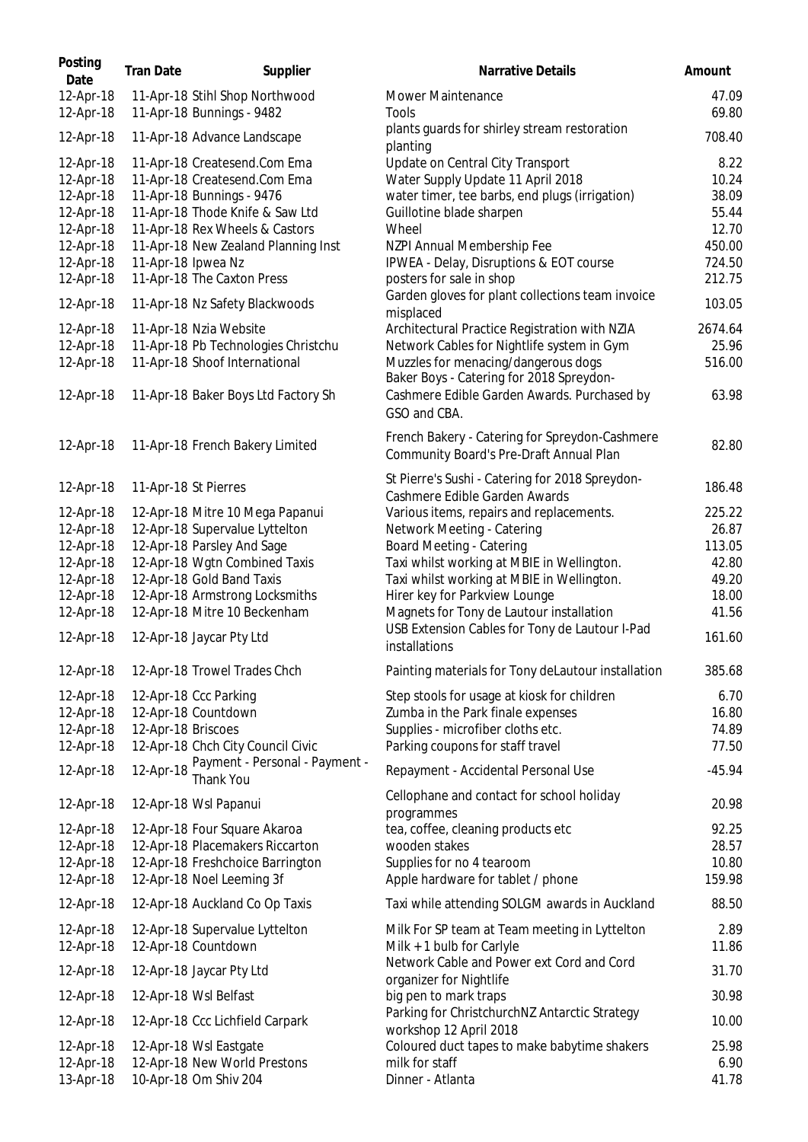| Posting<br>Date        | <b>Tran Date</b>   | Supplier                                                    | <b>Narrative Details</b>                                                                  | Amount         |
|------------------------|--------------------|-------------------------------------------------------------|-------------------------------------------------------------------------------------------|----------------|
| 12-Apr-18<br>12-Apr-18 |                    | 11-Apr-18 Stihl Shop Northwood<br>11-Apr-18 Bunnings - 9482 | <b>Mower Maintenance</b><br>Tools                                                         | 47.09<br>69.80 |
| 12-Apr-18              |                    | 11-Apr-18 Advance Landscape                                 | plants guards for shirley stream restoration<br>planting                                  | 708.40         |
| 12-Apr-18              |                    | 11-Apr-18 Createsend.Com Ema                                | Update on Central City Transport                                                          | 8.22           |
| 12-Apr-18              |                    | 11-Apr-18 Createsend.Com Ema                                | Water Supply Update 11 April 2018                                                         | 10.24          |
| 12-Apr-18              |                    | 11-Apr-18 Bunnings - 9476                                   | water timer, tee barbs, end plugs (irrigation)                                            | 38.09          |
| 12-Apr-18              |                    | 11-Apr-18 Thode Knife & Saw Ltd                             | Guillotine blade sharpen                                                                  | 55.44          |
| 12-Apr-18              |                    | 11-Apr-18 Rex Wheels & Castors                              | Wheel                                                                                     | 12.70          |
| 12-Apr-18              |                    | 11-Apr-18 New Zealand Planning Inst                         | NZPI Annual Membership Fee                                                                | 450.00         |
| 12-Apr-18              | 11-Apr-18 Ipwea Nz |                                                             | IPWEA - Delay, Disruptions & EOT course                                                   | 724.50         |
| 12-Apr-18              |                    | 11-Apr-18 The Caxton Press                                  | posters for sale in shop                                                                  | 212.75         |
| 12-Apr-18              |                    | 11-Apr-18 Nz Safety Blackwoods                              | Garden gloves for plant collections team invoice<br>misplaced                             | 103.05         |
| 12-Apr-18              |                    | 11-Apr-18 Nzia Website                                      | Architectural Practice Registration with NZIA                                             | 2674.64        |
| 12-Apr-18              |                    | 11-Apr-18 Pb Technologies Christchu                         | Network Cables for Nightlife system in Gym                                                | 25.96          |
| 12-Apr-18              |                    | 11-Apr-18 Shoof International                               | Muzzles for menacing/dangerous dogs<br>Baker Boys - Catering for 2018 Spreydon-           | 516.00         |
| 12-Apr-18              |                    | 11-Apr-18 Baker Boys Ltd Factory Sh                         | Cashmere Edible Garden Awards. Purchased by<br>GSO and CBA.                               | 63.98          |
| 12-Apr-18              |                    | 11-Apr-18 French Bakery Limited                             | French Bakery - Catering for Spreydon-Cashmere<br>Community Board's Pre-Draft Annual Plan | 82.80          |
| 12-Apr-18              |                    | 11-Apr-18 St Pierres                                        | St Pierre's Sushi - Catering for 2018 Spreydon-<br>Cashmere Edible Garden Awards          | 186.48         |
| 12-Apr-18              |                    | 12-Apr-18 Mitre 10 Mega Papanui                             | Various items, repairs and replacements.                                                  | 225.22         |
| 12-Apr-18              |                    | 12-Apr-18 Supervalue Lyttelton                              | Network Meeting - Catering                                                                | 26.87          |
| 12-Apr-18              |                    | 12-Apr-18 Parsley And Sage                                  | <b>Board Meeting - Catering</b>                                                           | 113.05         |
| 12-Apr-18              |                    | 12-Apr-18 Wgtn Combined Taxis                               | Taxi whilst working at MBIE in Wellington.                                                | 42.80          |
| 12-Apr-18              |                    | 12-Apr-18 Gold Band Taxis                                   | Taxi whilst working at MBIE in Wellington.                                                | 49.20          |
| 12-Apr-18              |                    | 12-Apr-18 Armstrong Locksmiths                              | Hirer key for Parkview Lounge                                                             | 18.00          |
| 12-Apr-18              |                    | 12-Apr-18 Mitre 10 Beckenham                                | Magnets for Tony de Lautour installation                                                  | 41.56          |
| 12-Apr-18              |                    | 12-Apr-18 Jaycar Pty Ltd                                    | USB Extension Cables for Tony de Lautour I-Pad<br>installations                           | 161.60         |
| 12-Apr-18              |                    | 12-Apr-18 Trowel Trades Chch                                | Painting materials for Tony deLautour installation                                        | 385.68         |
| 12-Apr-18              |                    | 12-Apr-18 Ccc Parking                                       | Step stools for usage at kiosk for children                                               | 6.70           |
| 12-Apr-18              |                    | 12-Apr-18 Countdown                                         | Zumba in the Park finale expenses                                                         | 16.80          |
| 12-Apr-18              | 12-Apr-18 Briscoes |                                                             | Supplies - microfiber cloths etc.                                                         | 74.89          |
| 12-Apr-18              |                    | 12-Apr-18 Chch City Council Civic                           | Parking coupons for staff travel                                                          | 77.50          |
| 12-Apr-18              | 12-Apr-18          | Payment - Personal - Payment -<br>Thank You                 | Repayment - Accidental Personal Use                                                       | $-45.94$       |
| 12-Apr-18              |                    | 12-Apr-18 Wsl Papanui                                       | Cellophane and contact for school holiday<br>programmes                                   | 20.98          |
| 12-Apr-18              |                    | 12-Apr-18 Four Square Akaroa                                | tea, coffee, cleaning products etc                                                        | 92.25          |
| 12-Apr-18              |                    | 12-Apr-18 Placemakers Riccarton                             | wooden stakes                                                                             | 28.57          |
| 12-Apr-18              |                    | 12-Apr-18 Freshchoice Barrington                            | Supplies for no 4 tearoom                                                                 | 10.80          |
| 12-Apr-18              |                    | 12-Apr-18 Noel Leeming 3f                                   | Apple hardware for tablet / phone                                                         | 159.98         |
| 12-Apr-18              |                    | 12-Apr-18 Auckland Co Op Taxis                              | Taxi while attending SOLGM awards in Auckland                                             | 88.50          |
| 12-Apr-18              |                    | 12-Apr-18 Supervalue Lyttelton                              | Milk For SP team at Team meeting in Lyttelton                                             | 2.89           |
| 12-Apr-18              |                    | 12-Apr-18 Countdown                                         | Milk $+$ 1 bulb for Carlyle                                                               | 11.86          |
| 12-Apr-18              |                    | 12-Apr-18 Jaycar Pty Ltd                                    | Network Cable and Power ext Cord and Cord<br>organizer for Nightlife                      | 31.70          |
| 12-Apr-18              |                    | 12-Apr-18 Wsl Belfast                                       | big pen to mark traps                                                                     | 30.98          |
| 12-Apr-18              |                    | 12-Apr-18 Ccc Lichfield Carpark                             | Parking for ChristchurchNZ Antarctic Strategy<br>workshop 12 April 2018                   | 10.00          |
| 12-Apr-18              |                    | 12-Apr-18 Wsl Eastgate                                      | Coloured duct tapes to make babytime shakers                                              | 25.98          |
| 12-Apr-18              |                    | 12-Apr-18 New World Prestons                                | milk for staff                                                                            | 6.90           |
| 13-Apr-18              |                    | 10-Apr-18 Om Shiv 204                                       | Dinner - Atlanta                                                                          | 41.78          |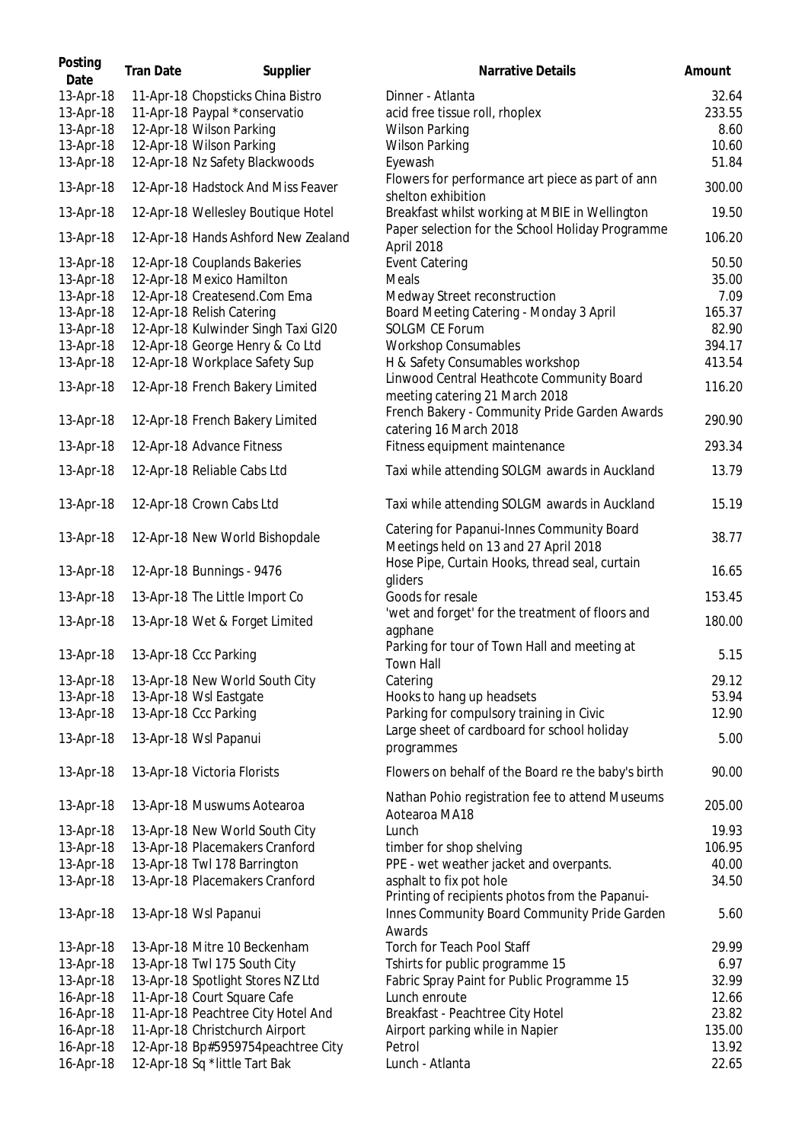| Posting<br>Date | <b>Tran Date</b> | Supplier                            | Narrative Details                                                                                  | Amount |
|-----------------|------------------|-------------------------------------|----------------------------------------------------------------------------------------------------|--------|
| 13-Apr-18       |                  | 11-Apr-18 Chopsticks China Bistro   | Dinner - Atlanta                                                                                   | 32.64  |
| 13-Apr-18       |                  | 11-Apr-18 Paypal *conservatio       | acid free tissue roll, rhoplex                                                                     | 233.55 |
| 13-Apr-18       |                  | 12-Apr-18 Wilson Parking            | <b>Wilson Parking</b>                                                                              | 8.60   |
| 13-Apr-18       |                  | 12-Apr-18 Wilson Parking            | <b>Wilson Parking</b>                                                                              | 10.60  |
| 13-Apr-18       |                  | 12-Apr-18 Nz Safety Blackwoods      | Eyewash                                                                                            | 51.84  |
|                 |                  |                                     | Flowers for performance art piece as part of ann                                                   |        |
| 13-Apr-18       |                  | 12-Apr-18 Hadstock And Miss Feaver  | shelton exhibition                                                                                 | 300.00 |
| 13-Apr-18       |                  | 12-Apr-18 Wellesley Boutique Hotel  | Breakfast whilst working at MBIE in Wellington<br>Paper selection for the School Holiday Programme | 19.50  |
| 13-Apr-18       |                  | 12-Apr-18 Hands Ashford New Zealand | April 2018                                                                                         | 106.20 |
| 13-Apr-18       |                  | 12-Apr-18 Couplands Bakeries        | <b>Event Catering</b>                                                                              | 50.50  |
| 13-Apr-18       |                  | 12-Apr-18 Mexico Hamilton           | Meals                                                                                              | 35.00  |
| 13-Apr-18       |                  | 12-Apr-18 Createsend.Com Ema        | Medway Street reconstruction                                                                       | 7.09   |
| 13-Apr-18       |                  | 12-Apr-18 Relish Catering           | Board Meeting Catering - Monday 3 April                                                            | 165.37 |
| 13-Apr-18       |                  | 12-Apr-18 Kulwinder Singh Taxi GI20 | <b>SOLGM CE Forum</b>                                                                              | 82.90  |
| 13-Apr-18       |                  | 12-Apr-18 George Henry & Co Ltd     | <b>Workshop Consumables</b>                                                                        | 394.17 |
| 13-Apr-18       |                  | 12-Apr-18 Workplace Safety Sup      | H & Safety Consumables workshop                                                                    | 413.54 |
| 13-Apr-18       |                  | 12-Apr-18 French Bakery Limited     | Linwood Central Heathcote Community Board                                                          | 116.20 |
|                 |                  |                                     | meeting catering 21 March 2018                                                                     |        |
| 13-Apr-18       |                  | 12-Apr-18 French Bakery Limited     | French Bakery - Community Pride Garden Awards<br>catering 16 March 2018                            | 290.90 |
| 13-Apr-18       |                  | 12-Apr-18 Advance Fitness           | Fitness equipment maintenance                                                                      | 293.34 |
| 13-Apr-18       |                  | 12-Apr-18 Reliable Cabs Ltd         | Taxi while attending SOLGM awards in Auckland                                                      | 13.79  |
| 13-Apr-18       |                  | 12-Apr-18 Crown Cabs Ltd            | Taxi while attending SOLGM awards in Auckland                                                      | 15.19  |
| 13-Apr-18       |                  | 12-Apr-18 New World Bishopdale      | Catering for Papanui-Innes Community Board<br>Meetings held on 13 and 27 April 2018                | 38.77  |
| 13-Apr-18       |                  | 12-Apr-18 Bunnings - 9476           | Hose Pipe, Curtain Hooks, thread seal, curtain<br>gliders                                          | 16.65  |
| 13-Apr-18       |                  | 13-Apr-18 The Little Import Co      | Goods for resale                                                                                   | 153.45 |
| 13-Apr-18       |                  | 13-Apr-18 Wet & Forget Limited      | 'wet and forget' for the treatment of floors and<br>agphane                                        | 180.00 |
| 13-Apr-18       |                  | 13-Apr-18 Ccc Parking               | Parking for tour of Town Hall and meeting at<br>Town Hall                                          | 5.15   |
| 13-Apr-18       |                  | 13-Apr-18 New World South City      | Catering                                                                                           | 29.12  |
|                 |                  |                                     |                                                                                                    |        |
| 13-Apr-18       |                  | 13-Apr-18 Wsl Eastgate              | Hooks to hang up headsets                                                                          | 53.94  |
| 13-Apr-18       |                  | 13-Apr-18 Ccc Parking               | Parking for compulsory training in Civic                                                           | 12.90  |
| 13-Apr-18       |                  | 13-Apr-18 Wsl Papanui               | Large sheet of cardboard for school holiday<br>programmes                                          | 5.00   |
| 13-Apr-18       |                  | 13-Apr-18 Victoria Florists         | Flowers on behalf of the Board re the baby's birth                                                 | 90.00  |
| 13-Apr-18       |                  | 13-Apr-18 Muswums Aotearoa          | Nathan Pohio registration fee to attend Museums                                                    | 205.00 |
| 13-Apr-18       |                  | 13-Apr-18 New World South City      | Aotearoa MA18<br>Lunch                                                                             | 19.93  |
| 13-Apr-18       |                  | 13-Apr-18 Placemakers Cranford      |                                                                                                    | 106.95 |
|                 |                  |                                     | timber for shop shelving                                                                           |        |
| 13-Apr-18       |                  | 13-Apr-18 Twl 178 Barrington        | PPE - wet weather jacket and overpants.                                                            | 40.00  |
| 13-Apr-18       |                  | 13-Apr-18 Placemakers Cranford      | asphalt to fix pot hole<br>Printing of recipients photos from the Papanui-                         | 34.50  |
| 13-Apr-18       |                  | 13-Apr-18 Wsl Papanui               | Innes Community Board Community Pride Garden<br>Awards                                             | 5.60   |
| 13-Apr-18       |                  | 13-Apr-18 Mitre 10 Beckenham        | Torch for Teach Pool Staff                                                                         | 29.99  |
| 13-Apr-18       |                  | 13-Apr-18 Twl 175 South City        | Tshirts for public programme 15                                                                    | 6.97   |
| 13-Apr-18       |                  | 13-Apr-18 Spotlight Stores NZ Ltd   | Fabric Spray Paint for Public Programme 15                                                         | 32.99  |
| 16-Apr-18       |                  | 11-Apr-18 Court Square Cafe         | Lunch enroute                                                                                      | 12.66  |
| 16-Apr-18       |                  | 11-Apr-18 Peachtree City Hotel And  | Breakfast - Peachtree City Hotel                                                                   | 23.82  |
|                 |                  |                                     |                                                                                                    |        |
| 16-Apr-18       |                  | 11-Apr-18 Christchurch Airport      | Airport parking while in Napier                                                                    | 135.00 |
| 16-Apr-18       |                  | 12-Apr-18 Bp#5959754peachtree City  | Petrol                                                                                             | 13.92  |
| 16-Apr-18       |                  | 12-Apr-18 Sq *little Tart Bak       | Lunch - Atlanta                                                                                    | 22.65  |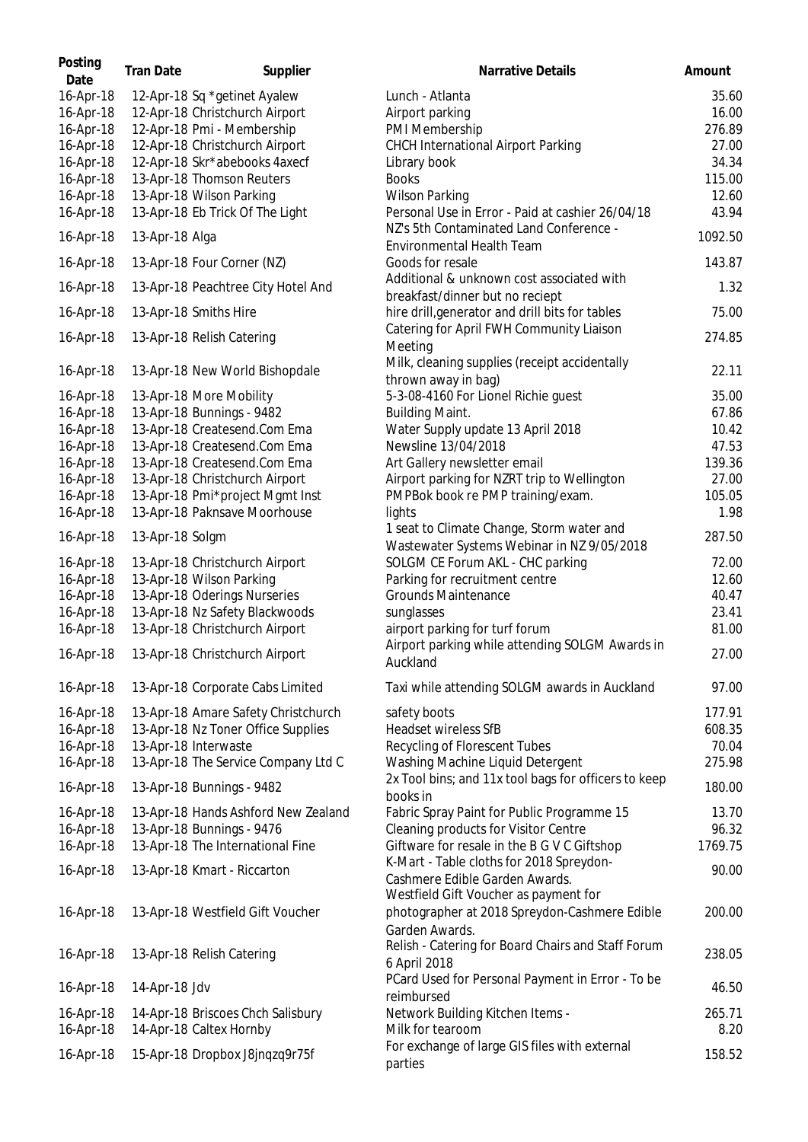| Posting<br>Date | <b>Tran Date</b> | Supplier                            | Narrative Details                                                                           | Amount  |
|-----------------|------------------|-------------------------------------|---------------------------------------------------------------------------------------------|---------|
| 16-Apr-18       |                  | 12-Apr-18 Sq *getinet Ayalew        | Lunch - Atlanta                                                                             | 35.60   |
| 16-Apr-18       |                  | 12-Apr-18 Christchurch Airport      | Airport parking                                                                             | 16.00   |
| 16-Apr-18       |                  | 12-Apr-18 Pmi - Membership          | PMI Membership                                                                              | 276.89  |
| 16-Apr-18       |                  | 12-Apr-18 Christchurch Airport      | <b>CHCH International Airport Parking</b>                                                   | 27.00   |
| 16-Apr-18       |                  | 12-Apr-18 Skr*abebooks 4axecf       | Library book                                                                                | 34.34   |
| 16-Apr-18       |                  | 13-Apr-18 Thomson Reuters           | <b>Books</b>                                                                                | 115.00  |
| 16-Apr-18       |                  | 13-Apr-18 Wilson Parking            | <b>Wilson Parking</b>                                                                       | 12.60   |
| 16-Apr-18       |                  | 13-Apr-18 Eb Trick Of The Light     | Personal Use in Error - Paid at cashier 26/04/18                                            | 43.94   |
| 16-Apr-18       | 13-Apr-18 Alga   |                                     | NZ's 5th Contaminated Land Conference -<br>Environmental Health Team                        | 1092.50 |
| 16-Apr-18       |                  | 13-Apr-18 Four Corner (NZ)          | Goods for resale                                                                            | 143.87  |
| 16-Apr-18       |                  | 13-Apr-18 Peachtree City Hotel And  | Additional & unknown cost associated with<br>breakfast/dinner but no reciept                | 1.32    |
| 16-Apr-18       |                  | 13-Apr-18 Smiths Hire               | hire drill, generator and drill bits for tables<br>Catering for April FWH Community Liaison | 75.00   |
| 16-Apr-18       |                  | 13-Apr-18 Relish Catering           | Meeting                                                                                     | 274.85  |
| 16-Apr-18       |                  | 13-Apr-18 New World Bishopdale      | Milk, cleaning supplies (receipt accidentally<br>thrown away in bag)                        | 22.11   |
| 16-Apr-18       |                  | 13-Apr-18 More Mobility             | 5-3-08-4160 For Lionel Richie guest                                                         | 35.00   |
| 16-Apr-18       |                  | 13-Apr-18 Bunnings - 9482           | <b>Building Maint.</b>                                                                      | 67.86   |
| 16-Apr-18       |                  | 13-Apr-18 Createsend.Com Ema        | Water Supply update 13 April 2018                                                           | 10.42   |
| 16-Apr-18       |                  | 13-Apr-18 Createsend.Com Ema        | Newsline 13/04/2018                                                                         | 47.53   |
| 16-Apr-18       |                  | 13-Apr-18 Createsend.Com Ema        | Art Gallery newsletter email                                                                | 139.36  |
| 16-Apr-18       |                  | 13-Apr-18 Christchurch Airport      | Airport parking for NZRT trip to Wellington                                                 | 27.00   |
| 16-Apr-18       |                  | 13-Apr-18 Pmi*project Mgmt Inst     | PMPBok book re PMP training/exam.                                                           | 105.05  |
| 16-Apr-18       |                  | 13-Apr-18 Paknsave Moorhouse        | lights                                                                                      | 1.98    |
| 16-Apr-18       | 13-Apr-18 Solgm  |                                     | 1 seat to Climate Change, Storm water and<br>Wastewater Systems Webinar in NZ 9/05/2018     | 287.50  |
| 16-Apr-18       |                  | 13-Apr-18 Christchurch Airport      | SOLGM CE Forum AKL - CHC parking                                                            | 72.00   |
| 16-Apr-18       |                  | 13-Apr-18 Wilson Parking            | Parking for recruitment centre                                                              | 12.60   |
| 16-Apr-18       |                  | 13-Apr-18 Oderings Nurseries        | Grounds Maintenance                                                                         | 40.47   |
| 16-Apr-18       |                  | 13-Apr-18 Nz Safety Blackwoods      | sunglasses                                                                                  | 23.41   |
| 16-Apr-18       |                  | 13-Apr-18 Christchurch Airport      | airport parking for turf forum                                                              | 81.00   |
|                 |                  |                                     | Airport parking while attending SOLGM Awards in                                             |         |
| 16-Apr-18       |                  | 13-Apr-18 Christchurch Airport      | Auckland                                                                                    | 27.00   |
| 16-Apr-18       |                  | 13-Apr-18 Corporate Cabs Limited    | Taxi while attending SOLGM awards in Auckland                                               | 97.00   |
| 16-Apr-18       |                  | 13-Apr-18 Amare Safety Christchurch | safety boots                                                                                | 177.91  |
| 16-Apr-18       |                  | 13-Apr-18 Nz Toner Office Supplies  | Headset wireless SfB                                                                        | 608.35  |
| 16-Apr-18       |                  | 13-Apr-18 Interwaste                | Recycling of Florescent Tubes                                                               | 70.04   |
| 16-Apr-18       |                  | 13-Apr-18 The Service Company Ltd C | Washing Machine Liquid Detergent                                                            | 275.98  |
| 16-Apr-18       |                  | 13-Apr-18 Bunnings - 9482           | 2x Tool bins; and 11x tool bags for officers to keep<br>books in                            | 180.00  |
| 16-Apr-18       |                  | 13-Apr-18 Hands Ashford New Zealand | Fabric Spray Paint for Public Programme 15                                                  | 13.70   |
| 16-Apr-18       |                  | 13-Apr-18 Bunnings - 9476           | Cleaning products for Visitor Centre                                                        | 96.32   |
| 16-Apr-18       |                  | 13-Apr-18 The International Fine    | Giftware for resale in the B G V C Giftshop                                                 | 1769.75 |
|                 |                  |                                     | K-Mart - Table cloths for 2018 Spreydon-                                                    |         |
| 16-Apr-18       |                  | 13-Apr-18 Kmart - Riccarton         | Cashmere Edible Garden Awards.<br>Westfield Gift Voucher as payment for                     | 90.00   |
| 16-Apr-18       |                  | 13-Apr-18 Westfield Gift Voucher    | photographer at 2018 Spreydon-Cashmere Edible<br>Garden Awards.                             | 200.00  |
| 16-Apr-18       |                  | 13-Apr-18 Relish Catering           | Relish - Catering for Board Chairs and Staff Forum<br>6 April 2018                          | 238.05  |
| 16-Apr-18       | 14-Apr-18 Jdv    |                                     | PCard Used for Personal Payment in Error - To be<br>reimbursed                              | 46.50   |
| 16-Apr-18       |                  | 14-Apr-18 Briscoes Chch Salisbury   | Network Building Kitchen Items -                                                            | 265.71  |
| 16-Apr-18       |                  | 14-Apr-18 Caltex Hornby             | Milk for tearoom                                                                            | 8.20    |
| 16-Apr-18       |                  | 15-Apr-18 Dropbox J8jnqzq9r75f      | For exchange of large GIS files with external<br>parties                                    | 158.52  |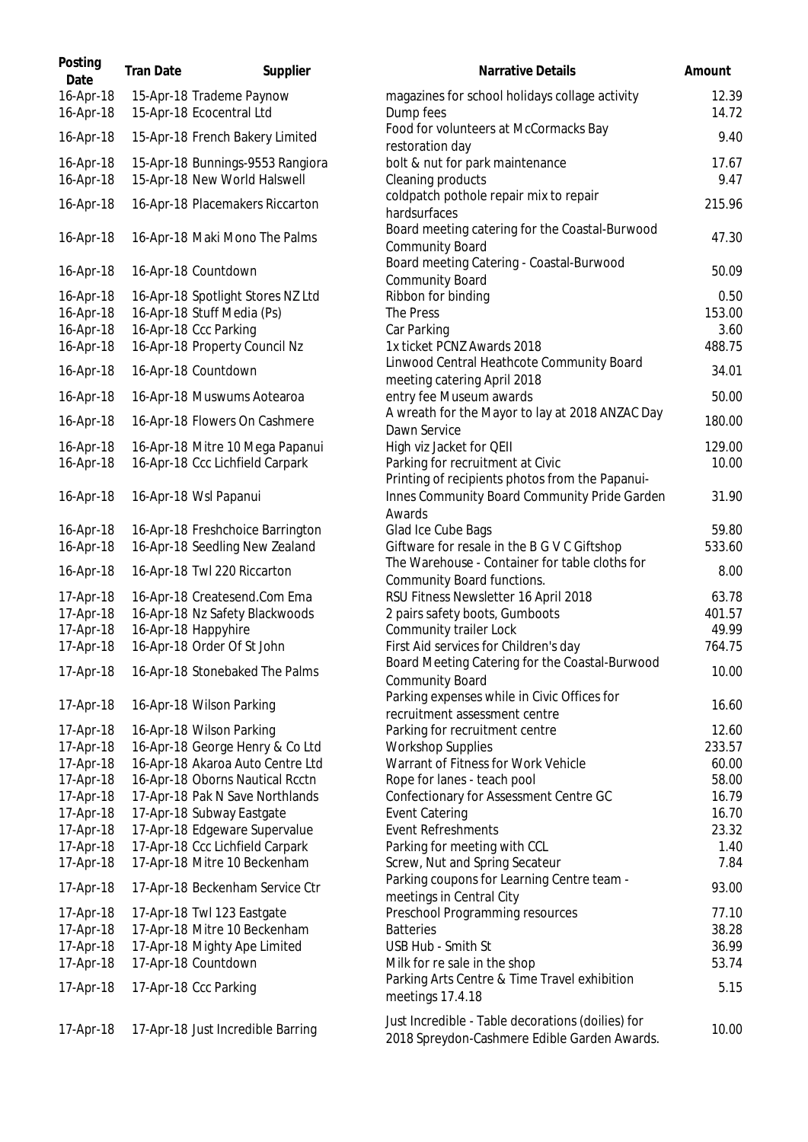| Posting<br>Date        | <b>Tran Date</b> | Supplier                                                         | <b>Narrative Details</b>                                                                          | Amount         |
|------------------------|------------------|------------------------------------------------------------------|---------------------------------------------------------------------------------------------------|----------------|
| 16-Apr-18<br>16-Apr-18 |                  | 15-Apr-18 Trademe Paynow<br>15-Apr-18 Ecocentral Ltd             | magazines for school holidays collage activity<br>Dump fees                                       | 12.39<br>14.72 |
| 16-Apr-18              |                  | 15-Apr-18 French Bakery Limited                                  | Food for volunteers at McCormacks Bay<br>restoration day                                          | 9.40           |
| 16-Apr-18<br>16-Apr-18 |                  | 15-Apr-18 Bunnings-9553 Rangiora<br>15-Apr-18 New World Halswell | bolt & nut for park maintenance<br>Cleaning products                                              | 17.67<br>9.47  |
| 16-Apr-18              |                  | 16-Apr-18 Placemakers Riccarton                                  | coldpatch pothole repair mix to repair<br>hardsurfaces                                            | 215.96         |
| 16-Apr-18              |                  | 16-Apr-18 Maki Mono The Palms                                    | Board meeting catering for the Coastal-Burwood<br><b>Community Board</b>                          | 47.30          |
| 16-Apr-18              |                  | 16-Apr-18 Countdown                                              | Board meeting Catering - Coastal-Burwood<br><b>Community Board</b>                                | 50.09          |
| 16-Apr-18              |                  | 16-Apr-18 Spotlight Stores NZ Ltd                                | Ribbon for binding                                                                                | 0.50           |
| 16-Apr-18              |                  | 16-Apr-18 Stuff Media (Ps)                                       | The Press                                                                                         | 153.00         |
| 16-Apr-18              |                  | 16-Apr-18 Ccc Parking                                            | Car Parking                                                                                       | 3.60           |
| 16-Apr-18              |                  | 16-Apr-18 Property Council Nz                                    | 1x ticket PCNZ Awards 2018                                                                        | 488.75         |
| 16-Apr-18              |                  | 16-Apr-18 Countdown                                              | Linwood Central Heathcote Community Board<br>meeting catering April 2018                          | 34.01          |
| 16-Apr-18              |                  | 16-Apr-18 Muswums Aotearoa                                       | entry fee Museum awards                                                                           | 50.00          |
| 16-Apr-18              |                  | 16-Apr-18 Flowers On Cashmere                                    | A wreath for the Mayor to lay at 2018 ANZAC Day<br>Dawn Service                                   | 180.00         |
| 16-Apr-18              |                  | 16-Apr-18 Mitre 10 Mega Papanui                                  | High viz Jacket for QEII                                                                          | 129.00         |
| 16-Apr-18              |                  | 16-Apr-18 Ccc Lichfield Carpark                                  | Parking for recruitment at Civic                                                                  | 10.00          |
|                        |                  |                                                                  | Printing of recipients photos from the Papanui-                                                   |                |
| 16-Apr-18              |                  | 16-Apr-18 Wsl Papanui                                            | Innes Community Board Community Pride Garden                                                      | 31.90          |
|                        |                  |                                                                  | Awards                                                                                            | 59.80          |
| 16-Apr-18              |                  | 16-Apr-18 Freshchoice Barrington                                 | Glad Ice Cube Bags<br>Giftware for resale in the B G V C Giftshop                                 | 533.60         |
| 16-Apr-18              |                  | 16-Apr-18 Seedling New Zealand                                   |                                                                                                   |                |
| 16-Apr-18              |                  | 16-Apr-18 Twl 220 Riccarton                                      | The Warehouse - Container for table cloths for<br>Community Board functions.                      | 8.00           |
| 17-Apr-18              |                  | 16-Apr-18 Createsend.Com Ema                                     | RSU Fitness Newsletter 16 April 2018                                                              | 63.78          |
| 17-Apr-18              |                  | 16-Apr-18 Nz Safety Blackwoods                                   | 2 pairs safety boots, Gumboots                                                                    | 401.57         |
| 17-Apr-18              |                  | 16-Apr-18 Happyhire                                              | <b>Community trailer Lock</b>                                                                     | 49.99          |
| 17-Apr-18              |                  | 16-Apr-18 Order Of St John                                       | First Aid services for Children's day                                                             | 764.75         |
| 17-Apr-18              |                  | 16-Apr-18 Stonebaked The Palms                                   | Board Meeting Catering for the Coastal-Burwood<br><b>Community Board</b>                          | 10.00          |
| 17-Apr-18              |                  | 16-Apr-18 Wilson Parking                                         | Parking expenses while in Civic Offices for<br>recruitment assessment centre                      | 16.60          |
| 17-Apr-18              |                  | 16-Apr-18 Wilson Parking                                         | Parking for recruitment centre                                                                    | 12.60          |
| 17-Apr-18              |                  | 16-Apr-18 George Henry & Co Ltd                                  | <b>Workshop Supplies</b>                                                                          | 233.57         |
| 17-Apr-18              |                  | 16-Apr-18 Akaroa Auto Centre Ltd                                 | Warrant of Fitness for Work Vehicle                                                               | 60.00          |
| 17-Apr-18              |                  | 16-Apr-18 Oborns Nautical Rcctn                                  | Rope for lanes - teach pool                                                                       | 58.00          |
| 17-Apr-18              |                  | 17-Apr-18 Pak N Save Northlands                                  | Confectionary for Assessment Centre GC                                                            | 16.79          |
| 17-Apr-18              |                  | 17-Apr-18 Subway Eastgate                                        | <b>Event Catering</b>                                                                             | 16.70          |
| 17-Apr-18              |                  | 17-Apr-18 Edgeware Supervalue                                    | <b>Event Refreshments</b>                                                                         | 23.32          |
| 17-Apr-18              |                  | 17-Apr-18 Ccc Lichfield Carpark                                  | Parking for meeting with CCL                                                                      | 1.40           |
| 17-Apr-18              |                  | 17-Apr-18 Mitre 10 Beckenham                                     | Screw, Nut and Spring Secateur                                                                    | 7.84           |
| 17-Apr-18              |                  | 17-Apr-18 Beckenham Service Ctr                                  | Parking coupons for Learning Centre team -                                                        | 93.00          |
|                        |                  |                                                                  | meetings in Central City                                                                          |                |
| 17-Apr-18              |                  | 17-Apr-18 Twl 123 Eastgate                                       | Preschool Programming resources                                                                   | 77.10          |
| 17-Apr-18              |                  | 17-Apr-18 Mitre 10 Beckenham                                     | <b>Batteries</b>                                                                                  | 38.28          |
| 17-Apr-18              |                  | 17-Apr-18 Mighty Ape Limited                                     | USB Hub - Smith St                                                                                | 36.99          |
| 17-Apr-18              |                  | 17-Apr-18 Countdown                                              | Milk for re sale in the shop                                                                      | 53.74          |
| 17-Apr-18              |                  | 17-Apr-18 Ccc Parking                                            | Parking Arts Centre & Time Travel exhibition<br>meetings 17.4.18                                  | 5.15           |
| 17-Apr-18              |                  | 17-Apr-18 Just Incredible Barring                                | Just Incredible - Table decorations (doilies) for<br>2018 Spreydon-Cashmere Edible Garden Awards. | 10.00          |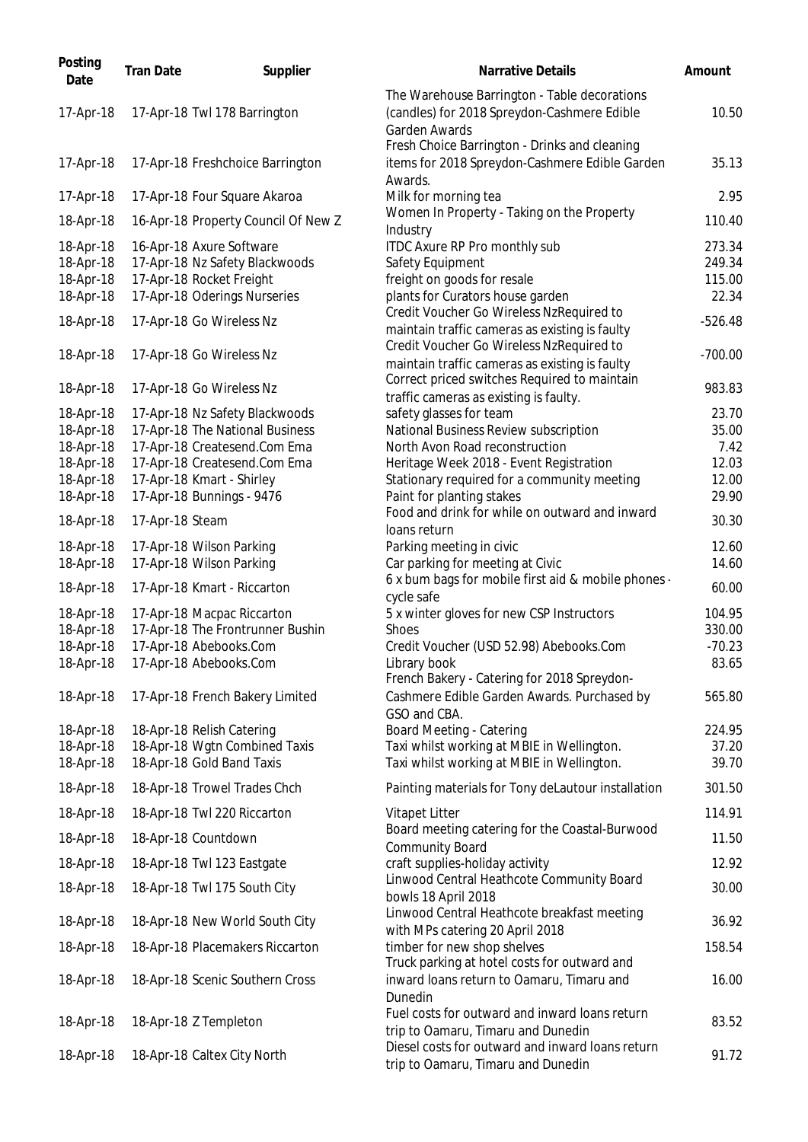| Posting<br>Date        | <b>Tran Date</b> | Supplier                            | <b>Narrative Details</b>                                                                                            | Amount         |
|------------------------|------------------|-------------------------------------|---------------------------------------------------------------------------------------------------------------------|----------------|
| 17-Apr-18              |                  | 17-Apr-18 Twl 178 Barrington        | The Warehouse Barrington - Table decorations<br>(candles) for 2018 Spreydon-Cashmere Edible<br><b>Garden Awards</b> | 10.50          |
| 17-Apr-18              |                  | 17-Apr-18 Freshchoice Barrington    | Fresh Choice Barrington - Drinks and cleaning<br>items for 2018 Spreydon-Cashmere Edible Garden                     | 35.13          |
| 17-Apr-18              |                  | 17-Apr-18 Four Square Akaroa        | Awards.<br>Milk for morning tea                                                                                     | 2.95           |
| 18-Apr-18              |                  | 16-Apr-18 Property Council Of New Z | Women In Property - Taking on the Property<br>Industry                                                              | 110.40         |
| 18-Apr-18              |                  | 16-Apr-18 Axure Software            | <b>ITDC Axure RP Pro monthly sub</b>                                                                                | 273.34         |
| 18-Apr-18              |                  | 17-Apr-18 Nz Safety Blackwoods      | Safety Equipment                                                                                                    | 249.34         |
| 18-Apr-18              |                  | 17-Apr-18 Rocket Freight            | freight on goods for resale                                                                                         | 115.00         |
| 18-Apr-18              |                  | 17-Apr-18 Oderings Nurseries        | plants for Curators house garden                                                                                    | 22.34          |
| 18-Apr-18              |                  | 17-Apr-18 Go Wireless Nz            | Credit Voucher Go Wireless NzRequired to<br>maintain traffic cameras as existing is faulty                          | $-526.48$      |
| 18-Apr-18              |                  | 17-Apr-18 Go Wireless Nz            | Credit Voucher Go Wireless NzRequired to                                                                            | $-700.00$      |
| 18-Apr-18              |                  | 17-Apr-18 Go Wireless Nz            | maintain traffic cameras as existing is faulty<br>Correct priced switches Required to maintain                      | 983.83         |
|                        |                  |                                     | traffic cameras as existing is faulty.                                                                              |                |
| 18-Apr-18              |                  | 17-Apr-18 Nz Safety Blackwoods      | safety glasses for team                                                                                             | 23.70          |
| 18-Apr-18              |                  | 17-Apr-18 The National Business     | National Business Review subscription                                                                               | 35.00          |
| 18-Apr-18              |                  | 17-Apr-18 Createsend.Com Ema        | North Avon Road reconstruction                                                                                      | 7.42           |
| 18-Apr-18              |                  | 17-Apr-18 Createsend.Com Ema        | Heritage Week 2018 - Event Registration                                                                             | 12.03          |
| 18-Apr-18              |                  | 17-Apr-18 Kmart - Shirley           | Stationary required for a community meeting                                                                         | 12.00          |
| 18-Apr-18<br>18-Apr-18 | 17-Apr-18 Steam  | 17-Apr-18 Bunnings - 9476           | Paint for planting stakes<br>Food and drink for while on outward and inward<br>loans return                         | 29.90<br>30.30 |
| 18-Apr-18              |                  | 17-Apr-18 Wilson Parking            | Parking meeting in civic                                                                                            | 12.60          |
| 18-Apr-18              |                  | 17-Apr-18 Wilson Parking            | Car parking for meeting at Civic                                                                                    | 14.60          |
| 18-Apr-18              |                  | 17-Apr-18 Kmart - Riccarton         | 6 x bum bags for mobile first aid & mobile phones -<br>cycle safe                                                   | 60.00          |
| 18-Apr-18              |                  | 17-Apr-18 Macpac Riccarton          | 5 x winter gloves for new CSP Instructors                                                                           | 104.95         |
| 18-Apr-18              |                  | 17-Apr-18 The Frontrunner Bushin    | <b>Shoes</b>                                                                                                        | 330.00         |
| 18-Apr-18              |                  | 17-Apr-18 Abebooks.Com              | Credit Voucher (USD 52.98) Abebooks.Com                                                                             | $-70.23$       |
| 18-Apr-18              |                  | 17-Apr-18 Abebooks.Com              | Library book<br>French Bakery - Catering for 2018 Spreydon-                                                         | 83.65          |
| 18-Apr-18              |                  | 17-Apr-18 French Bakery Limited     | Cashmere Edible Garden Awards. Purchased by<br>GSO and CBA.                                                         | 565.80         |
| 18-Apr-18              |                  | 18-Apr-18 Relish Catering           | <b>Board Meeting - Catering</b>                                                                                     | 224.95         |
| 18-Apr-18              |                  | 18-Apr-18 Wgtn Combined Taxis       | Taxi whilst working at MBIE in Wellington.                                                                          | 37.20          |
| 18-Apr-18              |                  | 18-Apr-18 Gold Band Taxis           | Taxi whilst working at MBIE in Wellington.                                                                          | 39.70          |
| 18-Apr-18              |                  | 18-Apr-18 Trowel Trades Chch        | Painting materials for Tony deLautour installation                                                                  | 301.50         |
| 18-Apr-18              |                  | 18-Apr-18 Twl 220 Riccarton         | Vitapet Litter                                                                                                      | 114.91         |
| 18-Apr-18              |                  | 18-Apr-18 Countdown                 | Board meeting catering for the Coastal-Burwood<br><b>Community Board</b>                                            | 11.50          |
| 18-Apr-18              |                  | 18-Apr-18 Twl 123 Eastgate          | craft supplies-holiday activity                                                                                     | 12.92          |
| 18-Apr-18              |                  | 18-Apr-18 Twl 175 South City        | Linwood Central Heathcote Community Board<br>bowls 18 April 2018                                                    | 30.00          |
| 18-Apr-18              |                  | 18-Apr-18 New World South City      | Linwood Central Heathcote breakfast meeting<br>with MPs catering 20 April 2018                                      | 36.92          |
| 18-Apr-18              |                  | 18-Apr-18 Placemakers Riccarton     | timber for new shop shelves<br>Truck parking at hotel costs for outward and                                         | 158.54         |
| 18-Apr-18              |                  | 18-Apr-18 Scenic Southern Cross     | inward loans return to Oamaru, Timaru and<br>Dunedin                                                                | 16.00          |
| 18-Apr-18              |                  | 18-Apr-18 Z Templeton               | Fuel costs for outward and inward loans return<br>trip to Oamaru, Timaru and Dunedin                                | 83.52          |
| 18-Apr-18              |                  | 18-Apr-18 Caltex City North         | Diesel costs for outward and inward loans return<br>trip to Oamaru, Timaru and Dunedin                              | 91.72          |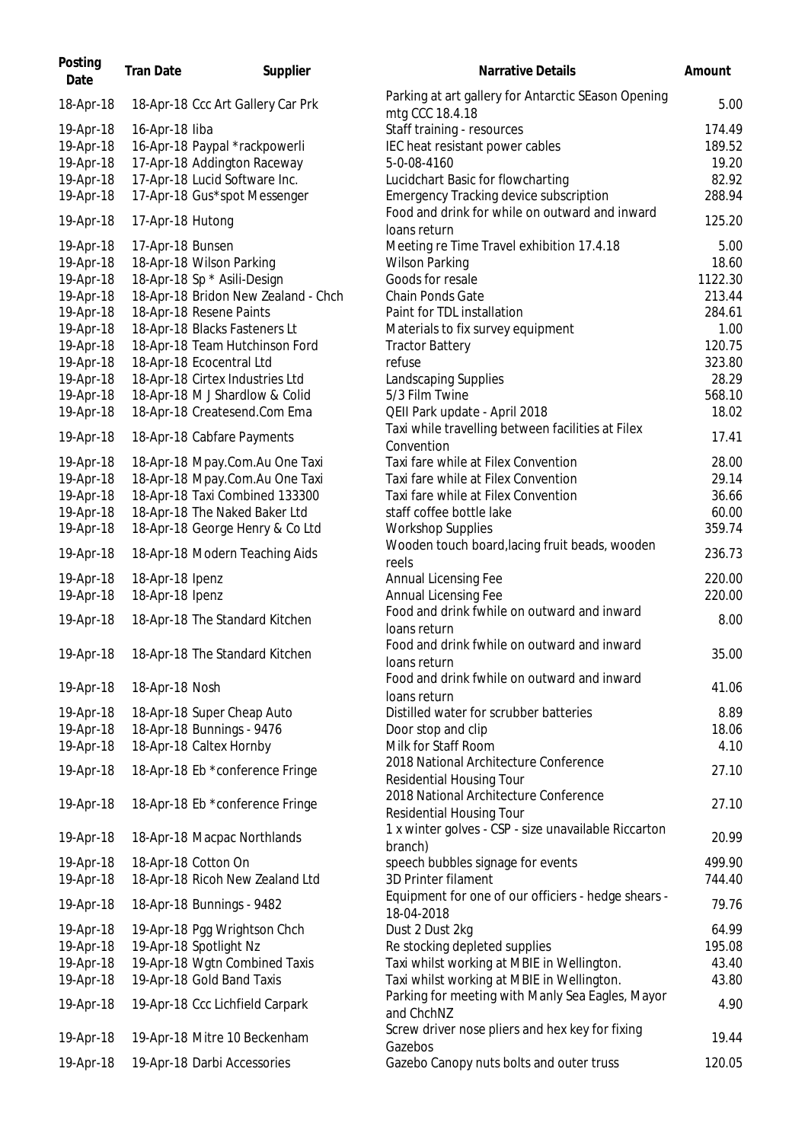| 18-Apr-18<br>18-Apr-18 Ccc Art Gallery Car Prk<br>mtg CCC 18.4.18<br>Staff training - resources<br>16-Apr-18 liba<br>19-Apr-18<br>19-Apr-18<br>16-Apr-18 Paypal *rackpowerli<br>IEC heat resistant power cables<br>19-Apr-18<br>17-Apr-18 Addington Raceway<br>5-0-08-4160<br>17-Apr-18 Lucid Software Inc.<br>19-Apr-18<br>Lucidchart Basic for flowcharting<br><b>Emergency Tracking device subscription</b><br>19-Apr-18<br>17-Apr-18 Gus*spot Messenger<br>Food and drink for while on outward and inward<br>19-Apr-18<br>17-Apr-18 Hutong<br>loans return<br>19-Apr-18<br>17-Apr-18 Bunsen<br>Meeting re Time Travel exhibition 17.4.18<br>5.00<br>19-Apr-18<br>18-Apr-18 Wilson Parking<br><b>Wilson Parking</b><br>18.60<br>18-Apr-18 Sp * Asili-Design<br>1122.30<br>19-Apr-18<br>Goods for resale<br>19-Apr-18<br>18-Apr-18 Bridon New Zealand - Chch<br>Chain Ponds Gate<br>213.44<br>19-Apr-18<br>18-Apr-18 Resene Paints<br>Paint for TDL installation<br>284.61<br>19-Apr-18<br>18-Apr-18 Blacks Fasteners Lt<br>Materials to fix survey equipment<br>1.00<br>19-Apr-18<br>18-Apr-18 Team Hutchinson Ford<br>120.75<br><b>Tractor Battery</b><br>323.80<br>19-Apr-18<br>18-Apr-18 Ecocentral Ltd<br>refuse<br>19-Apr-18<br>18-Apr-18 Cirtex Industries Ltd<br><b>Landscaping Supplies</b><br>28.29<br>18-Apr-18 M J Shardlow & Colid<br>5/3 Film Twine<br>19-Apr-18<br>568.10<br>QEII Park update - April 2018<br>19-Apr-18<br>18-Apr-18 Createsend.Com Ema<br>18.02<br>Taxi while travelling between facilities at Filex<br>19-Apr-18<br>17.41<br>18-Apr-18 Cabfare Payments<br>Convention<br>Taxi fare while at Filex Convention<br>19-Apr-18<br>18-Apr-18 Mpay.Com.Au One Taxi<br>18-Apr-18 Mpay.Com.Au One Taxi<br>Taxi fare while at Filex Convention<br>29.14<br>19-Apr-18<br>19-Apr-18<br>18-Apr-18 Taxi Combined 133300<br>Taxi fare while at Filex Convention<br>19-Apr-18<br>18-Apr-18 The Naked Baker Ltd<br>staff coffee bottle lake<br>19-Apr-18<br>18-Apr-18 George Henry & Co Ltd<br><b>Workshop Supplies</b><br>Wooden touch board, lacing fruit beads, wooden<br>19-Apr-18<br>18-Apr-18 Modern Teaching Aids<br>reels<br>19-Apr-18<br>18-Apr-18 Ipenz<br>Annual Licensing Fee<br>18-Apr-18 Ipenz<br>Annual Licensing Fee<br>19-Apr-18<br>Food and drink fwhile on outward and inward<br>19-Apr-18<br>18-Apr-18 The Standard Kitchen<br>loans return<br>Food and drink fwhile on outward and inward<br>18-Apr-18 The Standard Kitchen<br>19-Apr-18<br>loans return<br>Food and drink fwhile on outward and inward<br>19-Apr-18<br>18-Apr-18 Nosh<br>loans return<br>Distilled water for scrubber batteries<br>8.89<br>19-Apr-18<br>18-Apr-18 Super Cheap Auto<br>19-Apr-18<br>18-Apr-18 Bunnings - 9476<br>Door stop and clip<br>18.06<br>19-Apr-18<br>18-Apr-18 Caltex Hornby<br>Milk for Staff Room<br>4.10<br>2018 National Architecture Conference<br>19-Apr-18<br>18-Apr-18 Eb *conference Fringe<br>Residential Housing Tour<br>2018 National Architecture Conference<br>19-Apr-18<br>18-Apr-18 Eb *conference Fringe<br><b>Residential Housing Tour</b><br>1 x winter golves - CSP - size unavailable Riccarton<br>18-Apr-18 Macpac Northlands<br>19-Apr-18<br>branch)<br>19-Apr-18<br>18-Apr-18 Cotton On<br>speech bubbles signage for events<br>19-Apr-18<br>18-Apr-18 Ricoh New Zealand Ltd<br>3D Printer filament<br>Equipment for one of our officiers - hedge shears -<br>19-Apr-18<br>18-Apr-18 Bunnings - 9482<br>18-04-2018<br>Dust 2 Dust 2kg<br>19-Apr-18<br>19-Apr-18 Pgg Wrightson Chch<br>19-Apr-18<br>19-Apr-18 Spotlight Nz<br>Re stocking depleted supplies<br>19-Apr-18<br>19-Apr-18 Wgtn Combined Taxis<br>Taxi whilst working at MBIE in Wellington.<br>19-Apr-18<br>19-Apr-18 Gold Band Taxis<br>Taxi whilst working at MBIE in Wellington.<br>Parking for meeting with Manly Sea Eagles, Mayor<br>19-Apr-18<br>19-Apr-18 Ccc Lichfield Carpark<br>and ChchNZ<br>Screw driver nose pliers and hex key for fixing<br>19-Apr-18 Mitre 10 Beckenham<br>19-Apr-18<br>Gazebos<br>Gazebo Canopy nuts bolts and outer truss<br>19-Apr-18<br>19-Apr-18 Darbi Accessories | Posting<br>Date | <b>Tran Date</b> | Supplier | <b>Narrative Details</b>                            | Amount |
|----------------------------------------------------------------------------------------------------------------------------------------------------------------------------------------------------------------------------------------------------------------------------------------------------------------------------------------------------------------------------------------------------------------------------------------------------------------------------------------------------------------------------------------------------------------------------------------------------------------------------------------------------------------------------------------------------------------------------------------------------------------------------------------------------------------------------------------------------------------------------------------------------------------------------------------------------------------------------------------------------------------------------------------------------------------------------------------------------------------------------------------------------------------------------------------------------------------------------------------------------------------------------------------------------------------------------------------------------------------------------------------------------------------------------------------------------------------------------------------------------------------------------------------------------------------------------------------------------------------------------------------------------------------------------------------------------------------------------------------------------------------------------------------------------------------------------------------------------------------------------------------------------------------------------------------------------------------------------------------------------------------------------------------------------------------------------------------------------------------------------------------------------------------------------------------------------------------------------------------------------------------------------------------------------------------------------------------------------------------------------------------------------------------------------------------------------------------------------------------------------------------------------------------------------------------------------------------------------------------------------------------------------------------------------------------------------------------------------------------------------------------------------------------------------------------------------------------------------------------------------------------------------------------------------------------------------------------------------------------------------------------------------------------------------------------------------------------------------------------------------------------------------------------------------------------------------------------------------------------------------------------------------------------------------------------------------------------------------------------------------------------------------------------------------------------------------------------------------------------------------------------------------------------------------------------------------------------------------------------------------------------------------------------------------------------------------------------------------------------------------------------------------------------------------------------------------------------------------------------------------------------------------------------------------------------------------------------------------------------------------------------------------------------------------------------------------------------------------------------------------|-----------------|------------------|----------|-----------------------------------------------------|--------|
|                                                                                                                                                                                                                                                                                                                                                                                                                                                                                                                                                                                                                                                                                                                                                                                                                                                                                                                                                                                                                                                                                                                                                                                                                                                                                                                                                                                                                                                                                                                                                                                                                                                                                                                                                                                                                                                                                                                                                                                                                                                                                                                                                                                                                                                                                                                                                                                                                                                                                                                                                                                                                                                                                                                                                                                                                                                                                                                                                                                                                                                                                                                                                                                                                                                                                                                                                                                                                                                                                                                                                                                                                                                                                                                                                                                                                                                                                                                                                                                                                                                                                                                            |                 |                  |          | Parking at art gallery for Antarctic SEason Opening | 5.00   |
|                                                                                                                                                                                                                                                                                                                                                                                                                                                                                                                                                                                                                                                                                                                                                                                                                                                                                                                                                                                                                                                                                                                                                                                                                                                                                                                                                                                                                                                                                                                                                                                                                                                                                                                                                                                                                                                                                                                                                                                                                                                                                                                                                                                                                                                                                                                                                                                                                                                                                                                                                                                                                                                                                                                                                                                                                                                                                                                                                                                                                                                                                                                                                                                                                                                                                                                                                                                                                                                                                                                                                                                                                                                                                                                                                                                                                                                                                                                                                                                                                                                                                                                            |                 |                  |          |                                                     | 174.49 |
|                                                                                                                                                                                                                                                                                                                                                                                                                                                                                                                                                                                                                                                                                                                                                                                                                                                                                                                                                                                                                                                                                                                                                                                                                                                                                                                                                                                                                                                                                                                                                                                                                                                                                                                                                                                                                                                                                                                                                                                                                                                                                                                                                                                                                                                                                                                                                                                                                                                                                                                                                                                                                                                                                                                                                                                                                                                                                                                                                                                                                                                                                                                                                                                                                                                                                                                                                                                                                                                                                                                                                                                                                                                                                                                                                                                                                                                                                                                                                                                                                                                                                                                            |                 |                  |          |                                                     | 189.52 |
|                                                                                                                                                                                                                                                                                                                                                                                                                                                                                                                                                                                                                                                                                                                                                                                                                                                                                                                                                                                                                                                                                                                                                                                                                                                                                                                                                                                                                                                                                                                                                                                                                                                                                                                                                                                                                                                                                                                                                                                                                                                                                                                                                                                                                                                                                                                                                                                                                                                                                                                                                                                                                                                                                                                                                                                                                                                                                                                                                                                                                                                                                                                                                                                                                                                                                                                                                                                                                                                                                                                                                                                                                                                                                                                                                                                                                                                                                                                                                                                                                                                                                                                            |                 |                  |          |                                                     | 19.20  |
|                                                                                                                                                                                                                                                                                                                                                                                                                                                                                                                                                                                                                                                                                                                                                                                                                                                                                                                                                                                                                                                                                                                                                                                                                                                                                                                                                                                                                                                                                                                                                                                                                                                                                                                                                                                                                                                                                                                                                                                                                                                                                                                                                                                                                                                                                                                                                                                                                                                                                                                                                                                                                                                                                                                                                                                                                                                                                                                                                                                                                                                                                                                                                                                                                                                                                                                                                                                                                                                                                                                                                                                                                                                                                                                                                                                                                                                                                                                                                                                                                                                                                                                            |                 |                  |          |                                                     | 82.92  |
|                                                                                                                                                                                                                                                                                                                                                                                                                                                                                                                                                                                                                                                                                                                                                                                                                                                                                                                                                                                                                                                                                                                                                                                                                                                                                                                                                                                                                                                                                                                                                                                                                                                                                                                                                                                                                                                                                                                                                                                                                                                                                                                                                                                                                                                                                                                                                                                                                                                                                                                                                                                                                                                                                                                                                                                                                                                                                                                                                                                                                                                                                                                                                                                                                                                                                                                                                                                                                                                                                                                                                                                                                                                                                                                                                                                                                                                                                                                                                                                                                                                                                                                            |                 |                  |          |                                                     | 288.94 |
|                                                                                                                                                                                                                                                                                                                                                                                                                                                                                                                                                                                                                                                                                                                                                                                                                                                                                                                                                                                                                                                                                                                                                                                                                                                                                                                                                                                                                                                                                                                                                                                                                                                                                                                                                                                                                                                                                                                                                                                                                                                                                                                                                                                                                                                                                                                                                                                                                                                                                                                                                                                                                                                                                                                                                                                                                                                                                                                                                                                                                                                                                                                                                                                                                                                                                                                                                                                                                                                                                                                                                                                                                                                                                                                                                                                                                                                                                                                                                                                                                                                                                                                            |                 |                  |          |                                                     | 125.20 |
|                                                                                                                                                                                                                                                                                                                                                                                                                                                                                                                                                                                                                                                                                                                                                                                                                                                                                                                                                                                                                                                                                                                                                                                                                                                                                                                                                                                                                                                                                                                                                                                                                                                                                                                                                                                                                                                                                                                                                                                                                                                                                                                                                                                                                                                                                                                                                                                                                                                                                                                                                                                                                                                                                                                                                                                                                                                                                                                                                                                                                                                                                                                                                                                                                                                                                                                                                                                                                                                                                                                                                                                                                                                                                                                                                                                                                                                                                                                                                                                                                                                                                                                            |                 |                  |          |                                                     |        |
|                                                                                                                                                                                                                                                                                                                                                                                                                                                                                                                                                                                                                                                                                                                                                                                                                                                                                                                                                                                                                                                                                                                                                                                                                                                                                                                                                                                                                                                                                                                                                                                                                                                                                                                                                                                                                                                                                                                                                                                                                                                                                                                                                                                                                                                                                                                                                                                                                                                                                                                                                                                                                                                                                                                                                                                                                                                                                                                                                                                                                                                                                                                                                                                                                                                                                                                                                                                                                                                                                                                                                                                                                                                                                                                                                                                                                                                                                                                                                                                                                                                                                                                            |                 |                  |          |                                                     |        |
|                                                                                                                                                                                                                                                                                                                                                                                                                                                                                                                                                                                                                                                                                                                                                                                                                                                                                                                                                                                                                                                                                                                                                                                                                                                                                                                                                                                                                                                                                                                                                                                                                                                                                                                                                                                                                                                                                                                                                                                                                                                                                                                                                                                                                                                                                                                                                                                                                                                                                                                                                                                                                                                                                                                                                                                                                                                                                                                                                                                                                                                                                                                                                                                                                                                                                                                                                                                                                                                                                                                                                                                                                                                                                                                                                                                                                                                                                                                                                                                                                                                                                                                            |                 |                  |          |                                                     |        |
|                                                                                                                                                                                                                                                                                                                                                                                                                                                                                                                                                                                                                                                                                                                                                                                                                                                                                                                                                                                                                                                                                                                                                                                                                                                                                                                                                                                                                                                                                                                                                                                                                                                                                                                                                                                                                                                                                                                                                                                                                                                                                                                                                                                                                                                                                                                                                                                                                                                                                                                                                                                                                                                                                                                                                                                                                                                                                                                                                                                                                                                                                                                                                                                                                                                                                                                                                                                                                                                                                                                                                                                                                                                                                                                                                                                                                                                                                                                                                                                                                                                                                                                            |                 |                  |          |                                                     |        |
|                                                                                                                                                                                                                                                                                                                                                                                                                                                                                                                                                                                                                                                                                                                                                                                                                                                                                                                                                                                                                                                                                                                                                                                                                                                                                                                                                                                                                                                                                                                                                                                                                                                                                                                                                                                                                                                                                                                                                                                                                                                                                                                                                                                                                                                                                                                                                                                                                                                                                                                                                                                                                                                                                                                                                                                                                                                                                                                                                                                                                                                                                                                                                                                                                                                                                                                                                                                                                                                                                                                                                                                                                                                                                                                                                                                                                                                                                                                                                                                                                                                                                                                            |                 |                  |          |                                                     |        |
|                                                                                                                                                                                                                                                                                                                                                                                                                                                                                                                                                                                                                                                                                                                                                                                                                                                                                                                                                                                                                                                                                                                                                                                                                                                                                                                                                                                                                                                                                                                                                                                                                                                                                                                                                                                                                                                                                                                                                                                                                                                                                                                                                                                                                                                                                                                                                                                                                                                                                                                                                                                                                                                                                                                                                                                                                                                                                                                                                                                                                                                                                                                                                                                                                                                                                                                                                                                                                                                                                                                                                                                                                                                                                                                                                                                                                                                                                                                                                                                                                                                                                                                            |                 |                  |          |                                                     |        |
|                                                                                                                                                                                                                                                                                                                                                                                                                                                                                                                                                                                                                                                                                                                                                                                                                                                                                                                                                                                                                                                                                                                                                                                                                                                                                                                                                                                                                                                                                                                                                                                                                                                                                                                                                                                                                                                                                                                                                                                                                                                                                                                                                                                                                                                                                                                                                                                                                                                                                                                                                                                                                                                                                                                                                                                                                                                                                                                                                                                                                                                                                                                                                                                                                                                                                                                                                                                                                                                                                                                                                                                                                                                                                                                                                                                                                                                                                                                                                                                                                                                                                                                            |                 |                  |          |                                                     |        |
|                                                                                                                                                                                                                                                                                                                                                                                                                                                                                                                                                                                                                                                                                                                                                                                                                                                                                                                                                                                                                                                                                                                                                                                                                                                                                                                                                                                                                                                                                                                                                                                                                                                                                                                                                                                                                                                                                                                                                                                                                                                                                                                                                                                                                                                                                                                                                                                                                                                                                                                                                                                                                                                                                                                                                                                                                                                                                                                                                                                                                                                                                                                                                                                                                                                                                                                                                                                                                                                                                                                                                                                                                                                                                                                                                                                                                                                                                                                                                                                                                                                                                                                            |                 |                  |          |                                                     |        |
|                                                                                                                                                                                                                                                                                                                                                                                                                                                                                                                                                                                                                                                                                                                                                                                                                                                                                                                                                                                                                                                                                                                                                                                                                                                                                                                                                                                                                                                                                                                                                                                                                                                                                                                                                                                                                                                                                                                                                                                                                                                                                                                                                                                                                                                                                                                                                                                                                                                                                                                                                                                                                                                                                                                                                                                                                                                                                                                                                                                                                                                                                                                                                                                                                                                                                                                                                                                                                                                                                                                                                                                                                                                                                                                                                                                                                                                                                                                                                                                                                                                                                                                            |                 |                  |          |                                                     |        |
|                                                                                                                                                                                                                                                                                                                                                                                                                                                                                                                                                                                                                                                                                                                                                                                                                                                                                                                                                                                                                                                                                                                                                                                                                                                                                                                                                                                                                                                                                                                                                                                                                                                                                                                                                                                                                                                                                                                                                                                                                                                                                                                                                                                                                                                                                                                                                                                                                                                                                                                                                                                                                                                                                                                                                                                                                                                                                                                                                                                                                                                                                                                                                                                                                                                                                                                                                                                                                                                                                                                                                                                                                                                                                                                                                                                                                                                                                                                                                                                                                                                                                                                            |                 |                  |          |                                                     |        |
|                                                                                                                                                                                                                                                                                                                                                                                                                                                                                                                                                                                                                                                                                                                                                                                                                                                                                                                                                                                                                                                                                                                                                                                                                                                                                                                                                                                                                                                                                                                                                                                                                                                                                                                                                                                                                                                                                                                                                                                                                                                                                                                                                                                                                                                                                                                                                                                                                                                                                                                                                                                                                                                                                                                                                                                                                                                                                                                                                                                                                                                                                                                                                                                                                                                                                                                                                                                                                                                                                                                                                                                                                                                                                                                                                                                                                                                                                                                                                                                                                                                                                                                            |                 |                  |          |                                                     |        |
|                                                                                                                                                                                                                                                                                                                                                                                                                                                                                                                                                                                                                                                                                                                                                                                                                                                                                                                                                                                                                                                                                                                                                                                                                                                                                                                                                                                                                                                                                                                                                                                                                                                                                                                                                                                                                                                                                                                                                                                                                                                                                                                                                                                                                                                                                                                                                                                                                                                                                                                                                                                                                                                                                                                                                                                                                                                                                                                                                                                                                                                                                                                                                                                                                                                                                                                                                                                                                                                                                                                                                                                                                                                                                                                                                                                                                                                                                                                                                                                                                                                                                                                            |                 |                  |          |                                                     |        |
|                                                                                                                                                                                                                                                                                                                                                                                                                                                                                                                                                                                                                                                                                                                                                                                                                                                                                                                                                                                                                                                                                                                                                                                                                                                                                                                                                                                                                                                                                                                                                                                                                                                                                                                                                                                                                                                                                                                                                                                                                                                                                                                                                                                                                                                                                                                                                                                                                                                                                                                                                                                                                                                                                                                                                                                                                                                                                                                                                                                                                                                                                                                                                                                                                                                                                                                                                                                                                                                                                                                                                                                                                                                                                                                                                                                                                                                                                                                                                                                                                                                                                                                            |                 |                  |          |                                                     |        |
|                                                                                                                                                                                                                                                                                                                                                                                                                                                                                                                                                                                                                                                                                                                                                                                                                                                                                                                                                                                                                                                                                                                                                                                                                                                                                                                                                                                                                                                                                                                                                                                                                                                                                                                                                                                                                                                                                                                                                                                                                                                                                                                                                                                                                                                                                                                                                                                                                                                                                                                                                                                                                                                                                                                                                                                                                                                                                                                                                                                                                                                                                                                                                                                                                                                                                                                                                                                                                                                                                                                                                                                                                                                                                                                                                                                                                                                                                                                                                                                                                                                                                                                            |                 |                  |          |                                                     | 28.00  |
|                                                                                                                                                                                                                                                                                                                                                                                                                                                                                                                                                                                                                                                                                                                                                                                                                                                                                                                                                                                                                                                                                                                                                                                                                                                                                                                                                                                                                                                                                                                                                                                                                                                                                                                                                                                                                                                                                                                                                                                                                                                                                                                                                                                                                                                                                                                                                                                                                                                                                                                                                                                                                                                                                                                                                                                                                                                                                                                                                                                                                                                                                                                                                                                                                                                                                                                                                                                                                                                                                                                                                                                                                                                                                                                                                                                                                                                                                                                                                                                                                                                                                                                            |                 |                  |          |                                                     |        |
|                                                                                                                                                                                                                                                                                                                                                                                                                                                                                                                                                                                                                                                                                                                                                                                                                                                                                                                                                                                                                                                                                                                                                                                                                                                                                                                                                                                                                                                                                                                                                                                                                                                                                                                                                                                                                                                                                                                                                                                                                                                                                                                                                                                                                                                                                                                                                                                                                                                                                                                                                                                                                                                                                                                                                                                                                                                                                                                                                                                                                                                                                                                                                                                                                                                                                                                                                                                                                                                                                                                                                                                                                                                                                                                                                                                                                                                                                                                                                                                                                                                                                                                            |                 |                  |          |                                                     | 36.66  |
|                                                                                                                                                                                                                                                                                                                                                                                                                                                                                                                                                                                                                                                                                                                                                                                                                                                                                                                                                                                                                                                                                                                                                                                                                                                                                                                                                                                                                                                                                                                                                                                                                                                                                                                                                                                                                                                                                                                                                                                                                                                                                                                                                                                                                                                                                                                                                                                                                                                                                                                                                                                                                                                                                                                                                                                                                                                                                                                                                                                                                                                                                                                                                                                                                                                                                                                                                                                                                                                                                                                                                                                                                                                                                                                                                                                                                                                                                                                                                                                                                                                                                                                            |                 |                  |          |                                                     | 60.00  |
|                                                                                                                                                                                                                                                                                                                                                                                                                                                                                                                                                                                                                                                                                                                                                                                                                                                                                                                                                                                                                                                                                                                                                                                                                                                                                                                                                                                                                                                                                                                                                                                                                                                                                                                                                                                                                                                                                                                                                                                                                                                                                                                                                                                                                                                                                                                                                                                                                                                                                                                                                                                                                                                                                                                                                                                                                                                                                                                                                                                                                                                                                                                                                                                                                                                                                                                                                                                                                                                                                                                                                                                                                                                                                                                                                                                                                                                                                                                                                                                                                                                                                                                            |                 |                  |          |                                                     | 359.74 |
|                                                                                                                                                                                                                                                                                                                                                                                                                                                                                                                                                                                                                                                                                                                                                                                                                                                                                                                                                                                                                                                                                                                                                                                                                                                                                                                                                                                                                                                                                                                                                                                                                                                                                                                                                                                                                                                                                                                                                                                                                                                                                                                                                                                                                                                                                                                                                                                                                                                                                                                                                                                                                                                                                                                                                                                                                                                                                                                                                                                                                                                                                                                                                                                                                                                                                                                                                                                                                                                                                                                                                                                                                                                                                                                                                                                                                                                                                                                                                                                                                                                                                                                            |                 |                  |          |                                                     | 236.73 |
|                                                                                                                                                                                                                                                                                                                                                                                                                                                                                                                                                                                                                                                                                                                                                                                                                                                                                                                                                                                                                                                                                                                                                                                                                                                                                                                                                                                                                                                                                                                                                                                                                                                                                                                                                                                                                                                                                                                                                                                                                                                                                                                                                                                                                                                                                                                                                                                                                                                                                                                                                                                                                                                                                                                                                                                                                                                                                                                                                                                                                                                                                                                                                                                                                                                                                                                                                                                                                                                                                                                                                                                                                                                                                                                                                                                                                                                                                                                                                                                                                                                                                                                            |                 |                  |          |                                                     | 220.00 |
|                                                                                                                                                                                                                                                                                                                                                                                                                                                                                                                                                                                                                                                                                                                                                                                                                                                                                                                                                                                                                                                                                                                                                                                                                                                                                                                                                                                                                                                                                                                                                                                                                                                                                                                                                                                                                                                                                                                                                                                                                                                                                                                                                                                                                                                                                                                                                                                                                                                                                                                                                                                                                                                                                                                                                                                                                                                                                                                                                                                                                                                                                                                                                                                                                                                                                                                                                                                                                                                                                                                                                                                                                                                                                                                                                                                                                                                                                                                                                                                                                                                                                                                            |                 |                  |          |                                                     | 220.00 |
|                                                                                                                                                                                                                                                                                                                                                                                                                                                                                                                                                                                                                                                                                                                                                                                                                                                                                                                                                                                                                                                                                                                                                                                                                                                                                                                                                                                                                                                                                                                                                                                                                                                                                                                                                                                                                                                                                                                                                                                                                                                                                                                                                                                                                                                                                                                                                                                                                                                                                                                                                                                                                                                                                                                                                                                                                                                                                                                                                                                                                                                                                                                                                                                                                                                                                                                                                                                                                                                                                                                                                                                                                                                                                                                                                                                                                                                                                                                                                                                                                                                                                                                            |                 |                  |          |                                                     | 8.00   |
|                                                                                                                                                                                                                                                                                                                                                                                                                                                                                                                                                                                                                                                                                                                                                                                                                                                                                                                                                                                                                                                                                                                                                                                                                                                                                                                                                                                                                                                                                                                                                                                                                                                                                                                                                                                                                                                                                                                                                                                                                                                                                                                                                                                                                                                                                                                                                                                                                                                                                                                                                                                                                                                                                                                                                                                                                                                                                                                                                                                                                                                                                                                                                                                                                                                                                                                                                                                                                                                                                                                                                                                                                                                                                                                                                                                                                                                                                                                                                                                                                                                                                                                            |                 |                  |          |                                                     | 35.00  |
|                                                                                                                                                                                                                                                                                                                                                                                                                                                                                                                                                                                                                                                                                                                                                                                                                                                                                                                                                                                                                                                                                                                                                                                                                                                                                                                                                                                                                                                                                                                                                                                                                                                                                                                                                                                                                                                                                                                                                                                                                                                                                                                                                                                                                                                                                                                                                                                                                                                                                                                                                                                                                                                                                                                                                                                                                                                                                                                                                                                                                                                                                                                                                                                                                                                                                                                                                                                                                                                                                                                                                                                                                                                                                                                                                                                                                                                                                                                                                                                                                                                                                                                            |                 |                  |          |                                                     | 41.06  |
|                                                                                                                                                                                                                                                                                                                                                                                                                                                                                                                                                                                                                                                                                                                                                                                                                                                                                                                                                                                                                                                                                                                                                                                                                                                                                                                                                                                                                                                                                                                                                                                                                                                                                                                                                                                                                                                                                                                                                                                                                                                                                                                                                                                                                                                                                                                                                                                                                                                                                                                                                                                                                                                                                                                                                                                                                                                                                                                                                                                                                                                                                                                                                                                                                                                                                                                                                                                                                                                                                                                                                                                                                                                                                                                                                                                                                                                                                                                                                                                                                                                                                                                            |                 |                  |          |                                                     |        |
|                                                                                                                                                                                                                                                                                                                                                                                                                                                                                                                                                                                                                                                                                                                                                                                                                                                                                                                                                                                                                                                                                                                                                                                                                                                                                                                                                                                                                                                                                                                                                                                                                                                                                                                                                                                                                                                                                                                                                                                                                                                                                                                                                                                                                                                                                                                                                                                                                                                                                                                                                                                                                                                                                                                                                                                                                                                                                                                                                                                                                                                                                                                                                                                                                                                                                                                                                                                                                                                                                                                                                                                                                                                                                                                                                                                                                                                                                                                                                                                                                                                                                                                            |                 |                  |          |                                                     |        |
|                                                                                                                                                                                                                                                                                                                                                                                                                                                                                                                                                                                                                                                                                                                                                                                                                                                                                                                                                                                                                                                                                                                                                                                                                                                                                                                                                                                                                                                                                                                                                                                                                                                                                                                                                                                                                                                                                                                                                                                                                                                                                                                                                                                                                                                                                                                                                                                                                                                                                                                                                                                                                                                                                                                                                                                                                                                                                                                                                                                                                                                                                                                                                                                                                                                                                                                                                                                                                                                                                                                                                                                                                                                                                                                                                                                                                                                                                                                                                                                                                                                                                                                            |                 |                  |          |                                                     |        |
|                                                                                                                                                                                                                                                                                                                                                                                                                                                                                                                                                                                                                                                                                                                                                                                                                                                                                                                                                                                                                                                                                                                                                                                                                                                                                                                                                                                                                                                                                                                                                                                                                                                                                                                                                                                                                                                                                                                                                                                                                                                                                                                                                                                                                                                                                                                                                                                                                                                                                                                                                                                                                                                                                                                                                                                                                                                                                                                                                                                                                                                                                                                                                                                                                                                                                                                                                                                                                                                                                                                                                                                                                                                                                                                                                                                                                                                                                                                                                                                                                                                                                                                            |                 |                  |          |                                                     |        |
|                                                                                                                                                                                                                                                                                                                                                                                                                                                                                                                                                                                                                                                                                                                                                                                                                                                                                                                                                                                                                                                                                                                                                                                                                                                                                                                                                                                                                                                                                                                                                                                                                                                                                                                                                                                                                                                                                                                                                                                                                                                                                                                                                                                                                                                                                                                                                                                                                                                                                                                                                                                                                                                                                                                                                                                                                                                                                                                                                                                                                                                                                                                                                                                                                                                                                                                                                                                                                                                                                                                                                                                                                                                                                                                                                                                                                                                                                                                                                                                                                                                                                                                            |                 |                  |          |                                                     | 27.10  |
|                                                                                                                                                                                                                                                                                                                                                                                                                                                                                                                                                                                                                                                                                                                                                                                                                                                                                                                                                                                                                                                                                                                                                                                                                                                                                                                                                                                                                                                                                                                                                                                                                                                                                                                                                                                                                                                                                                                                                                                                                                                                                                                                                                                                                                                                                                                                                                                                                                                                                                                                                                                                                                                                                                                                                                                                                                                                                                                                                                                                                                                                                                                                                                                                                                                                                                                                                                                                                                                                                                                                                                                                                                                                                                                                                                                                                                                                                                                                                                                                                                                                                                                            |                 |                  |          |                                                     | 27.10  |
|                                                                                                                                                                                                                                                                                                                                                                                                                                                                                                                                                                                                                                                                                                                                                                                                                                                                                                                                                                                                                                                                                                                                                                                                                                                                                                                                                                                                                                                                                                                                                                                                                                                                                                                                                                                                                                                                                                                                                                                                                                                                                                                                                                                                                                                                                                                                                                                                                                                                                                                                                                                                                                                                                                                                                                                                                                                                                                                                                                                                                                                                                                                                                                                                                                                                                                                                                                                                                                                                                                                                                                                                                                                                                                                                                                                                                                                                                                                                                                                                                                                                                                                            |                 |                  |          |                                                     | 20.99  |
|                                                                                                                                                                                                                                                                                                                                                                                                                                                                                                                                                                                                                                                                                                                                                                                                                                                                                                                                                                                                                                                                                                                                                                                                                                                                                                                                                                                                                                                                                                                                                                                                                                                                                                                                                                                                                                                                                                                                                                                                                                                                                                                                                                                                                                                                                                                                                                                                                                                                                                                                                                                                                                                                                                                                                                                                                                                                                                                                                                                                                                                                                                                                                                                                                                                                                                                                                                                                                                                                                                                                                                                                                                                                                                                                                                                                                                                                                                                                                                                                                                                                                                                            |                 |                  |          |                                                     | 499.90 |
|                                                                                                                                                                                                                                                                                                                                                                                                                                                                                                                                                                                                                                                                                                                                                                                                                                                                                                                                                                                                                                                                                                                                                                                                                                                                                                                                                                                                                                                                                                                                                                                                                                                                                                                                                                                                                                                                                                                                                                                                                                                                                                                                                                                                                                                                                                                                                                                                                                                                                                                                                                                                                                                                                                                                                                                                                                                                                                                                                                                                                                                                                                                                                                                                                                                                                                                                                                                                                                                                                                                                                                                                                                                                                                                                                                                                                                                                                                                                                                                                                                                                                                                            |                 |                  |          |                                                     | 744.40 |
|                                                                                                                                                                                                                                                                                                                                                                                                                                                                                                                                                                                                                                                                                                                                                                                                                                                                                                                                                                                                                                                                                                                                                                                                                                                                                                                                                                                                                                                                                                                                                                                                                                                                                                                                                                                                                                                                                                                                                                                                                                                                                                                                                                                                                                                                                                                                                                                                                                                                                                                                                                                                                                                                                                                                                                                                                                                                                                                                                                                                                                                                                                                                                                                                                                                                                                                                                                                                                                                                                                                                                                                                                                                                                                                                                                                                                                                                                                                                                                                                                                                                                                                            |                 |                  |          |                                                     | 79.76  |
|                                                                                                                                                                                                                                                                                                                                                                                                                                                                                                                                                                                                                                                                                                                                                                                                                                                                                                                                                                                                                                                                                                                                                                                                                                                                                                                                                                                                                                                                                                                                                                                                                                                                                                                                                                                                                                                                                                                                                                                                                                                                                                                                                                                                                                                                                                                                                                                                                                                                                                                                                                                                                                                                                                                                                                                                                                                                                                                                                                                                                                                                                                                                                                                                                                                                                                                                                                                                                                                                                                                                                                                                                                                                                                                                                                                                                                                                                                                                                                                                                                                                                                                            |                 |                  |          |                                                     | 64.99  |
|                                                                                                                                                                                                                                                                                                                                                                                                                                                                                                                                                                                                                                                                                                                                                                                                                                                                                                                                                                                                                                                                                                                                                                                                                                                                                                                                                                                                                                                                                                                                                                                                                                                                                                                                                                                                                                                                                                                                                                                                                                                                                                                                                                                                                                                                                                                                                                                                                                                                                                                                                                                                                                                                                                                                                                                                                                                                                                                                                                                                                                                                                                                                                                                                                                                                                                                                                                                                                                                                                                                                                                                                                                                                                                                                                                                                                                                                                                                                                                                                                                                                                                                            |                 |                  |          |                                                     | 195.08 |
|                                                                                                                                                                                                                                                                                                                                                                                                                                                                                                                                                                                                                                                                                                                                                                                                                                                                                                                                                                                                                                                                                                                                                                                                                                                                                                                                                                                                                                                                                                                                                                                                                                                                                                                                                                                                                                                                                                                                                                                                                                                                                                                                                                                                                                                                                                                                                                                                                                                                                                                                                                                                                                                                                                                                                                                                                                                                                                                                                                                                                                                                                                                                                                                                                                                                                                                                                                                                                                                                                                                                                                                                                                                                                                                                                                                                                                                                                                                                                                                                                                                                                                                            |                 |                  |          |                                                     | 43.40  |
|                                                                                                                                                                                                                                                                                                                                                                                                                                                                                                                                                                                                                                                                                                                                                                                                                                                                                                                                                                                                                                                                                                                                                                                                                                                                                                                                                                                                                                                                                                                                                                                                                                                                                                                                                                                                                                                                                                                                                                                                                                                                                                                                                                                                                                                                                                                                                                                                                                                                                                                                                                                                                                                                                                                                                                                                                                                                                                                                                                                                                                                                                                                                                                                                                                                                                                                                                                                                                                                                                                                                                                                                                                                                                                                                                                                                                                                                                                                                                                                                                                                                                                                            |                 |                  |          |                                                     | 43.80  |
|                                                                                                                                                                                                                                                                                                                                                                                                                                                                                                                                                                                                                                                                                                                                                                                                                                                                                                                                                                                                                                                                                                                                                                                                                                                                                                                                                                                                                                                                                                                                                                                                                                                                                                                                                                                                                                                                                                                                                                                                                                                                                                                                                                                                                                                                                                                                                                                                                                                                                                                                                                                                                                                                                                                                                                                                                                                                                                                                                                                                                                                                                                                                                                                                                                                                                                                                                                                                                                                                                                                                                                                                                                                                                                                                                                                                                                                                                                                                                                                                                                                                                                                            |                 |                  |          |                                                     | 4.90   |
|                                                                                                                                                                                                                                                                                                                                                                                                                                                                                                                                                                                                                                                                                                                                                                                                                                                                                                                                                                                                                                                                                                                                                                                                                                                                                                                                                                                                                                                                                                                                                                                                                                                                                                                                                                                                                                                                                                                                                                                                                                                                                                                                                                                                                                                                                                                                                                                                                                                                                                                                                                                                                                                                                                                                                                                                                                                                                                                                                                                                                                                                                                                                                                                                                                                                                                                                                                                                                                                                                                                                                                                                                                                                                                                                                                                                                                                                                                                                                                                                                                                                                                                            |                 |                  |          |                                                     | 19.44  |
|                                                                                                                                                                                                                                                                                                                                                                                                                                                                                                                                                                                                                                                                                                                                                                                                                                                                                                                                                                                                                                                                                                                                                                                                                                                                                                                                                                                                                                                                                                                                                                                                                                                                                                                                                                                                                                                                                                                                                                                                                                                                                                                                                                                                                                                                                                                                                                                                                                                                                                                                                                                                                                                                                                                                                                                                                                                                                                                                                                                                                                                                                                                                                                                                                                                                                                                                                                                                                                                                                                                                                                                                                                                                                                                                                                                                                                                                                                                                                                                                                                                                                                                            |                 |                  |          |                                                     | 120.05 |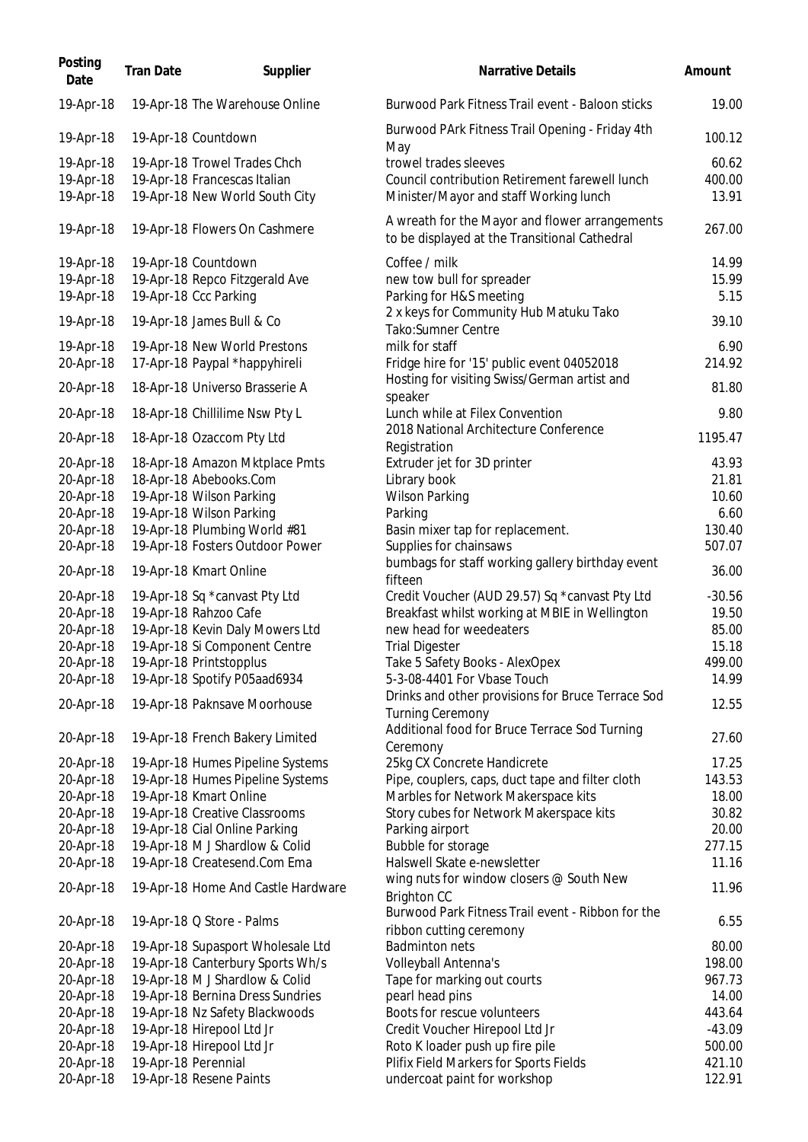| Posting<br>Date | <b>Tran Date</b> | Supplier                           | <b>Narrative Details</b>                                                                        | Amount   |
|-----------------|------------------|------------------------------------|-------------------------------------------------------------------------------------------------|----------|
| 19-Apr-18       |                  | 19-Apr-18 The Warehouse Online     | Burwood Park Fitness Trail event - Baloon sticks                                                | 19.00    |
| 19-Apr-18       |                  | 19-Apr-18 Countdown                | Burwood PArk Fitness Trail Opening - Friday 4th<br>May                                          | 100.12   |
| 19-Apr-18       |                  | 19-Apr-18 Trowel Trades Chch       | trowel trades sleeves                                                                           | 60.62    |
| 19-Apr-18       |                  | 19-Apr-18 Francescas Italian       | Council contribution Retirement farewell lunch                                                  | 400.00   |
| 19-Apr-18       |                  | 19-Apr-18 New World South City     | Minister/Mayor and staff Working lunch                                                          | 13.91    |
| 19-Apr-18       |                  | 19-Apr-18 Flowers On Cashmere      | A wreath for the Mayor and flower arrangements<br>to be displayed at the Transitional Cathedral | 267.00   |
| 19-Apr-18       |                  | 19-Apr-18 Countdown                | Coffee / milk                                                                                   | 14.99    |
| 19-Apr-18       |                  | 19-Apr-18 Repco Fitzgerald Ave     | new tow bull for spreader                                                                       | 15.99    |
| 19-Apr-18       |                  | 19-Apr-18 Ccc Parking              | Parking for H&S meeting                                                                         | 5.15     |
|                 |                  |                                    | 2 x keys for Community Hub Matuku Tako                                                          |          |
| 19-Apr-18       |                  | 19-Apr-18 James Bull & Co          | Tako: Sumner Centre                                                                             | 39.10    |
| 19-Apr-18       |                  | 19-Apr-18 New World Prestons       | milk for staff                                                                                  | 6.90     |
| 20-Apr-18       |                  | 17-Apr-18 Paypal *happyhireli      | Fridge hire for '15' public event 04052018                                                      | 214.92   |
| 20-Apr-18       |                  | 18-Apr-18 Universo Brasserie A     | Hosting for visiting Swiss/German artist and<br>speaker                                         | 81.80    |
| 20-Apr-18       |                  | 18-Apr-18 Chillilime Nsw Pty L     | Lunch while at Filex Convention                                                                 | 9.80     |
| 20-Apr-18       |                  | 18-Apr-18 Ozaccom Pty Ltd          | 2018 National Architecture Conference<br>Registration                                           | 1195.47  |
| 20-Apr-18       |                  | 18-Apr-18 Amazon Mktplace Pmts     | Extruder jet for 3D printer                                                                     | 43.93    |
| 20-Apr-18       |                  | 18-Apr-18 Abebooks.Com             | Library book                                                                                    | 21.81    |
| 20-Apr-18       |                  | 19-Apr-18 Wilson Parking           | <b>Wilson Parking</b>                                                                           | 10.60    |
| 20-Apr-18       |                  | 19-Apr-18 Wilson Parking           | Parking                                                                                         | 6.60     |
| 20-Apr-18       |                  | 19-Apr-18 Plumbing World #81       | Basin mixer tap for replacement.                                                                | 130.40   |
| 20-Apr-18       |                  | 19-Apr-18 Fosters Outdoor Power    | Supplies for chainsaws                                                                          | 507.07   |
| 20-Apr-18       |                  | 19-Apr-18 Kmart Online             | bumbags for staff working gallery birthday event<br>fifteen                                     | 36.00    |
| 20-Apr-18       |                  | 19-Apr-18 Sq *canvast Pty Ltd      | Credit Voucher (AUD 29.57) Sq *canvast Pty Ltd                                                  | $-30.56$ |
| 20-Apr-18       |                  | 19-Apr-18 Rahzoo Cafe              | Breakfast whilst working at MBIE in Wellington                                                  | 19.50    |
| 20-Apr-18       |                  | 19-Apr-18 Kevin Daly Mowers Ltd    | new head for weedeaters                                                                         | 85.00    |
| 20-Apr-18       |                  | 19-Apr-18 Si Component Centre      | <b>Trial Digester</b>                                                                           | 15.18    |
| 20-Apr-18       |                  | 19-Apr-18 Printstopplus            | Take 5 Safety Books - AlexOpex                                                                  | 499.00   |
| 20-Apr-18       |                  | 19-Apr-18 Spotify P05aad6934       | 5-3-08-4401 For Vbase Touch                                                                     | 14.99    |
| 20-Apr-18       |                  | 19-Apr-18 Paknsave Moorhouse       | Drinks and other provisions for Bruce Terrace Sod<br><b>Turning Ceremony</b>                    | 12.55    |
| 20-Apr-18       |                  | 19-Apr-18 French Bakery Limited    | Additional food for Bruce Terrace Sod Turning                                                   | 27.60    |
|                 |                  |                                    | Ceremony                                                                                        |          |
| 20-Apr-18       |                  | 19-Apr-18 Humes Pipeline Systems   | 25kg CX Concrete Handicrete                                                                     | 17.25    |
| 20-Apr-18       |                  | 19-Apr-18 Humes Pipeline Systems   | Pipe, couplers, caps, duct tape and filter cloth                                                | 143.53   |
| 20-Apr-18       |                  | 19-Apr-18 Kmart Online             | Marbles for Network Makerspace kits                                                             | 18.00    |
| 20-Apr-18       |                  | 19-Apr-18 Creative Classrooms      | Story cubes for Network Makerspace kits                                                         | 30.82    |
| 20-Apr-18       |                  | 19-Apr-18 Cial Online Parking      | Parking airport                                                                                 | 20.00    |
| 20-Apr-18       |                  | 19-Apr-18 M J Shardlow & Colid     | Bubble for storage                                                                              | 277.15   |
| 20-Apr-18       |                  | 19-Apr-18 Createsend.Com Ema       | Halswell Skate e-newsletter                                                                     | 11.16    |
| 20-Apr-18       |                  | 19-Apr-18 Home And Castle Hardware | wing nuts for window closers @ South New<br><b>Brighton CC</b>                                  | 11.96    |
| 20-Apr-18       |                  | 19-Apr-18 Q Store - Palms          | Burwood Park Fitness Trail event - Ribbon for the                                               | 6.55     |
| 20-Apr-18       |                  | 19-Apr-18 Supasport Wholesale Ltd  | ribbon cutting ceremony<br><b>Badminton nets</b>                                                | 80.00    |
| 20-Apr-18       |                  | 19-Apr-18 Canterbury Sports Wh/s   | Volleyball Antenna's                                                                            | 198.00   |
| 20-Apr-18       |                  | 19-Apr-18 M J Shardlow & Colid     | Tape for marking out courts                                                                     | 967.73   |
| 20-Apr-18       |                  | 19-Apr-18 Bernina Dress Sundries   | pearl head pins                                                                                 | 14.00    |
| 20-Apr-18       |                  | 19-Apr-18 Nz Safety Blackwoods     | Boots for rescue volunteers                                                                     | 443.64   |
| 20-Apr-18       |                  | 19-Apr-18 Hirepool Ltd Jr          | Credit Voucher Hirepool Ltd Jr                                                                  | $-43.09$ |
| 20-Apr-18       |                  | 19-Apr-18 Hirepool Ltd Jr          | Roto K loader push up fire pile                                                                 | 500.00   |
|                 |                  | 19-Apr-18 Perennial                |                                                                                                 | 421.10   |
| 20-Apr-18       |                  |                                    | Plifix Field Markers for Sports Fields                                                          |          |
| 20-Apr-18       |                  | 19-Apr-18 Resene Paints            | undercoat paint for workshop                                                                    | 122.91   |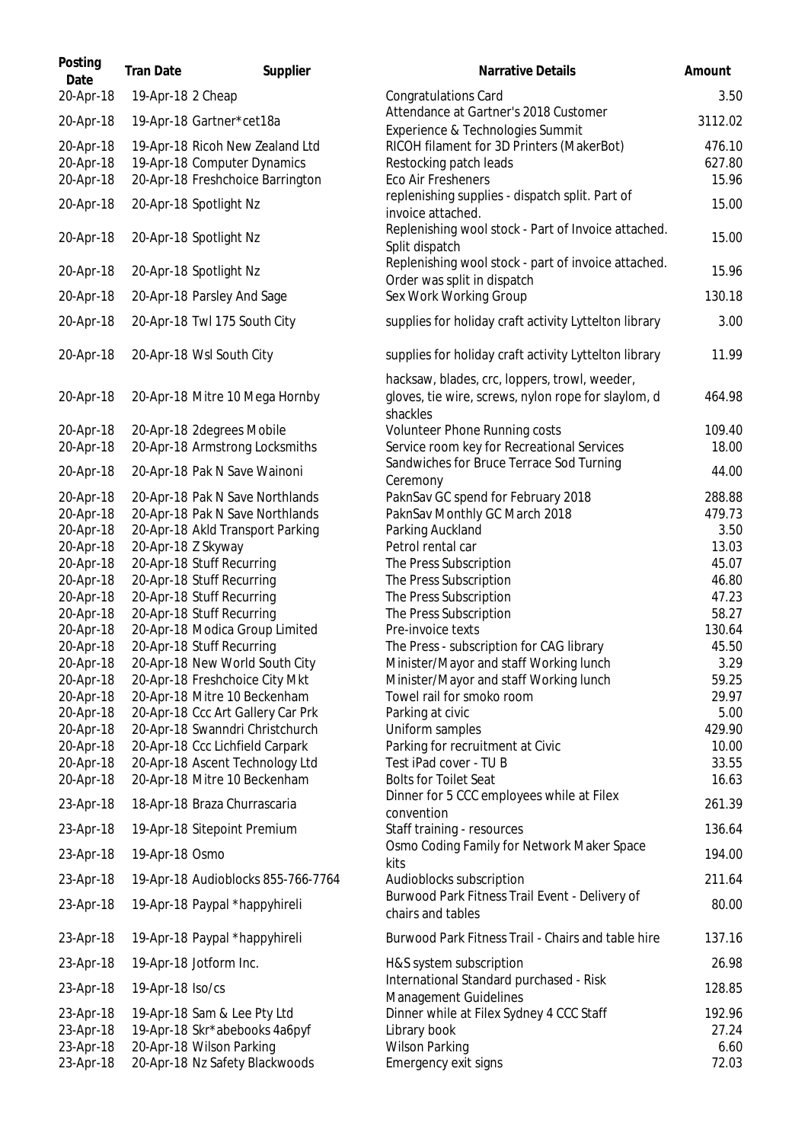| Posting<br>Date | <b>Tran Date</b>   | Supplier                           | Narrative Details                                                                  | Amount  |
|-----------------|--------------------|------------------------------------|------------------------------------------------------------------------------------|---------|
| 20-Apr-18       | 19-Apr-18 2 Cheap  |                                    | <b>Congratulations Card</b>                                                        | 3.50    |
| 20-Apr-18       |                    | 19-Apr-18 Gartner*cet18a           | Attendance at Gartner's 2018 Customer<br>Experience & Technologies Summit          | 3112.02 |
| 20-Apr-18       |                    | 19-Apr-18 Ricoh New Zealand Ltd    | RICOH filament for 3D Printers (MakerBot)                                          | 476.10  |
| 20-Apr-18       |                    | 19-Apr-18 Computer Dynamics        | Restocking patch leads                                                             | 627.80  |
| 20-Apr-18       |                    | 20-Apr-18 Freshchoice Barrington   | Eco Air Fresheners<br>replenishing supplies - dispatch split. Part of              | 15.96   |
| 20-Apr-18       |                    | 20-Apr-18 Spotlight Nz             | invoice attached.                                                                  | 15.00   |
| 20-Apr-18       |                    | 20-Apr-18 Spotlight Nz             | Replenishing wool stock - Part of Invoice attached.<br>Split dispatch              | 15.00   |
| 20-Apr-18       |                    | 20-Apr-18 Spotlight Nz             | Replenishing wool stock - part of invoice attached.<br>Order was split in dispatch | 15.96   |
| 20-Apr-18       |                    | 20-Apr-18 Parsley And Sage         | Sex Work Working Group                                                             | 130.18  |
| 20-Apr-18       |                    | 20-Apr-18 Twl 175 South City       | supplies for holiday craft activity Lyttelton library                              | 3.00    |
| 20-Apr-18       |                    | 20-Apr-18 Wsl South City           | supplies for holiday craft activity Lyttelton library                              | 11.99   |
|                 |                    |                                    | hacksaw, blades, crc, loppers, trowl, weeder,                                      |         |
| 20-Apr-18       |                    | 20-Apr-18 Mitre 10 Mega Hornby     | gloves, tie wire, screws, nylon rope for slaylom, d                                | 464.98  |
| 20-Apr-18       |                    | 20-Apr-18 2degrees Mobile          | shackles<br>Volunteer Phone Running costs                                          | 109.40  |
| 20-Apr-18       |                    | 20-Apr-18 Armstrong Locksmiths     | Service room key for Recreational Services                                         | 18.00   |
| 20-Apr-18       |                    | 20-Apr-18 Pak N Save Wainoni       | Sandwiches for Bruce Terrace Sod Turning                                           | 44.00   |
|                 |                    |                                    | Ceremony                                                                           |         |
| 20-Apr-18       |                    | 20-Apr-18 Pak N Save Northlands    | PaknSav GC spend for February 2018                                                 | 288.88  |
| 20-Apr-18       |                    | 20-Apr-18 Pak N Save Northlands    | PaknSav Monthly GC March 2018                                                      | 479.73  |
| 20-Apr-18       |                    | 20-Apr-18 Akld Transport Parking   | Parking Auckland                                                                   | 3.50    |
| 20-Apr-18       | 20-Apr-18 Z Skyway |                                    | Petrol rental car                                                                  | 13.03   |
| 20-Apr-18       |                    | 20-Apr-18 Stuff Recurring          | The Press Subscription                                                             | 45.07   |
| 20-Apr-18       |                    | 20-Apr-18 Stuff Recurring          | The Press Subscription                                                             | 46.80   |
| 20-Apr-18       |                    | 20-Apr-18 Stuff Recurring          | The Press Subscription                                                             | 47.23   |
| 20-Apr-18       |                    | 20-Apr-18 Stuff Recurring          | The Press Subscription                                                             | 58.27   |
| 20-Apr-18       |                    | 20-Apr-18 Modica Group Limited     | Pre-invoice texts                                                                  | 130.64  |
| 20-Apr-18       |                    | 20-Apr-18 Stuff Recurring          | The Press - subscription for CAG library                                           | 45.50   |
| 20-Apr-18       |                    | 20-Apr-18 New World South City     | Minister/Mayor and staff Working lunch                                             | 3.29    |
| 20-Apr-18       |                    | 20-Apr-18 Freshchoice City Mkt     | Minister/Mayor and staff Working lunch                                             | 59.25   |
| 20-Apr-18       |                    | 20-Apr-18 Mitre 10 Beckenham       | Towel rail for smoko room                                                          | 29.97   |
| 20-Apr-18       |                    | 20-Apr-18 Ccc Art Gallery Car Prk  | Parking at civic                                                                   | 5.00    |
| 20-Apr-18       |                    | 20-Apr-18 Swanndri Christchurch    | Uniform samples                                                                    | 429.90  |
| 20-Apr-18       |                    | 20-Apr-18 Ccc Lichfield Carpark    | Parking for recruitment at Civic                                                   | 10.00   |
| 20-Apr-18       |                    | 20-Apr-18 Ascent Technology Ltd    | Test iPad cover - TU B                                                             | 33.55   |
| 20-Apr-18       |                    | 20-Apr-18 Mitre 10 Beckenham       | <b>Bolts for Toilet Seat</b>                                                       | 16.63   |
| 23-Apr-18       |                    | 18-Apr-18 Braza Churrascaria       | Dinner for 5 CCC employees while at Filex                                          | 261.39  |
| 23-Apr-18       |                    | 19-Apr-18 Sitepoint Premium        | convention<br>Staff training - resources                                           | 136.64  |
| 23-Apr-18       | 19-Apr-18 Osmo     |                                    | Osmo Coding Family for Network Maker Space<br>kits                                 | 194.00  |
| 23-Apr-18       |                    | 19-Apr-18 Audioblocks 855-766-7764 | Audioblocks subscription                                                           | 211.64  |
| 23-Apr-18       |                    | 19-Apr-18 Paypal *happyhireli      | Burwood Park Fitness Trail Event - Delivery of<br>chairs and tables                | 80.00   |
| 23-Apr-18       |                    | 19-Apr-18 Paypal *happyhireli      | Burwood Park Fitness Trail - Chairs and table hire                                 | 137.16  |
| 23-Apr-18       |                    | 19-Apr-18 Jotform Inc.             | H&S system subscription                                                            | 26.98   |
| 23-Apr-18       | 19-Apr-18 Iso/cs   |                                    | International Standard purchased - Risk<br>Management Guidelines                   | 128.85  |
| 23-Apr-18       |                    | 19-Apr-18 Sam & Lee Pty Ltd        | Dinner while at Filex Sydney 4 CCC Staff                                           | 192.96  |
| 23-Apr-18       |                    | 19-Apr-18 Skr*abebooks 4a6pyf      | Library book                                                                       | 27.24   |
| 23-Apr-18       |                    | 20-Apr-18 Wilson Parking           | <b>Wilson Parking</b>                                                              | 6.60    |
| 23-Apr-18       |                    | 20-Apr-18 Nz Safety Blackwoods     | Emergency exit signs                                                               | 72.03   |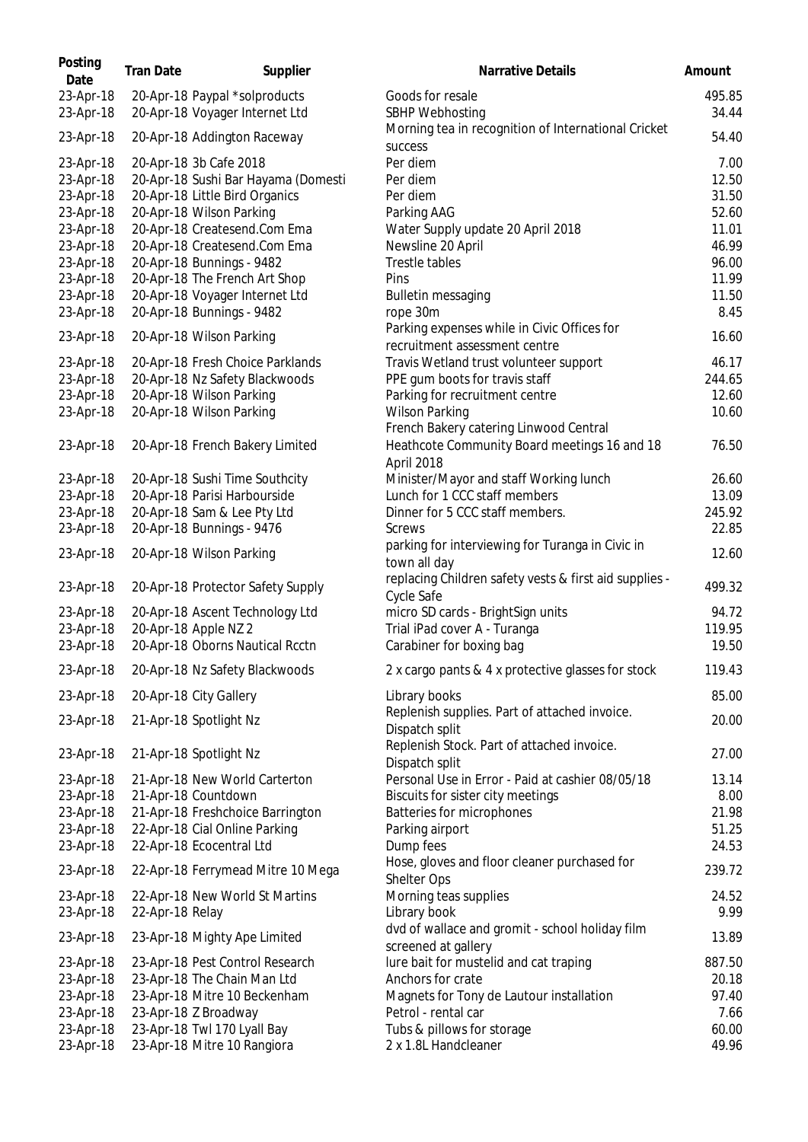| Posting<br>Date        | <b>Tran Date</b> | Supplier                                                        | <b>Narrative Details</b>                                               | Amount          |
|------------------------|------------------|-----------------------------------------------------------------|------------------------------------------------------------------------|-----------------|
| 23-Apr-18<br>23-Apr-18 |                  | 20-Apr-18 Paypal *solproducts<br>20-Apr-18 Voyager Internet Ltd | Goods for resale<br>SBHP Webhosting                                    | 495.85<br>34.44 |
| 23-Apr-18              |                  | 20-Apr-18 Addington Raceway                                     | Morning tea in recognition of International Cricket<br>success         | 54.40           |
| 23-Apr-18              |                  | 20-Apr-18 3b Cafe 2018                                          | Per diem                                                               | 7.00            |
| 23-Apr-18              |                  | 20-Apr-18 Sushi Bar Hayama (Domesti                             | Per diem                                                               | 12.50           |
| 23-Apr-18              |                  | 20-Apr-18 Little Bird Organics                                  | Per diem                                                               | 31.50           |
| 23-Apr-18              |                  | 20-Apr-18 Wilson Parking                                        | Parking AAG                                                            | 52.60           |
| 23-Apr-18              |                  | 20-Apr-18 Createsend.Com Ema                                    | Water Supply update 20 April 2018                                      | 11.01           |
| 23-Apr-18              |                  | 20-Apr-18 Createsend.Com Ema                                    | Newsline 20 April                                                      | 46.99           |
| 23-Apr-18              |                  | 20-Apr-18 Bunnings - 9482                                       | Trestle tables                                                         | 96.00           |
| 23-Apr-18              |                  | 20-Apr-18 The French Art Shop                                   | Pins                                                                   | 11.99           |
| 23-Apr-18              |                  | 20-Apr-18 Voyager Internet Ltd                                  | <b>Bulletin messaging</b>                                              | 11.50           |
| 23-Apr-18              |                  | 20-Apr-18 Bunnings - 9482                                       | rope 30m                                                               | 8.45            |
|                        |                  |                                                                 | Parking expenses while in Civic Offices for                            |                 |
| 23-Apr-18              |                  | 20-Apr-18 Wilson Parking                                        | recruitment assessment centre                                          | 16.60           |
| 23-Apr-18              |                  | 20-Apr-18 Fresh Choice Parklands                                | Travis Wetland trust volunteer support                                 | 46.17           |
| 23-Apr-18              |                  | 20-Apr-18 Nz Safety Blackwoods                                  | PPE gum boots for travis staff                                         | 244.65          |
| 23-Apr-18              |                  | 20-Apr-18 Wilson Parking                                        | Parking for recruitment centre                                         | 12.60           |
| 23-Apr-18              |                  | 20-Apr-18 Wilson Parking                                        | <b>Wilson Parking</b>                                                  | 10.60           |
|                        |                  |                                                                 | French Bakery catering Linwood Central                                 |                 |
|                        |                  |                                                                 | Heathcote Community Board meetings 16 and 18                           | 76.50           |
| 23-Apr-18              |                  | 20-Apr-18 French Bakery Limited                                 |                                                                        |                 |
|                        |                  |                                                                 | April 2018                                                             |                 |
| 23-Apr-18              |                  | 20-Apr-18 Sushi Time Southcity                                  | Minister/Mayor and staff Working lunch                                 | 26.60           |
| 23-Apr-18              |                  | 20-Apr-18 Parisi Harbourside                                    | Lunch for 1 CCC staff members                                          | 13.09           |
| 23-Apr-18              |                  | 20-Apr-18 Sam & Lee Pty Ltd                                     | Dinner for 5 CCC staff members.                                        | 245.92          |
| 23-Apr-18              |                  | 20-Apr-18 Bunnings - 9476                                       | Screws                                                                 | 22.85           |
| 23-Apr-18              |                  | 20-Apr-18 Wilson Parking                                        | parking for interviewing for Turanga in Civic in                       | 12.60           |
| 23-Apr-18              |                  | 20-Apr-18 Protector Safety Supply                               | town all day<br>replacing Children safety vests & first aid supplies - | 499.32          |
|                        |                  |                                                                 | Cycle Safe                                                             |                 |
| 23-Apr-18              |                  | 20-Apr-18 Ascent Technology Ltd                                 | micro SD cards - BrightSign units                                      | 94.72           |
| 23-Apr-18              |                  | 20-Apr-18 Apple NZ 2                                            | Trial iPad cover A - Turanga                                           | 119.95          |
| 23-Apr-18              |                  | 20-Apr-18 Oborns Nautical Rcctn                                 | Carabiner for boxing bag                                               | 19.50           |
| 23-Apr-18              |                  | 20-Apr-18 Nz Safety Blackwoods                                  | 2 x cargo pants & 4 x protective glasses for stock                     | 119.43          |
| 23-Apr-18              |                  | 20-Apr-18 City Gallery                                          | Library books                                                          | 85.00           |
| 23-Apr-18              |                  | 21-Apr-18 Spotlight Nz                                          | Replenish supplies. Part of attached invoice.<br>Dispatch split        | 20.00           |
| 23-Apr-18              |                  | 21-Apr-18 Spotlight Nz                                          | Replenish Stock. Part of attached invoice.<br>Dispatch split           | 27.00           |
| 23-Apr-18              |                  | 21-Apr-18 New World Carterton                                   | Personal Use in Error - Paid at cashier 08/05/18                       | 13.14           |
| 23-Apr-18              |                  | 21-Apr-18 Countdown                                             | Biscuits for sister city meetings                                      | 8.00            |
| 23-Apr-18              |                  | 21-Apr-18 Freshchoice Barrington                                | Batteries for microphones                                              | 21.98           |
| 23-Apr-18              |                  | 22-Apr-18 Cial Online Parking                                   | Parking airport                                                        | 51.25           |
| 23-Apr-18              |                  | 22-Apr-18 Ecocentral Ltd                                        | Dump fees                                                              | 24.53           |
| 23-Apr-18              |                  | 22-Apr-18 Ferrymead Mitre 10 Mega                               | Hose, gloves and floor cleaner purchased for<br>Shelter Ops            | 239.72          |
| 23-Apr-18              |                  | 22-Apr-18 New World St Martins                                  | Morning teas supplies                                                  | 24.52           |
| 23-Apr-18              | 22-Apr-18 Relay  |                                                                 | Library book                                                           | 9.99            |
| 23-Apr-18              |                  | 23-Apr-18 Mighty Ape Limited                                    | dvd of wallace and gromit - school holiday film<br>screened at gallery | 13.89           |
| 23-Apr-18              |                  | 23-Apr-18 Pest Control Research                                 | lure bait for mustelid and cat traping                                 | 887.50          |
| 23-Apr-18              |                  | 23-Apr-18 The Chain Man Ltd                                     | Anchors for crate                                                      | 20.18           |
| 23-Apr-18              |                  | 23-Apr-18 Mitre 10 Beckenham                                    | Magnets for Tony de Lautour installation                               | 97.40           |
| 23-Apr-18              |                  | 23-Apr-18 Z Broadway                                            | Petrol - rental car                                                    | 7.66            |
| 23-Apr-18              |                  | 23-Apr-18 Twl 170 Lyall Bay                                     | Tubs & pillows for storage                                             | 60.00           |
| 23-Apr-18              |                  | 23-Apr-18 Mitre 10 Rangiora                                     | 2 x 1.8L Handcleaner                                                   | 49.96           |
|                        |                  |                                                                 |                                                                        |                 |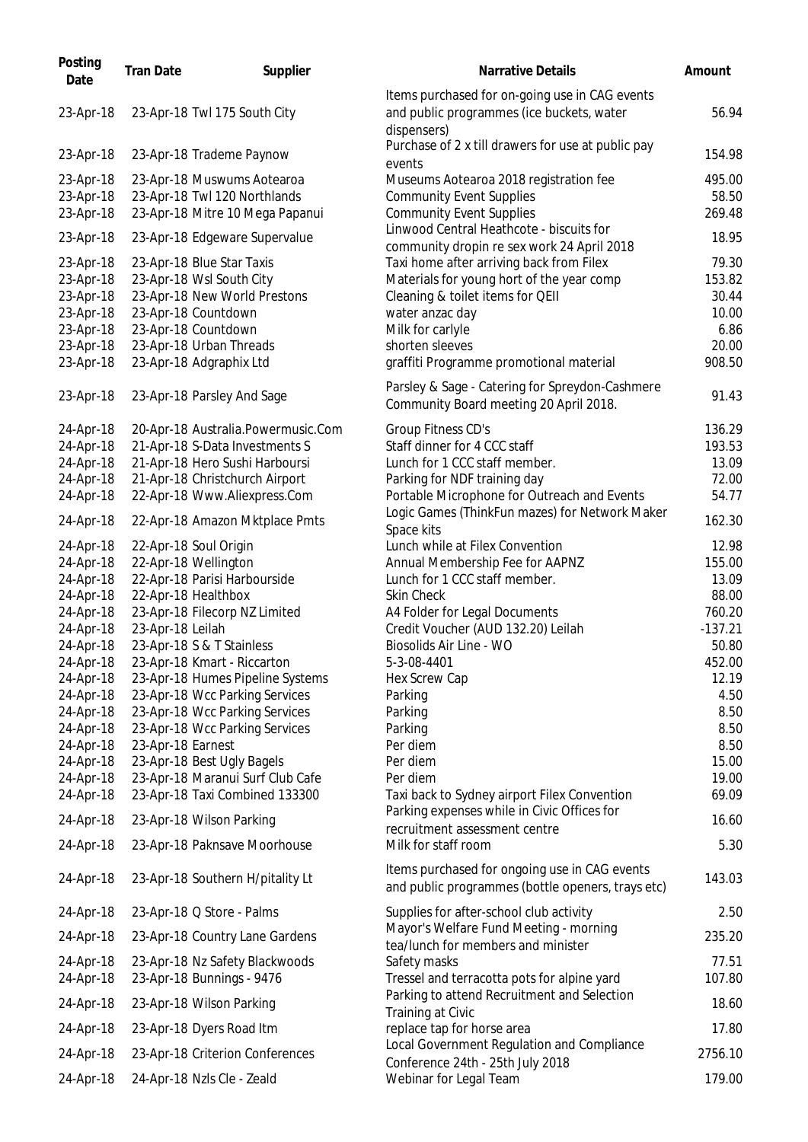| Posting<br>Date | <b>Tran Date</b>  | Supplier                           | <b>Narrative Details</b>                                                                                   | Amount    |
|-----------------|-------------------|------------------------------------|------------------------------------------------------------------------------------------------------------|-----------|
| 23-Apr-18       |                   | 23-Apr-18 Twl 175 South City       | Items purchased for on-going use in CAG events<br>and public programmes (ice buckets, water<br>dispensers) | 56.94     |
| 23-Apr-18       |                   | 23-Apr-18 Trademe Paynow           | Purchase of 2 x till drawers for use at public pay<br>events                                               | 154.98    |
| 23-Apr-18       |                   | 23-Apr-18 Muswums Aotearoa         | Museums Aotearoa 2018 registration fee                                                                     | 495.00    |
| 23-Apr-18       |                   | 23-Apr-18 Twl 120 Northlands       | <b>Community Event Supplies</b>                                                                            | 58.50     |
| 23-Apr-18       |                   | 23-Apr-18 Mitre 10 Mega Papanui    | <b>Community Event Supplies</b>                                                                            | 269.48    |
| 23-Apr-18       |                   | 23-Apr-18 Edgeware Supervalue      | Linwood Central Heathcote - biscuits for                                                                   | 18.95     |
| 23-Apr-18       |                   | 23-Apr-18 Blue Star Taxis          | community dropin re sex work 24 April 2018<br>Taxi home after arriving back from Filex                     | 79.30     |
| 23-Apr-18       |                   | 23-Apr-18 Wsl South City           | Materials for young hort of the year comp                                                                  | 153.82    |
| 23-Apr-18       |                   | 23-Apr-18 New World Prestons       | Cleaning & toilet items for QEII                                                                           | 30.44     |
| 23-Apr-18       |                   | 23-Apr-18 Countdown                | water anzac day                                                                                            | 10.00     |
| 23-Apr-18       |                   | 23-Apr-18 Countdown                | Milk for carlyle                                                                                           | 6.86      |
| 23-Apr-18       |                   | 23-Apr-18 Urban Threads            | shorten sleeves                                                                                            | 20.00     |
| 23-Apr-18       |                   | 23-Apr-18 Adgraphix Ltd            | graffiti Programme promotional material                                                                    | 908.50    |
|                 |                   |                                    | Parsley & Sage - Catering for Spreydon-Cashmere                                                            |           |
| 23-Apr-18       |                   | 23-Apr-18 Parsley And Sage         | Community Board meeting 20 April 2018.                                                                     | 91.43     |
| 24-Apr-18       |                   | 20-Apr-18 Australia.Powermusic.Com | Group Fitness CD's                                                                                         | 136.29    |
| 24-Apr-18       |                   | 21-Apr-18 S-Data Investments S     | Staff dinner for 4 CCC staff                                                                               | 193.53    |
| 24-Apr-18       |                   | 21-Apr-18 Hero Sushi Harboursi     | Lunch for 1 CCC staff member.                                                                              | 13.09     |
| 24-Apr-18       |                   | 21-Apr-18 Christchurch Airport     | Parking for NDF training day                                                                               | 72.00     |
| 24-Apr-18       |                   | 22-Apr-18 Www.Aliexpress.Com       | Portable Microphone for Outreach and Events                                                                | 54.77     |
| 24-Apr-18       |                   | 22-Apr-18 Amazon Mktplace Pmts     | Logic Games (ThinkFun mazes) for Network Maker<br>Space kits                                               | 162.30    |
| 24-Apr-18       |                   | 22-Apr-18 Soul Origin              | Lunch while at Filex Convention                                                                            | 12.98     |
| 24-Apr-18       |                   | 22-Apr-18 Wellington               | Annual Membership Fee for AAPNZ                                                                            | 155.00    |
| 24-Apr-18       |                   | 22-Apr-18 Parisi Harbourside       | Lunch for 1 CCC staff member.                                                                              | 13.09     |
| 24-Apr-18       |                   | 22-Apr-18 Healthbox                | Skin Check                                                                                                 | 88.00     |
| 24-Apr-18       |                   | 23-Apr-18 Filecorp NZ Limited      | A4 Folder for Legal Documents                                                                              | 760.20    |
| 24-Apr-18       | 23-Apr-18 Leilah  |                                    | Credit Voucher (AUD 132.20) Leilah                                                                         | $-137.21$ |
| 24-Apr-18       |                   | 23-Apr-18 S & T Stainless          | Biosolids Air Line - WO                                                                                    | 50.80     |
| 24-Apr-18       |                   | 23-Apr-18 Kmart - Riccarton        | 5-3-08-4401                                                                                                | 452.00    |
| 24-Apr-18       |                   | 23-Apr-18 Humes Pipeline Systems   | Hex Screw Cap                                                                                              | 12.19     |
| 24-Apr-18       |                   | 23-Apr-18 Wcc Parking Services     | Parking                                                                                                    | 4.50      |
| 24-Apr-18       |                   | 23-Apr-18 Wcc Parking Services     | Parking                                                                                                    | 8.50      |
| 24-Apr-18       |                   | 23-Apr-18 Wcc Parking Services     | Parking                                                                                                    | 8.50      |
| 24-Apr-18       | 23-Apr-18 Earnest |                                    | Per diem                                                                                                   | 8.50      |
| 24-Apr-18       |                   | 23-Apr-18 Best Ugly Bagels         | Per diem                                                                                                   | 15.00     |
| 24-Apr-18       |                   | 23-Apr-18 Maranui Surf Club Cafe   | Per diem                                                                                                   | 19.00     |
| 24-Apr-18       |                   | 23-Apr-18 Taxi Combined 133300     | Taxi back to Sydney airport Filex Convention                                                               | 69.09     |
| 24-Apr-18       |                   | 23-Apr-18 Wilson Parking           | Parking expenses while in Civic Offices for                                                                | 16.60     |
| 24-Apr-18       |                   | 23-Apr-18 Paknsave Moorhouse       | recruitment assessment centre<br>Milk for staff room                                                       | 5.30      |
| 24-Apr-18       |                   | 23-Apr-18 Southern H/pitality Lt   | Items purchased for ongoing use in CAG events                                                              | 143.03    |
|                 |                   |                                    | and public programmes (bottle openers, trays etc)                                                          |           |
| 24-Apr-18       |                   | 23-Apr-18 Q Store - Palms          | Supplies for after-school club activity                                                                    | 2.50      |
| 24-Apr-18       |                   | 23-Apr-18 Country Lane Gardens     | Mayor's Welfare Fund Meeting - morning<br>tea/lunch for members and minister                               | 235.20    |
| 24-Apr-18       |                   | 23-Apr-18 Nz Safety Blackwoods     | Safety masks                                                                                               | 77.51     |
| 24-Apr-18       |                   | 23-Apr-18 Bunnings - 9476          | Tressel and terracotta pots for alpine yard                                                                | 107.80    |
| 24-Apr-18       |                   | 23-Apr-18 Wilson Parking           | Parking to attend Recruitment and Selection<br>Training at Civic                                           | 18.60     |
| 24-Apr-18       |                   | 23-Apr-18 Dyers Road Itm           | replace tap for horse area                                                                                 | 17.80     |
| 24-Apr-18       |                   | 23-Apr-18 Criterion Conferences    | Local Government Regulation and Compliance<br>Conference 24th - 25th July 2018                             | 2756.10   |
| 24-Apr-18       |                   | 24-Apr-18 Nzls Cle - Zeald         | Webinar for Legal Team                                                                                     | 179.00    |